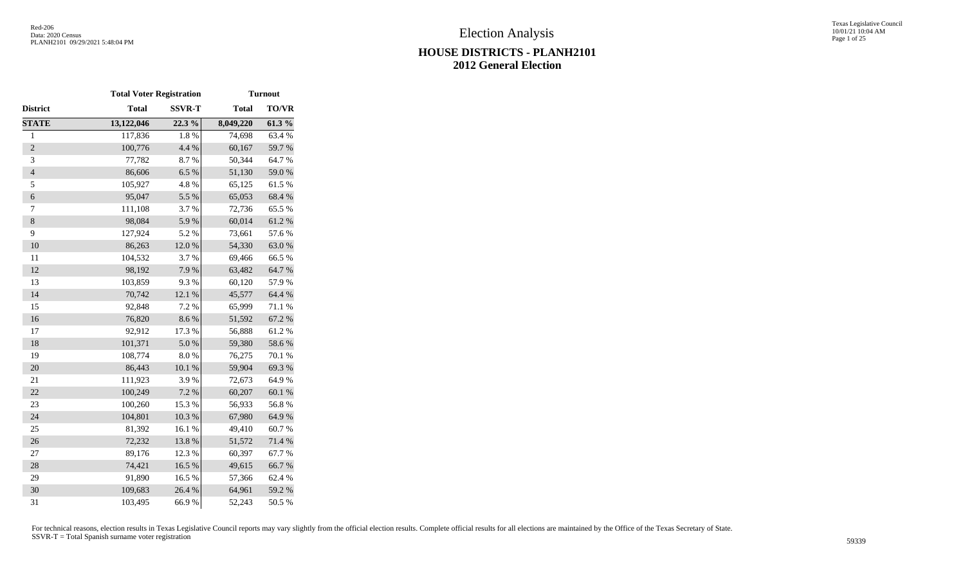|                | <b>Total Voter Registration</b> |               |              | <b>Turnout</b> |
|----------------|---------------------------------|---------------|--------------|----------------|
| District       | <b>Total</b>                    | <b>SSVR-T</b> | <b>Total</b> | TO/VR          |
| <b>STATE</b>   | 13,122,046                      | 22.3 %        | 8,049,220    | 61.3%          |
| $\mathbf{1}$   | 117,836                         | 1.8%          | 74,698       | 63.4%          |
| $\overline{2}$ | 100,776                         | 4.4 %         | 60,167       | 59.7%          |
| 3              | 77,782                          | 8.7%          | 50,344       | 64.7%          |
| $\overline{4}$ | 86,606                          | 6.5%          | 51,130       | 59.0%          |
| 5              | 105,927                         | 4.8 %         | 65,125       | 61.5%          |
| 6              | 95,047                          | 5.5 %         | 65,053       | 68.4%          |
| 7              | 111,108                         | 3.7 %         | 72,736       | 65.5 %         |
| $\,8\,$        | 98,084                          | 5.9%          | 60,014       | 61.2%          |
| 9              | 127,924                         | 5.2 %         | 73,661       | 57.6%          |
| 10             | 86,263                          | 12.0 %        | 54,330       | 63.0%          |
| 11             | 104,532                         | 3.7%          | 69,466       | 66.5%          |
| 12             | 98,192                          | 7.9%          | 63,482       | 64.7%          |
| 13             | 103,859                         | 9.3%          | 60,120       | 57.9%          |
| 14             | 70,742                          | 12.1 %        | 45,577       | 64.4 %         |
| 15             | 92,848                          | 7.2 %         | 65,999       | 71.1 %         |
| 16             | 76,820                          | 8.6%          | 51,592       | 67.2 %         |
| 17             | 92,912                          | 17.3 %        | 56,888       | 61.2%          |
| 18             | 101,371                         | $5.0\ \%$     | 59,380       | 58.6%          |
| 19             | 108,774                         | $8.0\ \%$     | 76,275       | 70.1 %         |
| 20             | 86,443                          | $10.1~\%$     | 59,904       | 69.3%          |
| 21             | 111,923                         | 3.9%          | 72,673       | 64.9%          |
| 22             | 100,249                         | 7.2 %         | 60,207       | $60.1~\%$      |
| 23             | 100,260                         | 15.3%         | 56,933       | 56.8%          |
| 24             | 104,801                         | 10.3 %        | 67,980       | 64.9%          |
| 25             | 81,392                          | 16.1%         | 49,410       | 60.7%          |
| 26             | 72,232                          | 13.8 %        | 51,572       | 71.4 %         |
| 27             | 89,176                          | 12.3 %        | 60,397       | 67.7%          |
| 28             | 74,421                          | 16.5 %        | 49,615       | 66.7%          |
| 29             | 91,890                          | 16.5 %        | 57,366       | 62.4 %         |
| 30             | 109,683                         | 26.4 %        | 64,961       | 59.2 %         |
| 31             | 103,495                         | 66.9%         | 52,243       | 50.5 %         |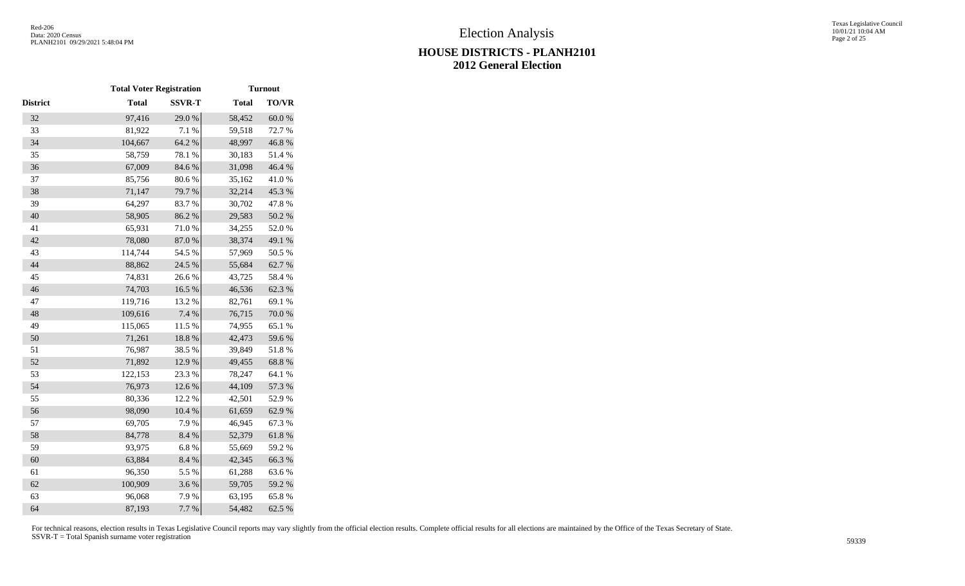|          | <b>Total Voter Registration</b> |               |              | <b>Turnout</b> |
|----------|---------------------------------|---------------|--------------|----------------|
| District | <b>Total</b>                    | <b>SSVR-T</b> | <b>Total</b> | TO/VR          |
| 32       | 97,416                          | 29.0%         | 58,452       | $60.0~\%$      |
| 33       | 81,922                          | 7.1 %         | 59,518       | 72.7 %         |
| 34       | 104,667                         | 64.2 %        | 48,997       | 46.8%          |
| 35       | 58,759                          | 78.1 %        | 30,183       | 51.4%          |
| 36       | 67,009                          | 84.6%         | 31,098       | 46.4 %         |
| 37       | 85,756                          | 80.6%         | 35,162       | 41.0%          |
| 38       | 71,147                          | 79.7%         | 32,214       | 45.3 %         |
| 39       | 64,297                          | 83.7%         | 30,702       | 47.8%          |
| 40       | 58,905                          | 86.2%         | 29,583       | 50.2 %         |
| 41       | 65,931                          | $71.0\;\%$    | 34,255       | 52.0%          |
| 42       | 78,080                          | $87.0\ \%$    | 38,374       | 49.1 %         |
| 43       | 114,744                         | 54.5 %        | 57,969       | 50.5 %         |
| 44       | 88,862                          | 24.5 %        | 55,684       | 62.7%          |
| 45       | 74,831                          | 26.6%         | 43,725       | 58.4%          |
| 46       | 74,703                          | 16.5 %        | 46,536       | 62.3%          |
| 47       | 119,716                         | 13.2 %        | 82,761       | 69.1 %         |
| 48       | 109,616                         | 7.4 %         | 76,715       | $70.0$ $\%$    |
| 49       | 115,065                         | 11.5 %        | 74,955       | 65.1 %         |
| 50       | 71,261                          | 18.8 %        | 42,473       | 59.6%          |
| 51       | 76,987                          | 38.5 %        | 39,849       | 51.8%          |
| 52       | 71,892                          | 12.9%         | 49,455       | 68.8 %         |
| 53       | 122,153                         | 23.3 %        | 78,247       | 64.1 %         |
| 54       | 76,973                          | 12.6 %        | 44,109       | 57.3 %         |
| 55       | 80,336                          | 12.2 %        | 42,501       | 52.9%          |
| 56       | 98,090                          | $10.4~\%$     | 61,659       | 62.9%          |
| 57       | 69,705                          | 7.9%          | 46,945       | 67.3 %         |
| 58       | 84,778                          | 8.4 %         | 52,379       | 61.8%          |
| 59       | 93,975                          | 6.8%          | 55,669       | 59.2 %         |
| 60       | 63,884                          | 8.4 %         | 42,345       | 66.3%          |
| 61       | 96,350                          | 5.5 %         | 61,288       | 63.6%          |
| 62       | 100,909                         | 3.6%          | 59,705       | 59.2 %         |
| 63       | 96,068                          | 7.9%          | 63,195       | $65.8\ \%$     |
| 64       | 87,193                          | 7.7 %         | 54,482       | 62.5 %         |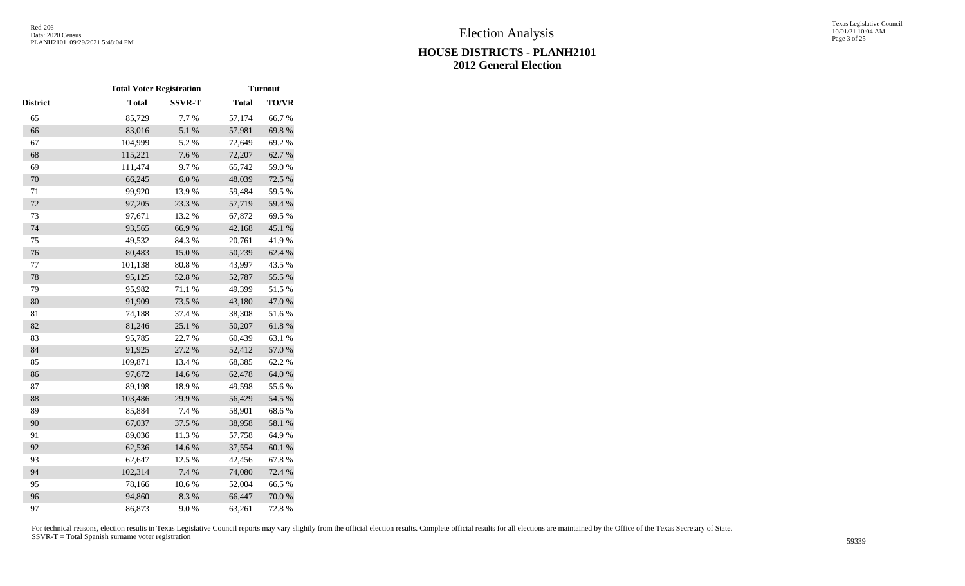|          | <b>Total Voter Registration</b> |               |              | <b>Turnout</b> |  |
|----------|---------------------------------|---------------|--------------|----------------|--|
| District | <b>Total</b>                    | <b>SSVR-T</b> | <b>Total</b> | <b>TO/VR</b>   |  |
| 65       | 85,729                          | 7.7 %         | 57,174       | 66.7%          |  |
| 66       | 83,016                          | 5.1 %         | 57,981       | 69.8%          |  |
| 67       | 104,999                         | 5.2 %         | 72,649       | 69.2%          |  |
| 68       | 115,221                         | 7.6 %         | 72,207       | 62.7%          |  |
| 69       | 111,474                         | 9.7%          | 65,742       | 59.0%          |  |
| 70       | 66,245                          | $6.0~\%$      | 48,039       | 72.5 %         |  |
| $71\,$   | 99,920                          | 13.9%         | 59,484       | 59.5 %         |  |
| 72       | 97,205                          | 23.3 %        | 57,719       | 59.4 %         |  |
| 73       | 97,671                          | 13.2 %        | 67,872       | 69.5 %         |  |
| 74       | 93,565                          | 66.9%         | 42,168       | 45.1 %         |  |
| 75       | 49,532                          | 84.3 %        | 20,761       | 41.9%          |  |
| 76       | 80,483                          | 15.0%         | 50,239       | 62.4 %         |  |
| 77       | 101,138                         | 80.8%         | 43,997       | 43.5 %         |  |
| 78       | 95,125                          | 52.8 %        | 52,787       | 55.5 %         |  |
| 79       | 95,982                          | 71.1 %        | 49,399       | 51.5 %         |  |
| 80       | 91,909                          | 73.5 %        | 43,180       | 47.0%          |  |
| 81       | 74,188                          | 37.4 %        | 38,308       | 51.6%          |  |
| 82       | 81,246                          | 25.1 %        | 50,207       | 61.8 %         |  |
| 83       | 95,785                          | 22.7 %        | 60,439       | 63.1 %         |  |
| 84       | 91,925                          | 27.2 %        | 52,412       | 57.0 %         |  |
| 85       | 109,871                         | 13.4 %        | 68,385       | 62.2%          |  |
| 86       | 97,672                          | 14.6 %        | 62,478       | 64.0%          |  |
| 87       | 89,198                          | 18.9%         | 49,598       | 55.6%          |  |
| 88       | 103,486                         | 29.9%         | 56,429       | 54.5 %         |  |
| 89       | 85,884                          | 7.4 %         | 58,901       | 68.6%          |  |
| 90       | 67,037                          | 37.5 %        | 38,958       | 58.1 %         |  |
| 91       | 89,036                          | 11.3 %        | 57,758       | 64.9%          |  |
| 92       | 62,536                          | 14.6 %        | 37,554       | 60.1 %         |  |
| 93       | 62,647                          | 12.5 %        | 42,456       | 67.8%          |  |
| 94       | 102,314                         | 7.4 %         | 74,080       | 72.4 %         |  |
| 95       | 78,166                          | 10.6 %        | 52,004       | 66.5%          |  |
| 96       | 94,860                          | 8.3%          | 66,447       | 70.0 %         |  |
| 97       | 86,873                          | 9.0%          | 63,261       | 72.8%          |  |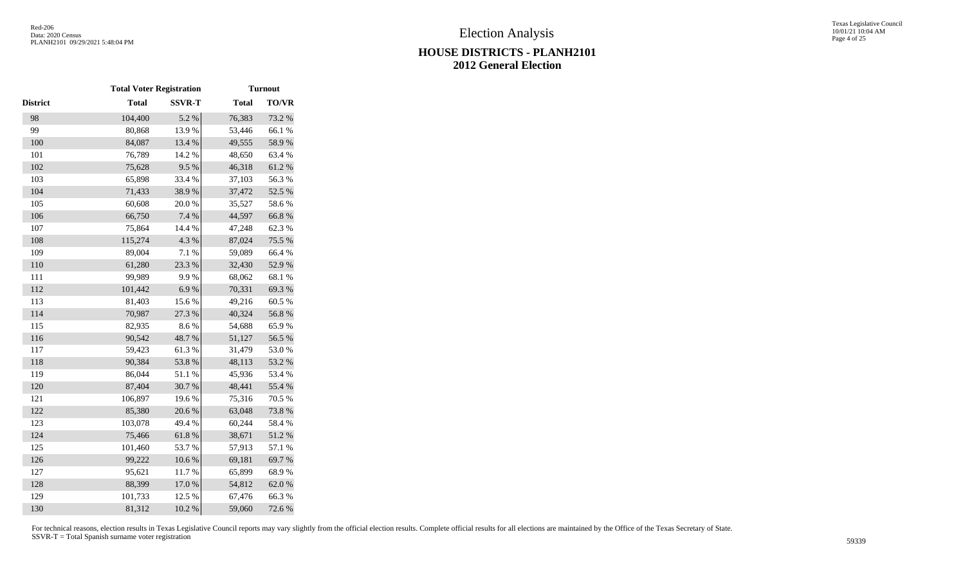|                 | <b>Total Voter Registration</b> |               |              | <b>Turnout</b> |
|-----------------|---------------------------------|---------------|--------------|----------------|
| <b>District</b> | <b>Total</b>                    | <b>SSVR-T</b> | <b>Total</b> | TO/VR          |
| 98              | 104,400                         | 5.2 %         | 76,383       | 73.2 %         |
| 99              | 80,868                          | 13.9%         | 53,446       | 66.1 %         |
| 100             | 84,087                          | 13.4 %        | 49,555       | 58.9%          |
| 101             | 76,789                          | 14.2 %        | 48,650       | 63.4 %         |
| 102             | 75,628                          | 9.5%          | 46,318       | 61.2%          |
| 103             | 65,898                          | 33.4 %        | 37,103       | 56.3%          |
| 104             | 71,433                          | 38.9%         | 37,472       | 52.5 %         |
| 105             | 60,608                          | 20.0%         | 35,527       | 58.6%          |
| 106             | 66,750                          | 7.4 %         | 44,597       | 66.8%          |
| 107             | 75,864                          | 14.4 %        | 47,248       | 62.3 %         |
| 108             | 115,274                         | 4.3 %         | 87,024       | 75.5 %         |
| 109             | 89,004                          | 7.1 %         | 59,089       | 66.4 %         |
| 110             | 61,280                          | 23.3 %        | 32,430       | 52.9%          |
| 111             | 99,989                          | 9.9%          | 68,062       | 68.1 %         |
| 112             | 101,442                         | 6.9%          | 70,331       | 69.3%          |
| 113             | 81,403                          | 15.6%         | 49,216       | 60.5 %         |
| 114             | 70,987                          | 27.3 %        | 40,324       | 56.8%          |
| 115             | 82,935                          | 8.6%          | 54,688       | 65.9%          |
| 116             | 90,542                          | 48.7%         | 51,127       | 56.5 %         |
| 117             | 59,423                          | 61.3%         | 31,479       | 53.0%          |
| 118             | 90,384                          | 53.8 %        | 48,113       | 53.2 %         |
| 119             | 86,044                          | 51.1%         | 45,936       | 53.4 %         |
| 120             | 87,404                          | 30.7%         | 48,441       | 55.4 %         |
| 121             | 106,897                         | 19.6%         | 75,316       | 70.5 %         |
| 122             | 85,380                          | 20.6 %        | 63,048       | 73.8 %         |
| 123             | 103,078                         | 49.4 %        | 60,244       | 58.4%          |
| 124             | 75,466                          | 61.8%         | 38,671       | 51.2%          |
| 125             | 101,460                         | 53.7%         | 57,913       | 57.1 %         |
| 126             | 99,222                          | $10.6~\%$     | 69,181       | 69.7%          |
| 127             | 95,621                          | 11.7%         | 65,899       | 68.9%          |
| 128             | 88,399                          | 17.0 %        | 54,812       | 62.0%          |
| 129             | 101,733                         | 12.5 %        | 67,476       | 66.3%          |
| 130             | 81,312                          | 10.2%         | 59,060       | 72.6%          |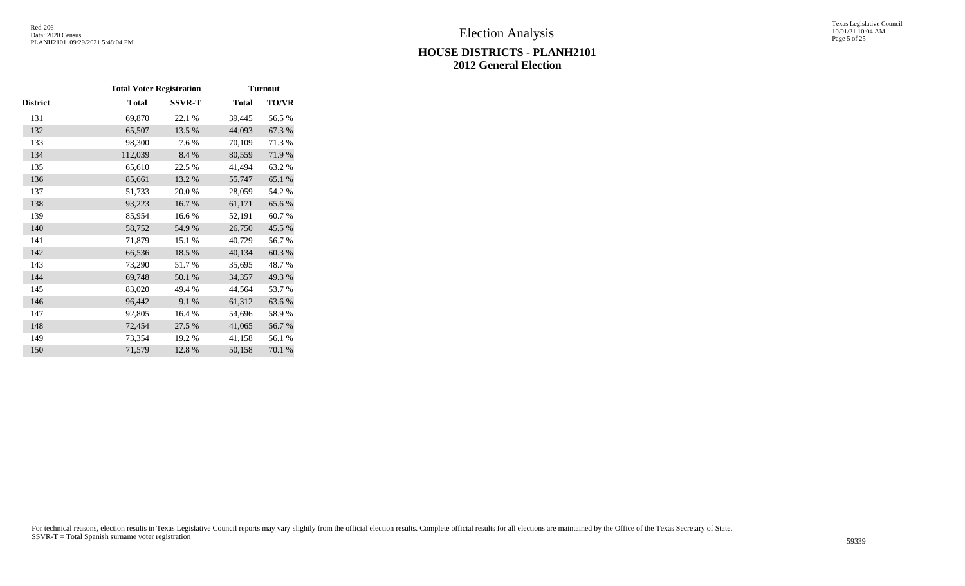# Texas Legislative Council 10/01/21 10:04 AM Page 5 of 25

# **HOUSE DISTRICTS - PLANH2101 2012 General Election**

|          | <b>Total Voter Registration</b> |               |              | <b>Turnout</b> |
|----------|---------------------------------|---------------|--------------|----------------|
| District | Total                           | <b>SSVR-T</b> | <b>Total</b> | TO/VR          |
| 131      | 69,870                          | 22.1 %        | 39,445       | 56.5 %         |
| 132      | 65,507                          | 13.5 %        | 44,093       | 67.3%          |
| 133      | 98,300                          | 7.6 %         | 70,109       | 71.3%          |
| 134      | 112,039                         | 8.4 %         | 80,559       | 71.9%          |
| 135      | 65,610                          | 22.5 %        | 41,494       | 63.2%          |
| 136      | 85,661                          | 13.2 %        | 55,747       | 65.1 %         |
| 137      | 51,733                          | 20.0%         | 28,059       | 54.2 %         |
| 138      | 93,223                          | 16.7%         | 61,171       | 65.6%          |
| 139      | 85,954                          | 16.6%         | 52,191       | 60.7%          |
| 140      | 58,752                          | 54.9%         | 26,750       | 45.5 %         |
| 141      | 71,879                          | 15.1 %        | 40,729       | 56.7%          |
| 142      | 66,536                          | 18.5 %        | 40,134       | 60.3%          |
| 143      | 73,290                          | 51.7%         | 35,695       | 48.7%          |
| 144      | 69,748                          | 50.1 %        | 34,357       | 49.3 %         |
| 145      | 83,020                          | 49.4 %        | 44,564       | 53.7%          |
| 146      | 96,442                          | 9.1 %         | 61,312       | 63.6%          |
| 147      | 92,805                          | 16.4 %        | 54,696       | 58.9%          |
| 148      | 72,454                          | 27.5 %        | 41,065       | 56.7%          |
| 149      | 73,354                          | 19.2%         | 41,158       | 56.1 %         |
| 150      | 71,579                          | 12.8 %        | 50,158       | 70.1 %         |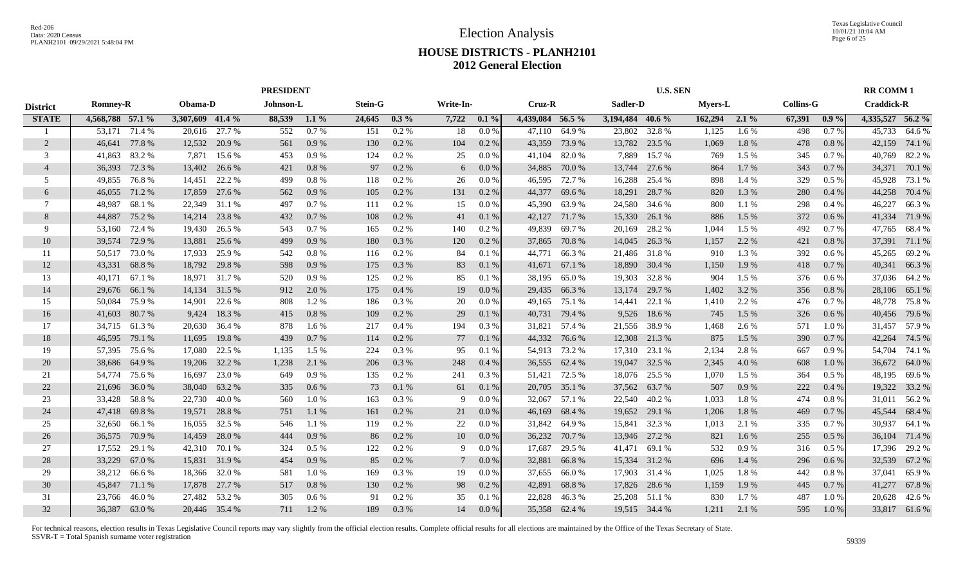|                 |                  |               |                  |               |           | <b>PRESIDENT</b> |                |          |           |         |                  |               |                  | <b>U.S. SEN</b> |                |           |                  |         | <b>RR COMM1</b>   |              |
|-----------------|------------------|---------------|------------------|---------------|-----------|------------------|----------------|----------|-----------|---------|------------------|---------------|------------------|-----------------|----------------|-----------|------------------|---------|-------------------|--------------|
| <b>District</b> | <b>Romney-R</b>  |               | Obama-D          |               | Johnson-L |                  | <b>Stein-G</b> |          | Write-In- |         | Cruz-R           |               | Sadler-D         |                 | <b>Myers-L</b> |           | <b>Collins-G</b> |         | <b>Craddick-R</b> |              |
| <b>STATE</b>    | 4,568,788 57.1 % |               | 3,307,609 41.4 % |               | 88,539    | $1.1\%$          | 24,645         | $0.3\%$  | 7,722     | $0.1\%$ | 4,439,084 56.5 % |               | 3,194,484 40.6 % |                 | 162,294        | $2.1\%$   | 67,391           | $0.9\%$ | 4,335,527 56.2 %  |              |
|                 | 53,171           | 71.4 %        | 20,616           | 27.7 %        | 552       | 0.7%             | 151            | $0.2\%$  | 18        | 0.0%    | 47,110           | 64.9%         | 23,802           | 32.8%           | 1,125          | 1.6%      | 498              | 0.7%    | 45,733            | 64.6 %       |
| 2               | 46,641           | 77.8%         | 12,532           | 20.9 %        | 561       | 0.9%             | 130            | 0.2 %    | 104       | 0.2 %   | 43,359           | 73.9 %        | 13,782           | 23.5 %          | 1,069          | 1.8%      | 478              | 0.8%    | 42,159            | 74.1 %       |
| 3               | 41,863           | 83.2 %        | 7,871            | 15.6 %        | 453       | 0.9%             | 124            | 0.2 %    | 25        | 0.0 %   | 41,104           | 82.0%         | 7,889            | 15.7 %          | 769            | 1.5 %     | 345              | 0.7%    | 40,769            | 82.2%        |
| $\overline{4}$  | 36,393           | 72.3 %        | 13,402           | 26.6 %        | 421       | 0.8%             | 97             | 0.2 %    | 6         | $0.0\%$ | 34,885           | 70.0%         | 13,744           | 27.6 %          | 864            | 1.7%      | 343              | 0.7%    | 34,371            | 70.1 %       |
| 5               | 49,855           | 76.8%         | 14,451           | 22.2 %        | 499       | 0.8%             | 118            | 0.2 %    | 26        | 0.0 %   | 46,595           | 72.7 %        | 16,288           | 25.4 %          | 898            | 1.4 %     | 329              | $0.5\%$ | 45,928            | 73.1 %       |
| 6               | 46,055           | 71.2%         | 17,859           | 27.6 %        | 562       | 0.9%             | 105            | 0.2 %    | 131       | 0.2 %   | 44,377           | 69.6%         | 18,291           | 28.7%           | 820            | $1.3\ \%$ | 280              | 0.4%    | 44,258            | 70.4 %       |
| 7               | 48,987           | 68.1 %        | 22,349           | 31.1 %        | 497       | 0.7%             | 111            | 0.2%     | 15        | $0.0\%$ | 45,390           | 63.9%         | 24,580           | 34.6 %          | 800            | 1.1 %     | 298              | 0.4%    | 46,227            | 66.3%        |
| 8               | 44,887           | 75.2 %        | 14,214           | 23.8 %        | 432       | 0.7%             | 108            | 0.2 %    | 41        | 0.1 %   | 42,127           | 71.7 %        | 15,330           | 26.1 %          | 886            | 1.5 %     | 372              | 0.6%    | 41,334            | 71.9%        |
| -9              | 53,160           | 72.4 %        | 19,430           | 26.5 %        | 543       | 0.7%             | 165            | 0.2 %    | 140       | 0.2 %   | 49,839           | 69.7%         | 20,169           | 28.2 %          | 1,044          | 1.5 %     | 492              | 0.7%    | 47,765            | 68.4%        |
| 10              | 39,574           | 72.9 %        | 13,881           | 25.6 %        | 499       | 0.9%             | 180            | 0.3%     | 120       | 0.2%    | 37,865           | 70.8%         | 14,045           | 26.3 %          | 1,157          | 2.2 %     | 421              | 0.8%    | 37,391            | 71.1 %       |
| 11              | 50,517           | 73.0%         | 17,933           | 25.9%         | 542       | 0.8%             | 116            | 0.2 %    | 84        | 0.1%    | 44,771           | 66.3%         | 21,486           | 31.8%           | 910            | 1.3%      | 392              | $0.6\%$ | 45,265            | 69.2%        |
| 12              | 43,331           | 68.8%         | 18,792           | 29.8%         | 598       | 0.9%             | 175            | 0.3%     | 83        | 0.1%    | 41,671           | 67.1 %        | 18,890           | 30.4 %          | 1,150          | 1.9%      | 418              | 0.7%    | 40,341            | 66.3%        |
| 13              | 40,171           | 67.1 %        | 18,971           | 31.7 %        | 520       | 0.9%             | 125            | 0.2 %    | 85        | 0.1%    | 38,195           | 65.0%         | 19,303           | 32.8%           | 904            | 1.5 %     | 376              | $0.6\%$ | 37,036            | 64.2 %       |
| 14              | 29,676           | 66.1 %        | 14,134           | 31.5 %        | 912       | 2.0%             | 175            | 0.4%     | 19        | 0.0 %   | 29,435           | 66.3%         | 13,174           | 29.7 %          | 1,402          | 3.2%      | 356              | 0.8%    | 28,106            | 65.1 %       |
| 15              | 50,084           | 75.9%         | 14,901           | 22.6 %        | 808       | 1.2%             | 186            | 0.3%     | 20        | 0.0 %   | 49,165           | 75.1 %        | 14,441           | 22.1 %          | 1,410          | 2.2 %     | 476              | 0.7 %   | 48,778            | 75.8%        |
| 16              | 41,603           | 80.7%         | 9,424            | 18.3%         | 415       | 0.8%             | 109            | 0.2 %    | 29        | 0.1 %   | 40,731           | 79.4 %        |                  | 9,526 18.6 %    | 745            | 1.5 %     | 326              | $0.6\%$ | 40,456            | 79.6 %       |
| 17              |                  | 34,715 61.3 % | 20,630           | 36.4 %        | 878       | 1.6 %            | 217            | 0.4%     | 194       | 0.3 %   |                  | 31,821 57.4 % | 21,556           | 38.9 %          | 1,468          | 2.6 %     | 571              | 1.0%    | 31,457            | 57.9 %       |
| 18              | 46,595           | 79.1 %        | 11,695           | 19.8%         | 439       | 0.7%             | 114            | 0.2 %    | 77        | 0.1%    | 44,332           | 76.6 %        | 12,308           | 21.3 %          | 875            | 1.5 %     | 390              | 0.7%    | 42,264            | 74.5 %       |
| 19              | 57,395           | 75.6 %        | 17,080           | 22.5 %        | 1,135     | 1.5 %            | 224            | 0.3%     | 95        | 0.1%    | 54,913           | 73.2 %        | 17,310           | 23.1 %          | 2,134          | 2.8%      | 667              | 0.9%    | 54,704            | 74.1 %       |
| 20              | 38,686           | 64.9%         | 19,206           | 32.2 %        | 1,238     | 2.1 %            | 206            | 0.3%     | 248       | 0.4%    | 36,555           | 62.4 %        | 19,047           | 32.5 %          | 2,345          | 4.0%      | 608              | 1.0 %   | 36,672            | 64.0%        |
| 21              | 54,774           | 75.6 %        | 16,697           | 23.0 %        | 649       | 0.9%             | 135            | 0.2 %    | 241       | 0.3%    | 51,421           | 72.5 %        | 18,076           | 25.5 %          | 1,070          | 1.5 %     | 364              | 0.5%    | 48,195            | 69.6 %       |
| 22              | 21,696           | 36.0%         | 38,040           | 63.2%         | 335       | 0.6%             | 73             | 0.1 %    | 61        | 0.1%    | 20,705           | 35.1 %        | 37,562           | 63.7 %          | 507            | 0.9%      | 222              | 0.4%    | 19,322            | 33.2 %       |
| 23              | 33,428           | 58.8%         | 22,730           | 40.0%         | 560       | 1.0%             | 163            | 0.3 %    | 9         | 0.0 %   | 32,067           | 57.1 %        | 22,540           | 40.2%           | 1,033          | 1.8%      | 474              | 0.8%    | 31,011            | 56.2%        |
| 24              | 47,418           | 69.8%         | 19,571           | 28.8%         | 751       | 1.1 %            | 161            | 0.2 %    | 21        | 0.0 %   | 46,169           | 68.4 %        | 19,652           | 29.1 %          | 1,206          | 1.8%      | 469              | 0.7%    | 45,544            | 68.4 %       |
| 25              | 32,650           | 66.1 %        | 16,055           | 32.5 %        | 546       | 1.1 %            | 119            | 0.2 %    | 22        | 0.0 %   | 31,842           | 64.9%         | 15,841           | 32.3 %          | 1,013          | 2.1 %     | 335              | 0.7%    | 30,937            | 64.1 %       |
| 26              | 36,575           | 70.9 %        | 14,459           | 28.0%         | 444       | 0.9%             | 86             | 0.2 %    | 10        | 0.0 %   | 36,232           | 70.7 %        | 13,946           | 27.2 %          | 821            | 1.6 %     | 255              | 0.5%    | 36,104            | 71.4 %       |
| 27              | 17,552           | 29.1 %        | 42,310           | 70.1 %        | 324       | 0.5%             | 122            | $0.2~\%$ | 9         | 0.0 %   | 17,687           | 29.5 %        | 41,471           | 69.1 %          | 532            | $0.9\ \%$ | 316              | $0.5\%$ | 17,396            | 29.2 %       |
| 28              | 33,229           | 67.0 %        | 15,831           | 31.9 %        | 454       | 0.9%             | 85             | 0.2 %    | $\tau$    | 0.0 %   | 32,881           | 66.8%         | 15,334           | 31.2 %          | 696            | 1.4 %     | 296              | $0.6\%$ | 32,539            | 67.2%        |
| 29              | 38,212           | 66.6 %        | 18,366           | 32.0 %        | 581       | 1.0%             | 169            | 0.3%     | 19        | 0.0 %   | 37,655           | 66.0%         | 17,903           | 31.4 %          | 1,025          | 1.8 %     | 442              | 0.8 %   | 37,041            | 65.9%        |
| 30              | 45,847           | 71.1 %        | 17,878           | 27.7 %        | 517       | 0.8%             | 130            | 0.2 %    | 98        | 0.2 %   | 42,891           | 68.8%         | 17,826           | 28.6 %          | 1,159          | 1.9%      | 445              | 0.7%    | 41,277            | 67.8%        |
| 31              | 23,766           | 46.0%         | 27,482           | 53.2 %        | 305       | 0.6 %            | 91             | 0.2 %    | 35        | 0.1%    | 22,828           | 46.3%         | 25,208           | 51.1 %          | 830            | 1.7%      | 487              | 1.0%    | 20,628            | 42.6 %       |
| 32              |                  | 36,387 63.0 % |                  | 20,446 35.4 % | 711       | 1.2%             | 189            | 0.3%     | 14        | 0.0 %   |                  | 35,358 62.4 % |                  | 19,515 34.4 %   | 1,211          | 2.1 %     | 595              | 1.0%    |                   | 33,817 61.6% |
|                 |                  |               |                  |               |           |                  |                |          |           |         |                  |               |                  |                 |                |           |                  |         |                   |              |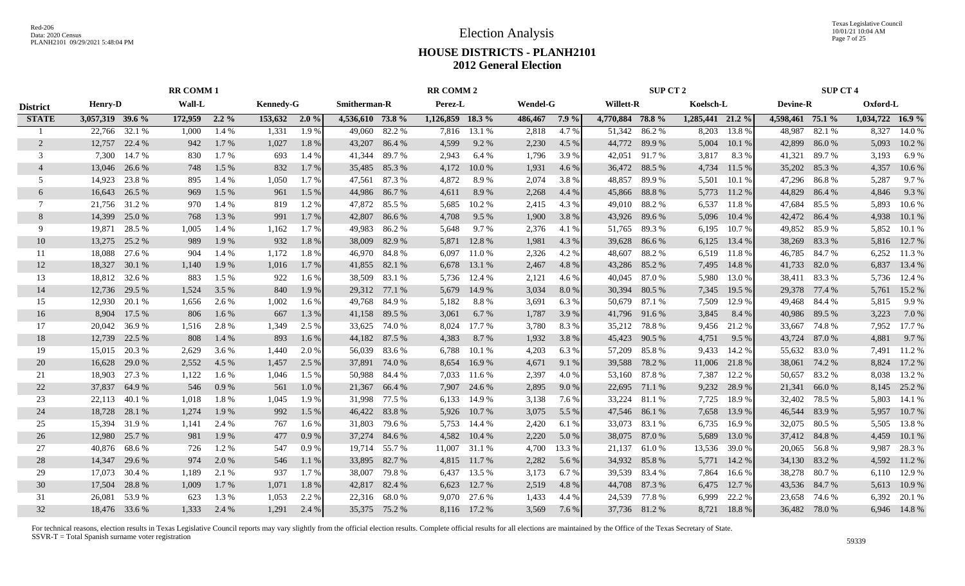Texas Legislative Council 10/01/21 10:04 AM Page 7 of 25

# **HOUSE DISTRICTS - PLANH2101 2012 General Election**

|                 | <b>RR COMM 1</b> |               |         |         |                  |         |                     |        | <b>RR COMM 2</b> |              |                 |        |                  | <b>SUP CT 2</b> |                  |        |                  | <b>SUP CT 4</b> |                  |             |
|-----------------|------------------|---------------|---------|---------|------------------|---------|---------------------|--------|------------------|--------------|-----------------|--------|------------------|-----------------|------------------|--------|------------------|-----------------|------------------|-------------|
| <b>District</b> | <b>Henry-D</b>   |               | Wall-L  |         | <b>Kennedy-G</b> |         | <b>Smitherman-R</b> |        | Perez-L          |              | <b>Wendel-G</b> |        | <b>Willett-R</b> |                 | Koelsch-L        |        | <b>Devine-R</b>  |                 | Oxford-L         |             |
| <b>STATE</b>    | 3,057,319 39.6 % |               | 172,959 | $2.2\%$ | 153,632 2.0 %    |         | 4,536,610 73.8 %    |        | 1,126,859 18.3 % |              | 486,467         | 7.9%   | 4,770,884 78.8 % |                 | 1,285,441 21.2 % |        | 4,598,461 75.1 % |                 | 1,034,722 16.9 % |             |
|                 | 22,766           | 32.1 %        | 1,000   | 1.4 %   | 1,331            | 1.9%    | 49,060              | 82.2 % | 7,816            | 13.1 %       | 2,818           | 4.7 %  | 51,342           | 86.2%           | 8,203            | 13.8%  | 48,987           | 82.1 %          | 8,327            | 14.0 %      |
| 2               | 12,757           | 22.4 %        | 942     | 1.7%    | 1,027            | 1.8%    | 43,207              | 86.4%  | 4,599            | 9.2 %        | 2,230           | 4.5 %  | 44,772           | 89.9%           | 5,004            | 10.1 % | 42,899           | 86.0%           | 5,093            | 10.2%       |
| 3               | 7,300            | 14.7 %        | 830     | 1.7%    | 693              | 1.4 %   | 41,344              | 89.7 % | 2,943            | 6.4 %        | 1,796           | 3.9%   | 42,051           | 91.7 %          | 3,817            | 8.3%   | 41,321           | 89.7%           | 3,193            | 6.9%        |
| $\overline{4}$  | 13,046           | 26.6 %        | 748     | 1.5 %   | 832              | 1.7 %   | 35,485              | 85.3%  | 4,172            | 10.0%        | 1,931           | 4.6 %  | 36,472           | 88.5 %          | 4,734            | 11.5 % | 35,202           | 85.3%           | 4,357            | 10.6%       |
| 5               | 14,923           | 23.8%         | 895     | 1.4 %   | 1,050            | 1.7%    | 47,561              | 87.3%  | 4,872            | 8.9%         | 2,074           | 3.8%   | 48,857           | 89.9%           | 5,501            | 10.1%  | 47,296           | 86.8 %          | 5,287            | 9.7%        |
| 6               | 16,643           | 26.5 %        | 969     | 1.5 %   | 961              | 1.5 %   | 44,986              | 86.7%  | 4,611            | 8.9%         | 2,268           | 4.4 %  | 45,866           | 88.8%           | 5,773            | 11.2%  | 44,829           | 86.4%           | 4,846            | 9.3%        |
| 7               |                  | 21,756 31.2 % | 970     | 1.4 %   | 819              | 1.2%    | 47,872              | 85.5 % | 5,685            | 10.2 %       | 2,415           | 4.3 %  | 49,010           | 88.2%           | 6,537            | 11.8%  | 47,684           | 85.5 %          | 5,893            | 10.6%       |
| 8               | 14,399           | 25.0 %        | 768     | 1.3%    | 991              | 1.7 %   | 42,807              | 86.6%  | 4,708            | 9.5 %        | 1,900           | 3.8 %  | 43,926           | 89.6%           | 5,096            | 10.4 % | 42,472           | 86.4%           | 4,938            | 10.1%       |
| 9               | 19,871           | 28.5 %        | 1,005   | 1.4 %   | 1,162            | 1.7 %   | 49,983              | 86.2%  | 5,648            | 9.7%         | 2,376           | 4.1 %  | 51,765           | 89.3%           | 6,195            | 10.7%  | 49,852           | 85.9%           | 5,852            | 10.1%       |
| 10              | 13,275           | 25.2 %        | 989     | 1.9%    | 932              | 1.8%    | 38,009              | 82.9%  | 5,871            | 12.8 %       | 1,981           | 4.3 %  | 39,628           | 86.6 %          | 6,125            | 13.4 % | 38,269           | 83.3 %          | 5,816            | 12.7 %      |
| 11              | 18,088           | 27.6 %        | 904     | 1.4 %   | 1,172            | 1.8%    | 46,970              | 84.8 % | 6,097            | 11.0%        | 2,326           | 4.2 %  | 48,607           | 88.2%           | 6,519            | 11.8 % | 46,785           | 84.7 %          | 6,252            | 11.3 %      |
| 12              | 18,327           | 30.1 %        | 1,140   | 1.9%    | 1,016            | 1.7 %   | 41,855 82.1 %       |        | 6,678            | 13.1 %       | 2,467           | 4.8%   | 43,286           | 85.2 %          | 7,495            | 14.8%  | 41,733           | 82.0%           | 6,837            | 13.4 %      |
| 13              | 18,812           | 32.6 %        | 883     | 1.5 %   | 922              | $1.6\%$ | 38,509              | 83.1 % | 5,736            | 12.4 %       | 2,121           | 4.6 %  | 40,045           | 87.0%           | 5,980            | 13.0 % | 38,411 83.3 %    |                 | 5,736            | 12.4 %      |
| 14              | 12,736           | 29.5 %        | 1,524   | 3.5 %   | 840              | 1.9%    | 29,312 77.1 %       |        | 5,679            | 14.9 %       | 3,034           | 8.0%   | 30,394           | 80.5 %          | 7,345            | 19.5 % | 29,378 77.4 %    |                 | 5,761            | 15.2 %      |
| 15              | 12,930           | 20.1 %        | 1,656   | 2.6 %   | 1,002            | 1.6 %   | 49,768 84.9 %       |        | 5,182            | 8.8%         | 3,691           | 6.3%   | 50,679           | 87.1 %          | 7,509            | 12.9%  | 49,468 84.4 %    |                 | 5,815            | 9.9%        |
| 16              | 8,904            | 17.5 %        | 806     | 1.6 %   | 667              | 1.3 %   | 41,158 89.5 %       |        | 3,061            | 6.7 %        | 1,787           | 3.9 %  |                  | 41,796 91.6 %   | 3,845            | 8.4 %  | 40,986 89.5 %    |                 | 3,223            | 7.0%        |
| 17              | 20,042           | 36.9%         | 1,516   | 2.8 %   | 1,349            | 2.5 %   | 33,625 74.0 %       |        | 8,024            | 17.7 %       | 3,780           | 8.3%   |                  | 35,212 78.8 %   | 9,456            | 21.2%  | 33,667           | 74.8 %          | 7,952            | 17.7 %      |
| 18              | 12,739           | 22.5 %        | 808     | 1.4 %   | 893              | 1.6 %   | 44,182 87.5 %       |        | 4,383            | 8.7 %        | 1,932           | 3.8 %  | 45,423           | 90.5 %          | 4,751            | 9.5 %  | 43,724           | 87.0%           | 4,881            | 9.7%        |
| 19              | 15,015           | 20.3 %        | 2,629   | 3.6 %   | 1,440            | 2.0%    | 56,039              | 83.6 % | 6,788            | 10.1%        | 4,203           | 6.3%   | 57,209           | 85.8%           | 9,433            | 14.2 % | 55,632           | 83.0%           | 7,491            | 11.2 %      |
| 20              | 16,628           | 29.0 %        | 2,552   | 4.5 %   | 1,457            | 2.5 %   | 37,891              | 74.0%  | 8,654            | 16.9%        | 4,671           | 9.1 %  | 39,588           | 78.2 %          | 11,006           | 21.8%  | 38,061           | 74.2 %          | 8,824            | 17.2 %      |
| 21              | 18,903           | 27.3 %        | 1,122   | 1.6 %   | 1,046            | 1.5 %   | 50,988              | 84.4 % | 7,033            | 11.6 %       | 2,397           | 4.0%   | 53,160           | 87.8%           | 7,387            | 12.2 % | 50,657           | 83.2%           | 8,038            | 13.2 %      |
| 22              | 37,837           | 64.9%         | 546     | 0.9%    | 561              | 1.0%    | 21,367              | 66.4 % | 7,907            | 24.6 %       | 2,895           | 9.0%   | 22,695           | 71.1 %          | 9,232            | 28.9%  | 21,341           | 66.0%           | 8,145            | 25.2 %      |
| 23              | 22,113           | 40.1 %        | 1,018   | 1.8%    | 1,045            | 1.9%    | 31,998              | 77.5 % | 6,133            | 14.9 %       | 3,138           | 7.6 %  | 33,224           | 81.1%           | 7,725            | 18.9%  | 32,402           | 78.5 %          | 5,803            | 14.1 %      |
| 24              | 18,728           | 28.1 %        | 1,274   | 1.9%    | 992              | 1.5 %   | 46,422 83.8 %       |        | 5,926            | 10.7%        | 3,075           | 5.5 %  | 47,546           | 86.1%           | 7,658            | 13.9%  | 46,544           | 83.9%           | 5,957            | 10.7%       |
| 25              | 15,394           | 31.9%         | 1,141   | 2.4 %   | 767              | 1.6 %   | 31,803              | 79.6 % | 5,753            | 14.4 %       | 2,420           | 6.1 %  | 33,073           | 83.1 %          | 6,735            | 16.9%  | 32,075           | 80.5 %          | 5,505            | 13.8 %      |
| 26              | 12,980           | 25.7 %        | 981     | 1.9%    | 477              | 0.9%    | 37,274              | 84.6 % | 4,582            | 10.4 %       | 2,220           | 5.0 %  | 38,075           | 87.0%           | 5,689            | 13.0 % | 37,412 84.8 %    |                 | 4,459            | 10.1 %      |
| 27              | 40,876           | 68.6%         | 726     | 1.2%    | 547              | 0.9%    | 19,714              | 55.7 % | 11,007           | 31.1 %       | 4,700           | 13.3 % | 21,137           | 61.0%           | 13,536           | 39.0%  | 20,065           | 56.8%           | 9,987            | 28.3%       |
| 28              | 14,347           | 29.6 %        | 974     | 2.0 %   | 546              | $1.1\%$ | 33,895              | 82.7 % | 4,815            | 11.7 %       | 2,282           | 5.6 %  | 34,932           | 85.8%           | 5,771            | 14.2 % | 34,130           | 83.2 %          | 4,592            | 11.2 %      |
| 29              | 17,073           | 30.4 %        | 1,189   | 2.1 %   | 937              | 1.7%    | 38,007              | 79.8%  | 6,437            | 13.5 %       | 3,173           | 6.7 %  | 39,539           | 83.4 %          | 7,864            | 16.6 % | 38,278 80.7 %    |                 | 6,110            | 12.9 %      |
| 30              | 17,504           | 28.8%         | 1,009   | 1.7%    | 1,071            | 1.8%    | 42,817              | 82.4 % | 6,623            | 12.7 %       | 2,519           | 4.8 %  | 44,708           | 87.3 %          | 6,475            | 12.7 % | 43,536           | 84.7%           | 5,613            | 10.9%       |
| 31              | 26,081           | 53.9%         | 623     | 1.3%    | 1,053            | 2.2 %   | 22,316 68.0 %       |        | 9,070            | 27.6 %       | 1,433           | 4.4 %  | 24,539           | 77.8%           | 6,999            | 22.2 % | 23,658           | 74.6 %          | 6,392            | 20.1 %      |
| 32              |                  | 18,476 33.6 % | 1.333   | 2.4 %   | 1,291            | 2.4 %   | 35,375 75.2 %       |        |                  | 8,116 17.2 % | 3,569           | 7.6 %  |                  | 37,736 81.2 %   | 8,721            | 18.8%  | 36,482 78.0 %    |                 |                  | 6,946 14.8% |
|                 |                  |               |         |         |                  |         |                     |        |                  |              |                 |        |                  |                 |                  |        |                  |                 |                  |             |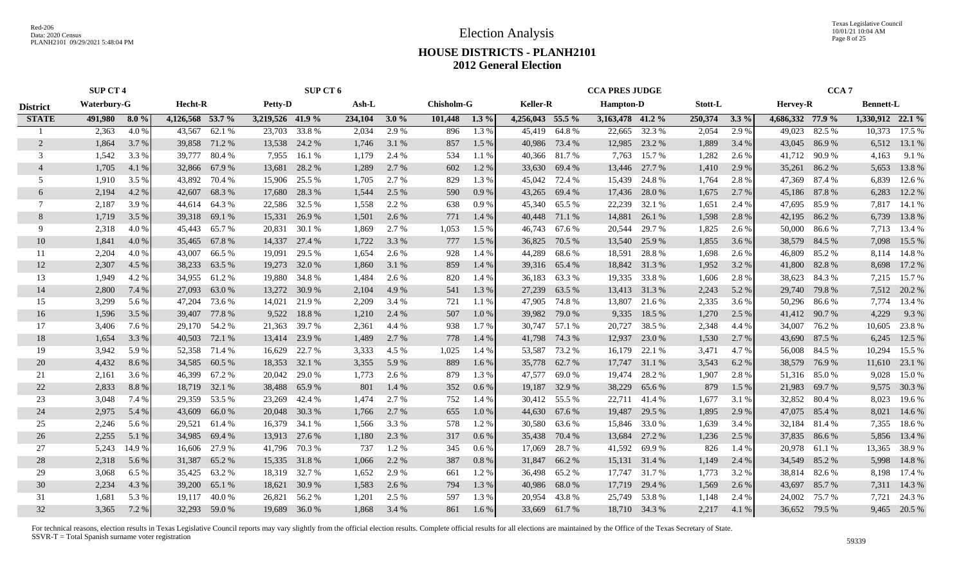Election Analysis

Texas Legislative Council 10/01/21 10:04 AM Page 8 of 25

#### **HOUSE DISTRICTS - PLANH2101 2012 General Election**

|                 | <b>SUP CT 4</b>    |         |                  |               | SUP CT 6         |               |         |         |                   |         |                  | <b>CCA PRES JUDGE</b> |                  |               |                |         | CCA <sub>7</sub> |               |                  |               |
|-----------------|--------------------|---------|------------------|---------------|------------------|---------------|---------|---------|-------------------|---------|------------------|-----------------------|------------------|---------------|----------------|---------|------------------|---------------|------------------|---------------|
| <b>District</b> | <b>Waterbury-G</b> |         | Hecht-R          |               | <b>Petty-D</b>   |               | Ash-L   |         | <b>Chisholm-G</b> |         | <b>Keller-R</b>  |                       | <b>Hampton-D</b> |               | <b>Stott-L</b> |         | <b>Hervey-R</b>  |               | <b>Bennett-L</b> |               |
| <b>STATE</b>    | 491,980            | $8.0\%$ | 4,126,568 53.7 % |               | 3,219,526 41.9 % |               | 234,104 | $3.0\%$ | 101,448           | $1.3\%$ | 4,256,043 55.5 % |                       | 3,163,478 41.2 % |               | 250,374        | $3.3\%$ | 4,686,332 77.9 % |               | 1,330,912 22.1 % |               |
|                 | 2,363              | 4.0%    | 43,567           | 62.1 %        | 23,703           | 33.8%         | 2,034   | 2.9 %   | 896               | 1.3 %   | 45,419           | 64.8%                 | 22,665           | 32.3 %        | 2,054          | 2.9 %   | 49,023           | 82.5 %        |                  | 10,373 17.5 % |
| 2               | 1,864              | 3.7 %   | 39,858           | 71.2 %        | 13,538           | 24.2 %        | 1,746   | 3.1 %   | 857               | $1.5\%$ | 40,986           | 73.4 %                | 12,985           | 23.2 %        | 1,889          | 3.4 %   | 43,045           | 86.9 %        | 6,512            | 13.1 %        |
| 3               | 1,542              | 3.3 %   | 39,777           | 80.4 %        | 7,955            | 16.1 %        | 1,179   | 2.4 %   | 534               | 1.1%    | 40,366           | 81.7%                 | 7,763            | 15.7 %        | 1,282          | 2.6 %   | 41,712           | 90.9 %        | 4,163            | 9.1 %         |
| $\overline{4}$  | 1,705              | 4.1 %   | 32,866           | 67.9 %        | 13,681           | 28.2 %        | 1,289   | 2.7 %   | 602               | 1.2%    | 33,630           | 69.4 %                | 13,446           | 27.7 %        | 1,410          | 2.9 %   | 35,261           | 86.2%         | 5,653            | 13.8%         |
| 5               | 1,910              | 3.5 %   | 43,892           | 70.4 %        | 15,906           | 25.5 %        | 1,705   | 2.7 %   | 829               | 1.3%    | 45,042           | 72.4 %                | 15,439           | 24.8%         | 1,764          | 2.8%    | 47,369           | 87.4 %        | 6,839            | 12.6 %        |
| 6               | 2,194              | 4.2 %   | 42,607           | 68.3%         | 17,680           | 28.3 %        | 1,544   | 2.5 %   | 590               | 0.9%    | 43,265           | 69.4 %                | 17,436           | 28.0%         | 1,675          | 2.7 %   | 45,186 87.8 %    |               | 6,283            | 12.2 %        |
| 7               | 2,187              | 3.9%    | 44,614           | 64.3%         | 22,586           | 32.5 %        | 1,558   | 2.2 %   | 638               | 0.9%    | 45,340           | 65.5 %                | 22,239           | 32.1 %        | 1,651          | 2.4 %   | 47,695           | 85.9%         |                  | 7,817 14.1 %  |
| 8               | 1,719              | 3.5 %   | 39,318           | 69.1 %        | 15,331           | 26.9 %        | 1,501   | 2.6 %   | 771               | 1.4 %   | 40,448           | 71.1 %                | 14,881           | 26.1 %        | 1,598          | 2.8%    | 42,195           | 86.2%         | 6,739            | 13.8 %        |
| 9               | 2,318              | 4.0%    | 45,443           | 65.7 %        | 20,831           | 30.1 %        | 1,869   | 2.7 %   | 1,053             | 1.5 %   | 46,743           | 67.6 %                | 20,544           | 29.7 %        | 1,825          | 2.6 %   | 50,000           | 86.6%         | 7,713            | 13.4 %        |
| 10              | 1,841              | 4.0 %   | 35,465           | 67.8%         | 14,337           | 27.4 %        | 1,722   | 3.3 %   | 777               | 1.5 %   | 36,825           | 70.5 %                | 13,540           | 25.9 %        | 1,855          | 3.6 %   | 38,579           | 84.5 %        | 7,098            | 15.5 %        |
| 11              | 2,204              | 4.0%    | 43,007           | 66.5%         | 19.091           | 29.5 %        | 1,654   | 2.6 %   | 928               | $1.4\%$ | 44,289           | 68.6%                 | 18,591           | 28.8%         | 1,698          | 2.6 %   | 46,809           | 85.2 %        | 8,114            | 14.8 %        |
| 12              | 2,307              | 4.5 %   | 38,233           | 63.5 %        | 19,273           | 32.0 %        | 1,860   | 3.1 %   | 859               | 1.4 %   | 39,316           | 65.4 %                | 18,842           | 31.3 %        | 1,952          | 3.2 %   | 41,800 82.8%     |               | 8,698            | 17.2 %        |
| 13              | 1,949              | 4.2 %   | 34,955           | 61.2%         | 19,880           | 34.8%         | 1,484   | 2.6 %   | 820               | 1.4 %   | 36,183           | 63.3%                 |                  | 19,335 33.8 % | 1,606          | 2.8%    | 38,623           | 84.3 %        |                  | 7,215 15.7 %  |
| 14              | 2,800              | 7.4 %   | 27,093           | 63.0 %        | 13,272           | 30.9 %        | 2,104   | 4.9%    | 541               | 1.3 %   | 27,239           | 63.5 %                |                  | 13,413 31.3 % | 2,243          | 5.2 %   | 29,740 79.8 %    |               |                  | 7,512 20.2 %  |
| 15              | 3,299              | 5.6 %   | 47,204           | 73.6 %        | 14,021           | 21.9 %        | 2,209   | 3.4 %   | 721               | 1.1%    | 47,905           | 74.8%                 | 13,807           | 21.6 %        | 2,335          | 3.6 %   |                  | 50,296 86.6 % | 7,774            | 13.4 %        |
| 16              | 1,596              | 3.5 %   | 39,407           | 77.8 %        | 9,522            | 18.8%         | 1,210   | 2.4 %   | 507               | 1.0%    | 39,982           | 79.0 %                | 9,335            | 18.5 %        | 1,270          | 2.5 %   | 41,412 90.7 %    |               | 4,229            | 9.3%          |
| 17              | 3,406              | 7.6 %   |                  | 29,170 54.2 % | 21,363           | 39.7 %        | 2,361   | 4.4 %   | 938               | 1.7 %   | 30,747           | 57.1 %                | 20,727           | 38.5 %        | 2,348          | 4.4 %   | 34,007           | 76.2 %        | 10,605           | 23.8%         |
| 18              | 1,654              | 3.3 %   | 40,503           | 72.1 %        | 13,414           | 23.9 %        | 1,489   | 2.7 %   | 778               | 1.4 %   | 41,798           | 74.3 %                | 12,937           | 23.0 %        | 1,530          | 2.7 %   | 43,690           | 87.5 %        | 6,245            | 12.5 %        |
| 19              | 3,942              | 5.9%    | 52,358           | 71.4 %        | 16,629           | 22.7 %        | 3,333   | 4.5 %   | 1,025             | 1.4%    | 53,587           | 73.2 %                | 16,179           | 22.1 %        | 3,471          | 4.7 %   | 56,008           | 84.5 %        | 10,294           | 15.5 %        |
| 20              | 4,432              | 8.6 %   | 34,585           | 60.5 %        | 18,353           | 32.1 %        | 3,355   | 5.9 %   | 889               | $1.6\%$ | 35,778           | 62.7 %                | 17,747           | 31.1 %        | 3,543          | 6.2 %   | 38,579           | 76.9 %        | 11,610           | 23.1 %        |
| 21              | 2,161              | 3.6 %   | 46,399           | 67.2 %        | 20,042           | 29.0 %        | 1,773   | 2.6 %   | 879               | 1.3%    | 47,577           | 69.0%                 | 19,474           | 28.2 %        | 1,907          | 2.8%    | 51,316 85.0 %    |               | 9,028            | 15.0 %        |
| 22              | 2,833              | 8.8%    | 18,719           | 32.1 %        | 38,488           | 65.9%         | 801     | 1.4 %   | 352               | 0.6 %   | 19,187           | 32.9 %                | 38,229           | 65.6 %        | 879            | 1.5 %   | 21,983           | 69.7%         | 9,575            | 30.3 %        |
| 23              | 3,048              | 7.4 %   | 29,359           | 53.5 %        | 23,269           | 42.4 %        | 1,474   | 2.7 %   | 752               | 1.4 %   | 30,412           | 55.5 %                | 22,711           | 41.4 %        | 1,677          | 3.1 %   | 32,852           | 80.4 %        | 8,023            | 19.6 %        |
| 24              | 2,975              | 5.4 %   | 43,609           | 66.0%         | 20,048           | 30.3 %        | 1,766   | 2.7 %   | 655               | 1.0%    | 44,630           | 67.6 %                | 19,487           | 29.5 %        | 1,895          | 2.9 %   | 47,075           | 85.4 %        | 8,021            | 14.6 %        |
| 25              | 2,246              | 5.6 %   | 29,521           | 61.4 %        | 16,379           | 34.1 %        | 1,566   | 3.3 %   | 578               | 1.2%    | 30,580           | 63.6 %                | 15,846           | 33.0 %        | 1,639          | 3.4 %   | 32,184           | 81.4 %        | 7,355            | 18.6%         |
| 26              | 2,255              | 5.1 %   | 34,985           | 69.4 %        | 13,913           | 27.6 %        | 1,180   | 2.3 %   | 317               | $0.6\%$ | 35,438           | 70.4 %                | 13,684           | 27.2 %        | 1,236          | 2.5 %   | 37,835           | 86.6 %        | 5,856            | 13.4 %        |
| 27              | 5,243              | 14.9 %  | 16,606           | 27.9 %        | 41,796           | 70.3 %        | 737     | 1.2 %   | 345               | $0.6\%$ | 17,069           | 28.7 %                | 41,592           | 69.9 %        | 826            | 1.4 %   | 20,978           | 61.1 %        | 13,365           | 38.9%         |
| 28              | 2,318              | 5.6 %   | 31,387           | 65.2 %        | 15,335           | 31.8%         | 1,066   | 2.2 %   | 387               | 0.8%    | 31,847           | 66.2%                 | 15,131           | 31.4 %        | 1,149          | 2.4 %   | 34,549 85.2 %    |               | 5,998            | 14.8%         |
| 29              | 3,068              | 6.5 %   | 35,425           | 63.2 %        | 18,319           | 32.7 %        | 1,652   | 2.9 %   | 661               | $1.2\%$ | 36,498           | 65.2%                 |                  | 17,747 31.7 % | 1,773          | 3.2 %   |                  | 38,814 82.6 % | 8,198            | 17.4 %        |
| 30              | 2,234              | 4.3 %   | 39,200           | 65.1 %        | 18,621           | 30.9 %        | 1,583   | 2.6 %   | 794               | 1.3 %   | 40,986           | 68.0%                 | 17,719           | 29.4 %        | 1,569          | 2.6 %   | 43,697           | 85.7 %        | 7,311            | 14.3 %        |
| 31              | 1,681              | 5.3 %   | 19.117           | 40.0%         |                  | 26,821 56.2 % | 1,201   | 2.5 %   | 597               | 1.3%    | 20,954           | 43.8%                 | 25,749           | 53.8%         | 1,148          | 2.4 %   | 24,002           | 75.7 %        | 7.721            | 24.3 %        |
| 32              | 3,365              | 7.2 %   |                  | 32,293 59.0 % |                  | 19,689 36.0 % | 1,868   | 3.4 %   | 861               | 1.6 %   |                  | 33,669 61.7 %         |                  | 18,710 34.3 % | 2,217          | 4.1 %   |                  | 36,652 79.5 % |                  | 9,465 20.5 %  |
|                 |                    |         |                  |               |                  |               |         |         |                   |         |                  |                       |                  |               |                |         |                  |               |                  |               |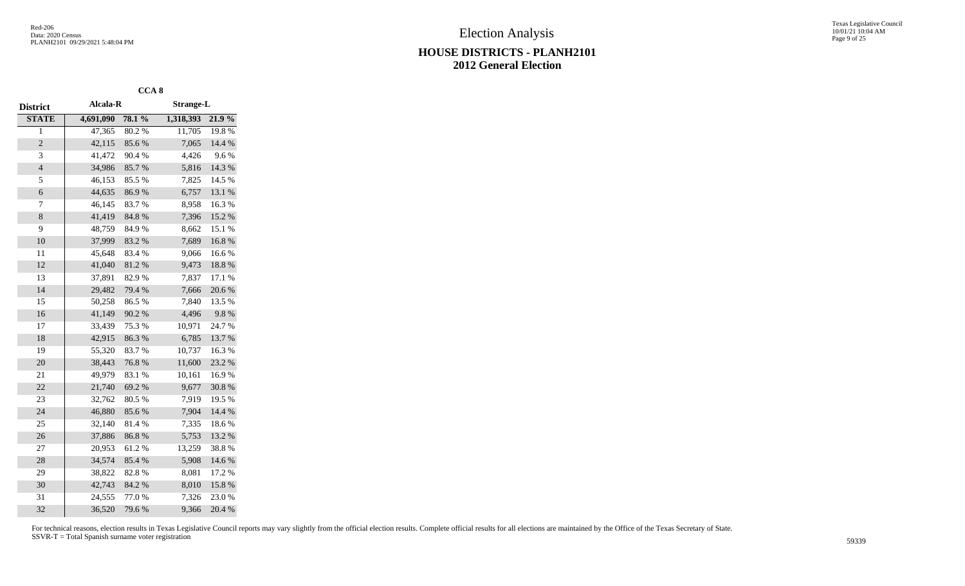|                |           | CCA <sub>8</sub> |                  |        |
|----------------|-----------|------------------|------------------|--------|
| District       | Alcala-R  |                  | <b>Strange-L</b> |        |
| <b>STATE</b>   | 4,691,090 | 78.1 %           | 1,318,393        | 21.9%  |
| 1              | 47,365    | 80.2%            | 11,705           | 19.8%  |
| $\overline{c}$ | 42,115    | 85.6%            | 7,065            | 14.4 % |
| 3              | 41,472    | 90.4%            | 4,426            | 9.6%   |
| $\overline{4}$ | 34,986    | 85.7%            | 5,816            | 14.3 % |
| 5              | 46,153    | 85.5%            | 7,825            | 14.5 % |
| 6              | 44,635    | 86.9%            | 6,757            | 13.1 % |
| 7              | 46,145    | 83.7%            | 8,958            | 16.3%  |
| 8              | 41,419    | 84.8 %           | 7,396            | 15.2 % |
| 9              | 48,759    | 84.9%            | 8,662            | 15.1 % |
| 10             | 37,999    | 83.2%            | 7,689            | 16.8%  |
| 11             | 45,648    | 83.4%            | 9,066            | 16.6%  |
| 12             | 41,040    | 81.2%            | 9,473            | 18.8%  |
| 13             | 37,891    | 82.9%            | 7,837            | 17.1 % |
| 14             | 29,482    | 79.4 %           | 7,666            | 20.6%  |
| 15             | 50,258    | 86.5%            | 7,840            | 13.5 % |
| 16             | 41,149    | 90.2%            | 4,496            | 9.8%   |
| 17             | 33,439    | 75.3 %           | 10,971           | 24.7 % |
| 18             | 42,915    | 86.3%            | 6,785            | 13.7%  |
| 19             | 55,320    | 83.7%            | 10,737           | 16.3%  |
| 20             | 38,443    | 76.8%            | 11,600           | 23.2 % |
| 21             | 49,979    | 83.1 %           | 10,161           | 16.9%  |
| 22             | 21,740    | 69.2%            | 9,677            | 30.8%  |
| 23             | 32,762    | 80.5%            | 7,919            | 19.5 % |
| 24             | 46,880    | 85.6%            | 7,904            | 14.4 % |
| 25             | 32,140    | 81.4%            | 7,335            | 18.6%  |
| 26             | 37,886    | 86.8%            | 5,753            | 13.2 % |
| 27             | 20,953    | 61.2%            | 13,259           | 38.8%  |
| 28             | 34,574    | 85.4%            | 5,908            | 14.6%  |
| 29             | 38,822    | 82.8%            | 8,081            | 17.2 % |
| 30             | 42,743    | 84.2 %           | 8,010            | 15.8%  |
| 31             | 24,555    | 77.0%            | 7,326            | 23.0%  |
| 32             | 36,520    | 79.6%            | 9,366            | 20.4 % |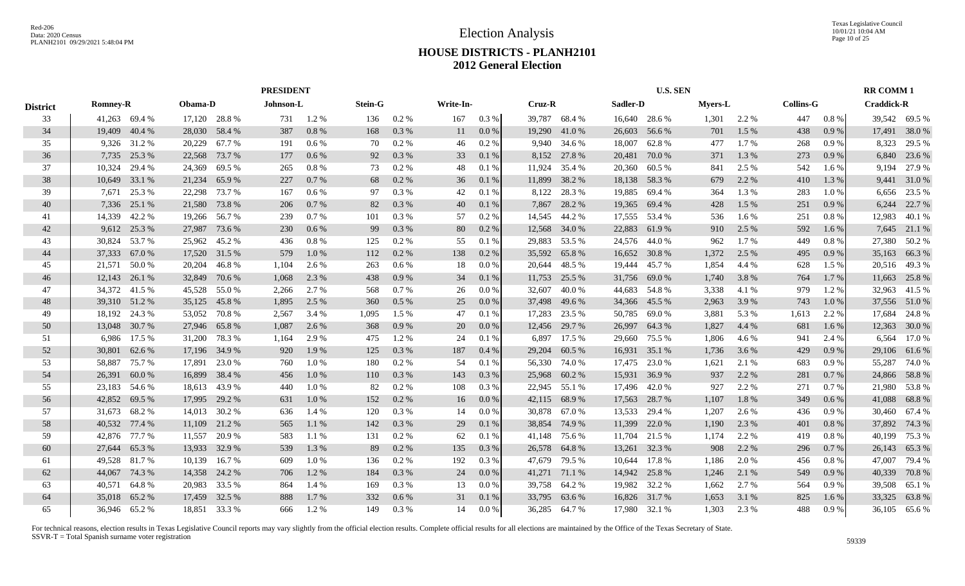Texas Legislative Council 10/01/21 10:04 AM Page 10 of 25

# **HOUSE DISTRICTS - PLANH2101 2012 General Election**

|                 |                 |        | <b>PRESIDENT</b> |               |           |         |                |         |           |         |               | <b>U.S. SEN</b> |          |               |                |       | <b>RR COMM1</b>  |          |                   |               |
|-----------------|-----------------|--------|------------------|---------------|-----------|---------|----------------|---------|-----------|---------|---------------|-----------------|----------|---------------|----------------|-------|------------------|----------|-------------------|---------------|
| <b>District</b> | <b>Romney-R</b> |        | Obama-D          |               | Johnson-L |         | <b>Stein-G</b> |         | Write-In- |         | Cruz-R        |                 | Sadler-D |               | <b>Myers-L</b> |       | <b>Collins-G</b> |          | <b>Craddick-R</b> |               |
| 33              | 41,263 69.4 %   |        |                  | 17,120 28.8 % | 731       | 1.2%    | 136            | 0.2 %   | 167       | 0.3 %   | 39,787        | 68.4%           |          | 16,640 28.6 % | 1,301          | 2.2 % | 447              | $0.8 \%$ |                   | 39,542 69.5 % |
| 34              | 19,409          | 40.4 % | 28,030           | 58.4 %        | 387       | 0.8%    | 168            | 0.3 %   | 11        | 0.0 %   | 19,290        | 41.0%           | 26,603   | 56.6 %        | 701            | 1.5 % | 438              | 0.9%     | 17,491            | 38.0%         |
| 35              | 9,326           | 31.2 % | 20,229           | 67.7 %        | 191       | $0.6\%$ | 70             | 0.2 %   | 46        | 0.2 %   | 9,940         | 34.6 %          | 18,007   | 62.8%         | 477            | 1.7%  | 268              | 0.9%     | 8,323             | 29.5 %        |
| 36              | 7,735           | 25.3 % | 22,568           | 73.7 %        | 177       | 0.6 %   | 92             | 0.3 %   | 33        | 0.1%    | 8,152         | 27.8 %          | 20,481   | 70.0%         | 371            | 1.3 % | 273              | 0.9%     | 6,840             | 23.6 %        |
| 37              | 10,324          | 29.4 % | 24,369           | 69.5 %        | 265       | 0.8 %   | 73             | 0.2 %   | 48        | 0.1%    | 11,924        | 35.4 %          | 20,360   | 60.5 %        | 841            | 2.5 % | 542              | 1.6 %    | 9,194             | 27.9 %        |
| 38              | 10,649          | 33.1 % | 21,234           | 65.9%         | 227       | 0.7%    | 68             | 0.2 %   | 36        | 0.1%    | 11,899        | 38.2 %          | 18,138   | 58.3%         | 679            | 2.2 % | 410              | 1.3%     |                   | 9,441 31.0 %  |
| 39              | 7,671           | 25.3 % | 22,298           | 73.7 %        | 167       | $0.6\%$ | 97             | 0.3 %   | 42        | 0.1%    | 8,122         | 28.3 %          | 19,885   | 69.4 %        | 364            | 1.3%  | 283              | 1.0%     | 6,656             | 23.5 %        |
| 40              | 7,336           | 25.1 % | 21,580           | 73.8%         | 206       | 0.7%    | 82             | 0.3 %   | 40        | 0.1%    | 7,867         | 28.2 %          | 19,365   | 69.4 %        | 428            | 1.5 % | 251              | 0.9%     | 6,244             | 22.7 %        |
| 41              | 14,339          | 42.2 % | 19,266           | 56.7 %        | 239       | 0.7%    | 101            | 0.3 %   | 57        | 0.2 %   | 14,545        | 44.2 %          | 17,555   | 53.4 %        | 536            | 1.6 % | 251              | 0.8%     | 12,983            | 40.1 %        |
| 42              | 9,612           | 25.3 % | 27,987           | 73.6 %        | 230       | 0.6%    | 99             | 0.3%    | 80        | 0.2 %   | 12,568        | 34.0 %          | 22,883   | 61.9%         | 910            | 2.5 % | 592              | 1.6 %    |                   | 7,645 21.1 %  |
| 43              | 30,824          | 53.7%  | 25,962           | 45.2 %        | 436       | 0.8 %   | 125            | 0.2%    | 55        | 0.1%    | 29,883        | 53.5 %          | 24,576   | 44.0 %        | 962            | 1.7%  | 449              | 0.8 %    | 27,380            | 50.2%         |
| 44              | 37,333          | 67.0 % | 17,520           | 31.5 %        | 579       | 1.0%    | 112            | $0.2\%$ | 138       | 0.2 %   | 35,592        | 65.8%           | 16,652   | 30.8%         | 1,372          | 2.5 % | 495              | 0.9%     | 35,163            | 66.3%         |
| 45              | 21,571          | 50.0%  | 20,204           | 46.8%         | 1,104     | 2.6 %   | 263            | $0.6\%$ | 18        | 0.0 %   | 20,644        | 48.5 %          | 19,444   | 45.7 %        | 1,854          | 4.4 % | 628              | 1.5 %    |                   | 20,516 49.3 % |
| 46              | 12,143          | 26.1 % | 32,849           | 70.6 %        | 1,068     | 2.3 %   | 438            | 0.9%    | 34        | 0.1%    | 11,753        | 25.5 %          | 31,756   | 69.0%         | 1,740          | 3.8 % | 764              | 1.7%     | 11,663            | 25.8%         |
| 47              | 34,372 41.5 %   |        | 45,528           | 55.0 %        | 2,266     | 2.7 %   | 568            | 0.7%    | 26        | $0.0\%$ | 32,607        | 40.0%           | 44,683   | 54.8 %        | 3,338          | 4.1 % | 979              | 1.2 %    |                   | 32,963 41.5 % |
| 48              | 39,310 51.2 %   |        | 35,125           | 45.8%         | 1,895     | 2.5 %   | 360            | $0.5\%$ | 25        | 0.0 %   | 37,498 49.6 % |                 |          | 34,366 45.5 % | 2,963          | 3.9 % | 743              | 1.0%     |                   | 37,556 51.0 % |
| 49              | 18,192          | 24.3 % | 53,052           | 70.8%         | 2,567     | 3.4 %   | 1,095          | $1.5\%$ | 47        | 0.1%    | 17,283        | 23.5 %          | 50,785   | 69.0 %        | 3,881          | 5.3 % | 1,613            | 2.2 %    | 17,684            | 24.8%         |
| 50              | 13,048          | 30.7 % | 27,946           | 65.8%         | 1,087     | 2.6 %   | 368            | 0.9%    | 20        | 0.0 %   | 12,456        | 29.7 %          | 26,997   | 64.3%         | 1,827          | 4.4 % | 681              | 1.6 %    | 12,363            | 30.0 %        |
| 51              | 6,986           | 17.5 % | 31,200           | 78.3%         | 1,164     | 2.9 %   | 475            | 1.2%    | 24        | 0.1%    | 6,897         | 17.5 %          | 29,660   | 75.5 %        | 1,806          | 4.6 % | 941              | 2.4 %    | 6,564             | 17.0 %        |
| 52              | 30,801          | 62.6 % | 17,196           | 34.9 %        | 920       | 1.9%    | 125            | 0.3 %   | 187       | 0.4%    | 29,204        | 60.5 %          | 16,931   | 35.1 %        | 1,736          | 3.6 % | 429              | 0.9%     |                   | 29,106 61.6 % |
| 53              | 58,887          | 75.7%  | 17,891           | 23.0 %        | 760       | 1.0%    | 180            | 0.2 %   | 54        | 0.1%    | 56,330        | 74.0%           | 17,475   | 23.0 %        | 1,621          | 2.1 % | 683              | 0.9%     | 55,287            | 74.0%         |
| 54              | 26,391          | 60.0%  | 16,899           | 38.4 %        | 456       | 1.0%    | 110            | 0.3 %   | 143       | 0.3 %   | 25,968        | 60.2%           | 15,931   | 36.9%         | 937            | 2.2 % | 281              | 0.7%     | 24,866            | 58.8%         |
| 55              | 23,183          | 54.6 % | 18,613           | 43.9%         | 440       | 1.0%    | 82             | 0.2%    | 108       | 0.3 %   | 22,945        | 55.1 %          | 17,496   | 42.0 %        | 927            | 2.2 % | 271              | 0.7%     | 21,980            | 53.8%         |
| 56              | 42,852          | 69.5 % | 17,995           | 29.2 %        | 631       | 1.0%    | 152            | 0.2 %   | 16        | 0.0 %   | 42,115        | 68.9%           | 17,563   | 28.7 %        | 1,107          | 1.8 % | 349              | $0.6\%$  |                   | 41,088 68.8%  |
| 57              | 31,673 68.2 %   |        | 14,013           | 30.2 %        | 636       | 1.4 %   | 120            | 0.3%    | 14        | 0.0 %   | 30,878        | 67.0 %          | 13,533   | 29.4 %        | 1,207          | 2.6 % | 436              | 0.9%     | 30,460            | 67.4 %        |
| 58              | 40,532          | 77.4 % | 11,109           | 21.2 %        | 565       | 1.1%    | 142            | 0.3 %   | 29        | 0.1%    | 38,854        | 74.9 %          | 11,399   | 22.0 %        | 1,190          | 2.3 % | 401              | 0.8%     | 37,892            | 74.3 %        |
| 59              | 42,876          | 77.7 % | 11,557           | 20.9%         | 583       | 1.1 %   | 131            | 0.2%    | 62        | 0.1%    | 41,148        | 75.6 %          | 11,704   | 21.5 %        | 1,174          | 2.2 % | 419              | 0.8%     | 40,199            | 75.3 %        |
| 60              | 27,644          | 65.3%  | 13,933           | 32.9 %        | 539       | 1.3%    | 89             | 0.2 %   | 135       | $0.3\%$ | 26,578        | 64.8%           | 13,261   | 32.3 %        | 908            | 2.2 % | 296              | 0.7%     |                   | 26,143 65.3 % |
| 61              | 49,528 81.7 %   |        | 10,139           | 16.7 %        | 609       | 1.0%    | 136            | 0.2 %   | 192       | 0.3 %   | 47,679        | 79.5 %          | 10,644   | 17.8%         | 1,186          | 2.0 % | 456              | 0.8 %    | 47,007            | 79.4 %        |
| 62              | 44,067          | 74.3 % | 14,358           | 24.2 %        | 706       | 1.2%    | 184            | 0.3%    | 24        | 0.0 %   | 41,271        | 71.1 %          | 14,942   | 25.8%         | 1,246          | 2.1 % | 549              | 0.9%     | 40,339            | 70.8%         |
| 63              | 40,571          | 64.8%  | 20,983           | 33.5 %        | 864       | 1.4 %   | 169            | 0.3%    | 13        | 0.0 %   | 39,758        | 64.2 %          | 19,982   | 32.2 %        | 1,662          | 2.7 % | 564              | 0.9%     | 39,508            | 65.1 %        |
| 64              | 35,018          | 65.2%  | 17,459           | 32.5 %        | 888       | 1.7 %   | 332            | 0.6%    | 31        | 0.1%    | 33,795        | 63.6 %          |          | 16,826 31.7 % | 1,653          | 3.1 % | 825              | 1.6 %    | 33,325            | 63.8%         |
| 65              | 36,946 65.2 %   |        |                  | 18,851 33.3 % | 666       | 1.2%    | 149            | $0.3\%$ | 14        | 0.0 %   |               | 36,285 64.7 %   |          | 17,980 32.1 % | 1,303          | 2.3 % | 488              | 0.9%     |                   | 36,105 65.6 % |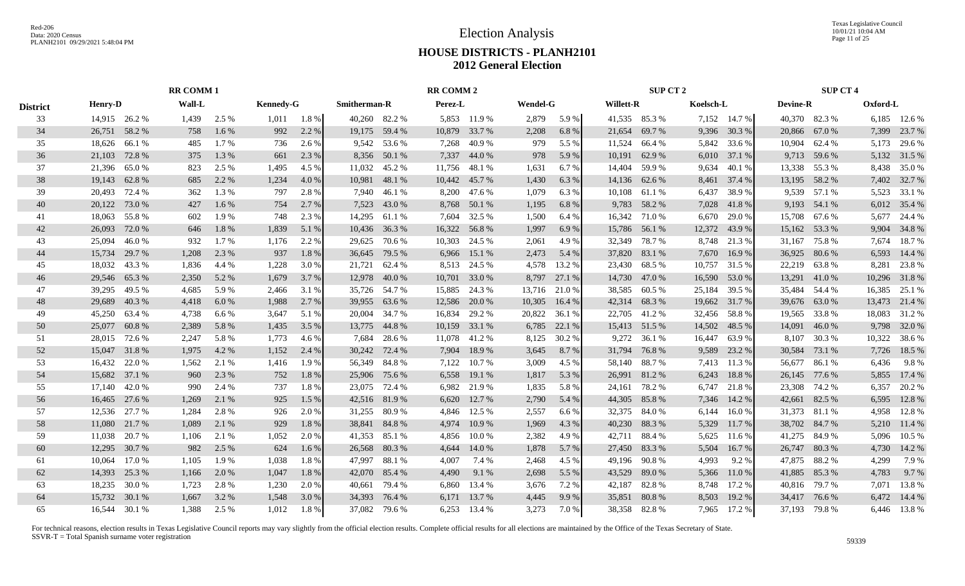Texas Legislative Council 10/01/21 10:04 AM Page 11 of 25

# **HOUSE DISTRICTS - PLANH2101 2012 General Election**

|                 | <b>RR COMM1</b> |               |        |         |                  |       |               |              | <b>RR COMM 2</b> |               |                 |        |                  | SUP CT 2      |           |              |                 | <b>SUP CT 4</b> |          |               |
|-----------------|-----------------|---------------|--------|---------|------------------|-------|---------------|--------------|------------------|---------------|-----------------|--------|------------------|---------------|-----------|--------------|-----------------|-----------------|----------|---------------|
| <b>District</b> | <b>Henry-D</b>  |               | Wall-L |         | <b>Kennedy-G</b> |       | Smitherman-R  |              | Perez-L          |               | <b>Wendel-G</b> |        | <b>Willett-R</b> |               | Koelsch-L |              | <b>Devine-R</b> |                 | Oxford-L |               |
| 33              |                 | 14,915 26.2 % | 1,439  | 2.5 %   | 1,011            | 1.8 % | 40,260 82.2 % |              |                  | 5,853 11.9 %  | 2,879           | 5.9 %  |                  | 41,535 85.3 % |           | 7,152 14.7 % |                 | 40,370 82.3 %   |          | 6,185 12.6 %  |
| 34              | 26,751 58.2 %   |               | 758    | $1.6\%$ | 992              | 2.2 % | 19,175 59.4 % |              | 10,879           | 33.7 %        | 2,208           | 6.8%   | 21,654           | 69.7 %        | 9,396     | 30.3 %       |                 | 20,866 67.0 %   | 7,399    | 23.7 %        |
| 35              | 18,626 66.1 %   |               | 485    | $1.7\%$ | 736              | 2.6 % |               | 9,542 53.6 % | 7,268            | 40.9 %        | 979             | 5.5 %  | 11,524           | 66.4 %        |           | 5,842 33.6 % |                 | 10,904 62.4 %   | 5,173    | 29.6 %        |
| 36              | 21,103          | 72.8%         | 375    | 1.3 %   | 661              | 2.3 % |               | 8,356 50.1 % | 7,337            | 44.0 %        | 978             | 5.9 %  | 10,191           | 62.9%         |           | 6,010 37.1 % |                 | 9,713 59.6 %    |          | 5,132 31.5 %  |
| 37              |                 | 21,396 65.0 % | 823    | 2.5 %   | 1,495            | 4.5 % | 11,032        | 45.2 %       | 11,756           | 48.1 %        | 1,631           | 6.7 %  | 14,404           | 59.9 %        | 9,634     | 40.1 %       |                 | 13,338 55.3 %   | 8,438    | 35.0%         |
| 38              | 19,143          | 62.8%         | 685    | 2.2 %   | 1,234            | 4.0%  | 10,981        | 48.1 %       |                  | 10,442 45.7 % | 1,430           | 6.3%   |                  | 14,136 62.6 % | 8,461     | 37.4 %       |                 | 13,195 58.2 %   |          | 7,402 32.7 %  |
| 39              |                 | 20,493 72.4 % | 362    | 1.3 %   | 797              | 2.8%  | 7,940         | 46.1 %       | 8,200            | 47.6 %        | 1,079           | 6.3%   | 10,108           | 61.1 %        | 6,437     | 38.9%        |                 | 9,539 57.1 %    |          | 5,523 33.1 %  |
| 40              | 20,122          | 73.0%         | 427    | $1.6\%$ | 754              | 2.7 % | 7,523         | 43.0 %       | 8,768            | 50.1 %        | 1,195           | 6.8%   | 9,783            | 58.2 %        | 7,028     | 41.8%        |                 | 9,193 54.1 %    |          | 6,012 35.4 %  |
| 41              | 18,063          | 55.8%         | 602    | 1.9 %   | 748              | 2.3 % | 14,295        | 61.1 %       | 7,604            | 32.5 %        | 1,500           | 6.4 %  | 16,342           | 71.0 %        | 6,670     | 29.0%        | 15,708          | 67.6 %          | 5,677    | 24.4 %        |
| 42              | 26,093          | 72.0 %        | 646    | 1.8%    | 1,839            | 5.1 % | 10,436        | 36.3 %       |                  | 16,322 56.8 % | 1,997           | 6.9%   | 15,786           | 56.1 %        | 12,372    | 43.9%        | 15,162          | 53.3 %          | 9,904    | 34.8%         |
| 43              | 25,094          | 46.0%         | 932    | 1.7 %   | 1,176            | 2.2 % | 29,625        | 70.6 %       | 10,303           | 24.5 %        | 2,061           | 4.9%   | 32,349           | 78.7 %        | 8,748     | 21.3 %       | 31,167          | 75.8 %          | 7,674    | 18.7%         |
| 44              | 15,734          | 29.7 %        | 1,208  | 2.3 %   | 937              | 1.8%  | 36,645 79.5 % |              |                  | 6,966 15.1 %  | 2,473           | 5.4 %  |                  | 37,820 83.1 % | 7,670     | 16.9%        | 36,925          | 80.6 %          | 6,593    | 14.4 %        |
| 45              | 18,032          | 43.3 %        | 1,836  | 4.4 %   | 1,228            | 3.0 % | 21,721        | 62.4 %       |                  | 8,513 24.5 %  | 4,578           | 13.2 % |                  | 23,430 68.5 % | 10,757    | 31.5 %       |                 | 22,219 63.8 %   | 8,281    | 23.8%         |
| 46              | 29,546          | 65.3%         | 2,350  | 5.2 %   | 1,679            | 3.7 % | 12,978        | 40.0%        |                  | 10,701 33.0 % | 8,797           | 27.1 % |                  | 14,730 47.0 % | 16,590    | 53.0%        |                 | 13,291 41.0 %   |          | 10,296 31.8%  |
| 47              |                 | 39,295 49.5 % | 4,685  | 5.9%    | 2,466            | 3.1 % | 35,726 54.7 % |              |                  | 15,885 24.3 % | 13,716 21.0 %   |        |                  | 38,585 60.5%  | 25,184    | 39.5 %       |                 | 35,484 54.4 %   |          | 16,385 25.1 % |
| 48              |                 | 29,689 40.3 % | 4,418  | 6.0 %   | 1,988            | 2.7%  | 39,955        | 63.6 %       |                  | 12,586 20.0 % | 10,305          | 16.4 % |                  | 42,314 68.3 % | 19,662    | 31.7%        |                 | 39,676 63.0 %   |          | 13,473 21.4 % |
| 49              | 45,250          | 63.4 %        | 4,738  | 6.6 %   | 3,647            | 5.1 % | 20,004        | 34.7 %       | 16,834           | 29.2 %        | 20,822          | 36.1 % |                  | 22,705 41.2 % | 32,456    | 58.8%        | 19,565          | 33.8%           | 18,083   | 31.2%         |
| 50              | 25,077          | 60.8%         | 2,389  | 5.8 %   | 1,435            | 3.5 % | 13,775        | 44.8%        | 10,159           | 33.1 %        | 6,785           | 22.1 % |                  | 15,413 51.5 % | 14,502    | 48.5 %       | 14,091          | 46.0%           | 9,798    | 32.0%         |
| 51              | 28,015          | 72.6 %        | 2,247  | 5.8 %   | 1,773            | 4.6 % | 7,684         | 28.6 %       | 11,078           | 41.2%         | 8,125           | 30.2 % | 9,272            | 36.1 %        | 16,447    | 63.9%        | 8,107           | 30.3 %          | 10,322   | 38.6%         |
| 52              |                 | 15,047 31.8 % | 1,975  | 4.2 %   | 1,152            | 2.4 % | 30,242        | 72.4 %       | 7,904            | 18.9%         | 3,645           | 8.7 %  | 31,794           | 76.8%         | 9,589     | 23.2 %       | 30,584          | 73.1 %          | 7,726    | 18.5 %        |
| 53              | 16,432          | 22.0 %        | 1,562  | 2.1 %   | 1,416            | 1.9%  | 56,349        | 84.8%        | 7,122            | 10.7%         | 3,009           | 4.5 %  |                  | 58,140 88.7 % | 7,413     | 11.3 %       | 56,677          | 86.1 %          | 6,436    | 9.8%          |
| 54              |                 | 15,682 37.1 % | 960    | 2.3 %   | 752              | 1.8%  | 25,906        | 75.6 %       | 6,558            | 19.1 %        | 1,817           | 5.3 %  |                  | 26,991 81.2 % | 6,243     | 18.8%        | 26,145 77.6 %   |                 | 5,855    | 17.4 %        |
| 55              |                 | 17,140 42.0 % | 990    | 2.4 %   | 737              | 1.8%  | 23,075 72.4 % |              | 6,982            | 21.9%         | 1,835           | 5.8%   |                  | 24,161 78.2 % | 6,747     | 21.8%        |                 | 23,308 74.2 %   | 6,357    | 20.2 %        |
| 56              |                 | 16,465 27.6 % | 1,269  | 2.1 %   | 925              | 1.5 % | 42,516 81.9 % |              | 6,620            | 12.7 %        | 2,790           | 5.4 %  | 44,305           | 85.8%         | 7,346     | 14.2 %       | 42,661          | 82.5 %          | 6,595    | 12.8%         |
| 57              |                 | 12,536 27.7 % | 1,284  | 2.8 %   | 926              | 2.0 % | 31,255        | 80.9%        | 4,846            | 12.5 %        | 2,557           | 6.6 %  | 32,375           | 84.0%         | 6,144     | 16.0%        |                 | 31,373 81.1 %   | 4,958    | 12.8%         |
| 58              | 11,080          | 21.7 %        | 1,089  | 2.1 %   | 929              | 1.8%  | 38,841        | 84.8%        | 4,974            | 10.9%         | 1,969           | 4.3 %  | 40,230           | 88.3%         | 5,329     | 11.7 %       | 38,702          | 84.7 %          | 5,210    | 11.4 %        |
| 59              | 11,038          | 20.7%         | 1,106  | 2.1 %   | 1,052            | 2.0 % | 41,353        | 85.1 %       | 4,856            | 10.0%         | 2,382           | 4.9%   | 42,711           | 88.4 %        | 5,625     | 11.6 %       | 41,275          | 84.9 %          | 5,096    | 10.5 %        |
| 60              | 12,295          | 30.7%         | 982    | 2.5 %   | 624              | 1.6 % | 26,568        | 80.3%        | 4,644            | 14.0 %        | 1,878           | 5.7 %  | 27,450           | 83.3%         | 5,504     | 16.7%        |                 | 26,747 80.3 %   | 4,730    | 14.2 %        |
| 61              | 10,064          | 17.0 %        | 1,105  | 1.9 %   | 1,038            | 1.8%  | 47,997        | 88.1%        | 4,007            | 7.4 %         | 2,468           | 4.5 %  |                  | 49,196 90.8%  | 4,993     | 9.2 %        |                 | 47,875 88.2 %   | 4,299    | 7.9%          |
| 62              |                 | 14,393 25.3 % | 1,166  | 2.0%    | 1,047            | 1.8%  | 42,070        | 85.4 %       | 4,490            | 9.1 %         | 2,698           | 5.5 %  | 43,529           | 89.0%         | 5,366     | 11.0%        | 41,885          | 85.3%           | 4,783    | 9.7%          |
| 63              |                 | 18,235 30.0 % | 1,723  | 2.8%    | 1,230            | 2.0 % | 40,661        | 79.4 %       | 6,860            | 13.4 %        | 3,676           | 7.2 %  | 42,187           | 82.8%         | 8,748     | 17.2 %       |                 | 40,816 79.7 %   | 7.071    | 13.8%         |
| 64              | 15,732          | 30.1 %        | 1,667  | 3.2 %   | 1,548            | 3.0%  | 34,393        | 76.4 %       | 6,171            | 13.7%         | 4,445           | 9.9%   | 35,851           | 80.8%         | 8,503     | 19.2 %       | 34,417          | 76.6 %          | 6,472    | 14.4 %        |
| 65              |                 | 16,544 30.1 % | 1.388  | 2.5 %   | 1.012            | 1.8%  | 37.082 79.6 % |              |                  | 6,253 13.4 %  | 3,273           | 7.0 %  |                  | 38,358 82.8%  | 7.965     | 17.2 %       |                 | 37.193 79.8 %   |          | 6,446 13.8 %  |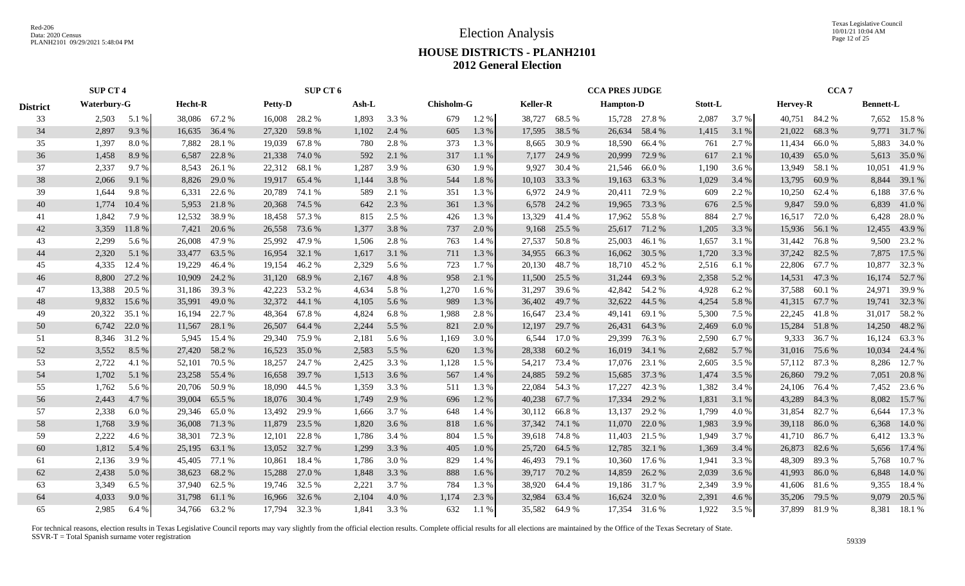Texas Legislative Council 10/01/21 10:04 AM Page 12 of 25

# **HOUSE DISTRICTS - PLANH2101 2012 General Election**

|                 | <b>SUP CT 4</b> |        |         |               |                | SUP CT 6      |       |       |                   |         |                 |               | <b>CCA PRES JUDGE</b> |               |         |       |               | CCA <sub>7</sub> |                  |               |
|-----------------|-----------------|--------|---------|---------------|----------------|---------------|-------|-------|-------------------|---------|-----------------|---------------|-----------------------|---------------|---------|-------|---------------|------------------|------------------|---------------|
| <b>District</b> | Waterbury-G     |        | Hecht-R |               | <b>Petty-D</b> |               | Ash-L |       | <b>Chisholm-G</b> |         | <b>Keller-R</b> |               | <b>Hampton-D</b>      |               | Stott-L |       | Hervey-R      |                  | <b>Bennett-L</b> |               |
| 33              | 2,503           | 5.1 %  |         | 38,086 67.2 % |                | 16,008 28.2 % | 1,893 | 3.3 % | 679               | 1.2 %   | 38,727          | 68.5 %        |                       | 15,728 27.8 % | 2,087   | 3.7 % |               | 40,751 84.2 %    |                  | 7,652 15.8 %  |
| 34              | 2,897           | 9.3%   |         | 16,635 36.4 % | 27,320         | 59.8%         | 1,102 | 2.4 % | 605               | 1.3 %   | 17,595          | 38.5 %        | 26,634                | 58.4 %        | 1,415   | 3.1 % |               | 21,022 68.3 %    |                  | 9,771 31.7 %  |
| 35              | 1,397           | 8.0%   | 7,882   | 28.1 %        | 19,039         | 67.8 %        | 780   | 2.8 % | 373               | 1.3 %   | 8,665           | 30.9%         | 18,590                | 66.4 %        | 761     | 2.7 % | 11,434        | 66.0 %           | 5,883            | 34.0 %        |
| 36              | 1,458           | 8.9%   | 6,587   | 22.8 %        | 21,338         | 74.0 %        | 592   | 2.1 % | 317               | 1.1%    | 7,177           | 24.9 %        | 20,999                | 72.9 %        | 617     | 2.1 % | 10,439        | 65.0%            |                  | 5,613 35.0 %  |
| 37              | 2,337           | 9.7 %  |         | 8,543 26.1 %  | 22,312         | 68.1 %        | 1,287 | 3.9%  | 630               | 1.9 %   | 9,927           | 30.4 %        | 21,546                | 66.0 %        | 1,190   | 3.6 % | 13,949        | 58.1 %           | 10,051           | 41.9%         |
| 38              | 2,066           | 9.1 %  | 8,826   | 29.0 %        | 19,917         | 65.4 %        | 1,144 | 3.8%  | 544               | 1.8%    | 10,103          | 33.3 %        | 19,163                | 63.3 %        | 1,029   | 3.4 % | 13,795        | 60.9 %           |                  | 8,844 39.1 %  |
| 39              | 1,644           | 9.8%   | 6,331   | 22.6 %        | 20,789         | 74.1 %        | 589   | 2.1 % | 351               | 1.3 %   | 6,972           | 24.9 %        | 20,411                | 72.9 %        | 609     | 2.2 % |               | 10,250 62.4 %    | 6,188            | 37.6 %        |
| 40              | 1,774           | 10.4 % | 5,953   | 21.8%         |                | 20,368 74.5 % | 642   | 2.3 % | 361               | 1.3%    |                 | 6,578 24.2 %  | 19,965                | 73.3 %        | 676     | 2.5 % |               | 9,847 59.0 %     | 6,839            | 41.0%         |
| 41              | 1,842           | 7.9 %  | 12,532  | 38.9 %        | 18,458         | 57.3 %        | 815   | 2.5 % | 426               | 1.3 %   | 13,329          | 41.4 %        |                       | 17,962 55.8 % | 884     | 2.7 % | 16,517        | 72.0 %           | 6,428            | 28.0%         |
| 42              | 3,359           | 11.8%  | 7,421   | 20.6 %        | 26,558         | 73.6 %        | 1,377 | 3.8%  | 737               | 2.0 %   | 9,168           | 25.5 %        |                       | 25,617 71.2 % | 1,205   | 3.3 % |               | 15,936 56.1 %    | 12,455           | 43.9%         |
| 43              | 2,299           | 5.6 %  | 26,008  | 47.9 %        | 25,992         | 47.9 %        | 1,506 | 2.8%  | 763               | 1.4 %   | 27,537          | 50.8%         | 25,003                | 46.1 %        | 1,657   | 3.1 % | 31,442        | 76.8 %           | 9,500            | 23.2 %        |
| 44              | 2,320           | 5.1 %  | 33,477  | 63.5 %        | 16,954         | 32.1 %        | 1,617 | 3.1 % | 711               | 1.3 %   | 34,955          | 66.3%         |                       | 16,062 30.5 % | 1,720   | 3.3 % |               | 37,242 82.5 %    | 7,875            | 17.5 %        |
| 45              | 4,335           | 12.4 % | 19,229  | 46.4 %        | 19,154         | 46.2%         | 2,329 | 5.6 % | 723               | 1.7 %   | 20,130          | 48.7%         |                       | 18,710 45.2 % | 2,516   | 6.1 % |               | 22,806 67.7 %    | 10,877           | 32.3 %        |
| 46              | 8,800           | 27.2 % | 10,909  | 24.2 %        | 31,120         | 68.9 %        | 2,167 | 4.8%  | 958               | 2.1 %   | 11,500          | 25.5 %        | 31,244                | 69.3%         | 2,358   | 5.2 % |               | 14,531 47.3 %    |                  | 16,174 52.7 % |
| 47              | 13,388          | 20.5 % |         | 31,186 39.3 % | 42,223         | 53.2 %        | 4,634 | 5.8%  | 1,270             | 1.6 %   | 31,297          | 39.6 %        |                       | 42,842 54.2 % | 4,928   | 6.2%  |               | 37,588 60.1 %    | 24,971           | 39.9 %        |
| 48              | 9,832           | 15.6 % | 35,991  | 49.0 %        | 32,372         | 44.1 %        | 4,105 | 5.6 % | 989               | 1.3%    | 36,402          | 49.7 %        |                       | 32,622 44.5 % | 4,254   | 5.8 % |               | 41,315 67.7 %    |                  | 19,741 32.3 % |
| 49              | 20,322          | 35.1 % | 16,194  | 22.7 %        | 48,364         | 67.8 %        | 4,824 | 6.8%  | 1,988             | 2.8%    | 16,647          | 23.4 %        |                       | 49,141 69.1 % | 5,300   | 7.5 % |               | 22,245 41.8 %    |                  | 31,017 58.2 % |
| 50              | 6,742           | 22.0 % | 11,567  | 28.1 %        | 26,507         | 64.4 %        | 2,244 | 5.5 % | 821               | 2.0 %   | 12,197          | 29.7 %        | 26,431                | 64.3 %        | 2,469   | 6.0%  |               | 15,284 51.8 %    | 14,250           | 48.2 %        |
| 51              | 8,346           | 31.2 % | 5,945   | 15.4 %        | 29,340         | 75.9%         | 2,181 | 5.6 % | 1,169             | 3.0 %   | 6,544           | 17.0 %        | 29,399                | 76.3 %        | 2,590   | 6.7 % | 9,333         | 36.7 %           | 16,124           | 63.3%         |
| 52              | 3,552           | 8.5 %  | 27,420  | 58.2 %        | 16,523         | 35.0%         | 2,583 | 5.5 % | 620               | 1.3 %   | 28,338          | 60.2%         |                       | 16,019 34.1 % | 2,682   | 5.7 % |               | 31,016 75.6 %    | 10,034           | 24.4 %        |
| 53              | 2,722           | 4.1 %  | 52,101  | 70.5 %        | 18,257         | 24.7 %        | 2,425 | 3.3 % | 1,128             | 1.5 %   | 54,217          | 73.4 %        |                       | 17,076 23.1 % | 2,605   | 3.5 % |               | 57,112 87.3 %    | 8,286            | 12.7 %        |
| 54              | 1,702           | 5.1 %  | 23,258  | 55.4 %        | 16,658         | 39.7 %        | 1,513 | 3.6 % | 567               | 1.4 %   | 24,885          | 59.2 %        | 15,685                | 37.3 %        | 1,474   | 3.5 % | 26,860 79.2 % |                  | 7,051            | 20.8%         |
| 55              | 1,762           | 5.6 %  | 20,706  | 50.9 %        | 18,090         | 44.5 %        | 1,359 | 3.3 % | 511               | 1.3%    | 22,084          | 54.3 %        | 17,227                | 42.3 %        | 1,382   | 3.4 % |               | 24,106 76.4 %    | 7,452            | 23.6 %        |
| 56              | 2,443           | 4.7%   | 39,004  | 65.5 %        | 18,076         | 30.4 %        | 1,749 | 2.9 % | 696               | 1.2%    | 40,238          | 67.7 %        | 17,334                | 29.2 %        | 1,831   | 3.1 % |               | 43,289 84.3 %    | 8,082            | 15.7%         |
| 57              | 2,338           | 6.0 %  | 29,346  | 65.0%         | 13,492         | 29.9 %        | 1,666 | 3.7 % | 648               | 1.4 %   | 30,112          | 66.8 %        | 13,137                | 29.2 %        | 1,799   | 4.0%  | 31,854        | 82.7 %           | 6,644            | 17.3 %        |
| 58              | 1,768           | 3.9 %  | 36,008  | 71.3 %        | 11,879         | 23.5 %        | 1,820 | 3.6 % | 818               | 1.6 %   | 37,342          | 74.1 %        | 11,070                | 22.0 %        | 1,983   | 3.9 % | 39,118 86.0 % |                  | 6,368            | 14.0 %        |
| 59              | 2,222           | 4.6 %  | 38,301  | 72.3 %        | 12,101         | 22.8%         | 1,786 | 3.4 % | 804               | 1.5 %   | 39,618          | 74.8 %        | 11,403                | 21.5 %        | 1,949   | 3.7 % |               | 41,710 86.7 %    | 6,412            | 13.3 %        |
| 60              | 1,812           | 5.4 %  | 25,195  | 63.1 %        | 13,052         | 32.7 %        | 1,299 | 3.3 % | 405               | 1.0%    | 25,720          | 64.5 %        | 12,785                | 32.1 %        | 1,369   | 3.4 % | 26,873 82.6 % |                  |                  | 5,656 17.4 %  |
| 61              | 2,136           | 3.9 %  | 45,405  | 77.1 %        | 10,861         | 18.4 %        | 1,786 | 3.0 % | 829               | 1.4 %   | 46,493          | 79.1 %        |                       | 10,360 17.6 % | 1,941   | 3.3 % |               | 48,309 89.3 %    | 5,768            | 10.7 %        |
| 62              | 2,438           | 5.0%   | 38,623  | 68.2 %        | 15,288         | 27.0 %        | 1,848 | 3.3 % | 888               | $1.6\%$ |                 | 39,717 70.2 % | 14,859                | 26.2 %        | 2,039   | 3.6 % | 41,993 86.0 % |                  | 6,848            | 14.0 %        |
| 63              | 3,349           | 6.5 %  |         | 37,940 62.5 % |                | 19,746 32.5 % | 2,221 | 3.7 % | 784               | 1.3 %   | 38,920          | 64.4 %        |                       | 19,186 31.7 % | 2,349   | 3.9%  |               | 41,606 81.6 %    | 9,355            | 18.4 %        |
| 64              | 4,033           | 9.0%   |         | 31,798 61.1 % | 16,966         | 32.6 %        | 2,104 | 4.0 % | 1,174             | 2.3 %   | 32,984          | 63.4 %        | 16,624                | 32.0 %        | 2,391   | 4.6 % |               | 35,206 79.5 %    |                  | 9,079 20.5 %  |
| 65              | 2.985           | 6.4%   |         | 34,766 63.2 % |                | 17.794 32.3 % | 1.841 | 3.3 % | 632               | 1.1%    | 35.582          | 64.9%         |                       | 17,354 31.6 % | 1.922   | 3.5 % |               | 37,899 81.9 %    |                  | 8,381 18.1 %  |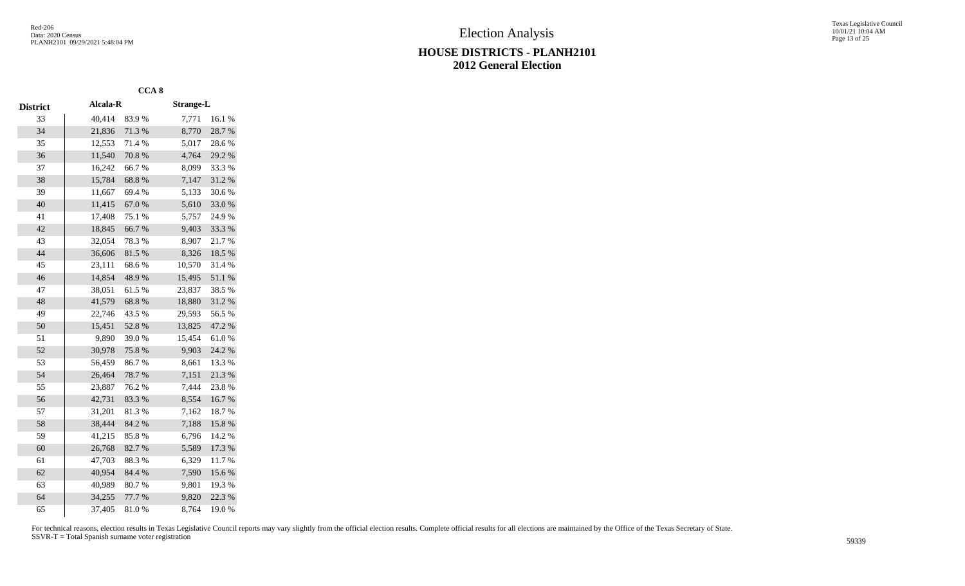|                 |          | CCA <sub>8</sub> |                  |        |
|-----------------|----------|------------------|------------------|--------|
| <b>District</b> | Alcala-R |                  | <b>Strange-L</b> |        |
| 33              | 40,414   | 83.9%            | 7,771            | 16.1 % |
| 34              | 21,836   | 71.3%            | 8,770            | 28.7%  |
| 35              | 12,553   | 71.4%            | 5,017            | 28.6%  |
| 36              | 11,540   | 70.8%            | 4,764            | 29.2 % |
| 37              | 16,242   | 66.7%            | 8,099            | 33.3%  |
| 38              | 15,784   | 68.8%            | 7,147            | 31.2 % |
| 39              | 11,667   | 69.4%            | 5,133            | 30.6%  |
| 40              | 11,415   | 67.0%            | 5,610            | 33.0%  |
| 41              | 17,408   | 75.1 %           | 5,757            | 24.9%  |
| 42              | 18,845   | 66.7%            | 9,403            | 33.3 % |
| 43              | 32,054   | 78.3%            | 8,907            | 21.7%  |
| 44              | 36,606   | 81.5%            | 8,326            | 18.5 % |
| 45              | 23,111   | 68.6%            | 10,570           | 31.4%  |
| 46              | 14,854   | 48.9%            | 15,495           | 51.1%  |
| 47              | 38,051   | 61.5%            | 23,837           | 38.5 % |
| 48              | 41,579   | 68.8%            | 18,880           | 31.2%  |
| 49              | 22,746   | 43.5 %           | 29,593           | 56.5%  |
| 50              | 15,451   | 52.8%            | 13,825           | 47.2 % |
| 51              | 9,890    | 39.0%            | 15,454           | 61.0%  |
| 52              | 30,978   | 75.8%            | 9,903            | 24.2 % |
| 53              | 56,459   | 86.7%            | 8,661            | 13.3 % |
| 54              | 26,464   | 78.7%            | 7,151            | 21.3%  |
| 55              | 23,887   | 76.2%            | 7,444            | 23.8%  |
| 56              | 42,731   | 83.3%            | 8,554            | 16.7%  |
| 57              | 31,201   | 81.3%            | 7,162            | 18.7%  |
| 58              | 38,444   | 84.2 %           | 7,188            | 15.8 % |
| 59              | 41,215   | 85.8%            | 6,796            | 14.2 % |
| 60              | 26,768   | 82.7%            | 5,589            | 17.3 % |
| 61              | 47,703   | 88.3%            | 6,329            | 11.7%  |
| 62              | 40,954   | 84.4 %           | 7,590            | 15.6%  |
| 63              | 40,989   | 80.7%            | 9,801            | 19.3%  |
| 64              | 34,255   | 77.7 %           | 9,820            | 22.3 % |
| 65              | 37,405   | 81.0%            | 8,764            | 19.0%  |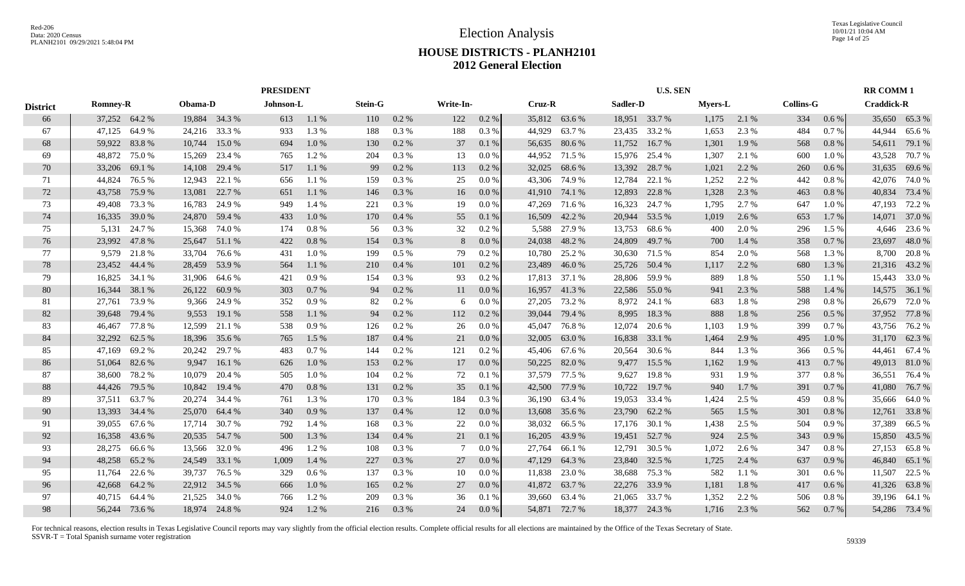Election Analysis

Texas Legislative Council 10/01/21 10:04 AM Page 14 of 25

# **HOUSE DISTRICTS - PLANH2101 2012 General Election**

|                 |                 |        |               | <b>PRESIDENT</b> |           |       |                |          |           |          |        |               | <b>U.S. SEN</b> |               |                |          |                  | <b>RR COMM1</b> |                   |               |
|-----------------|-----------------|--------|---------------|------------------|-----------|-------|----------------|----------|-----------|----------|--------|---------------|-----------------|---------------|----------------|----------|------------------|-----------------|-------------------|---------------|
| <b>District</b> | <b>Romney-R</b> |        | Obama-D       |                  | Johnson-L |       | <b>Stein-G</b> |          | Write-In- |          | Cruz-R |               | Sadler-D        |               | <b>Myers-L</b> |          | <b>Collins-G</b> |                 | <b>Craddick-R</b> |               |
| 66              | 37,252 64.2 %   |        |               | 19,884 34.3 %    | 613       | 1.1%  | 110            | 0.2 %    | 122       | 0.2 %    | 35,812 | 63.6 %        |                 | 18,951 33.7 % | 1,175          | 2.1 %    | 334              | 0.6 %           |                   | 35,650 65.3 % |
| 67              | 47,125          | 64.9%  | 24,216        | 33.3 %           | 933       | 1.3%  | 188            | 0.3%     | 188       | 0.3%     | 44,929 | 63.7%         | 23,435          | 33.2 %        | 1,653          | 2.3 %    | 484              | 0.7 %           | 44,944            | 65.6%         |
| 68              | 59,922          | 83.8%  | 10,744        | 15.0 %           | 694       | 1.0%  | 130            | $0.2\%$  | 37        | 0.1%     | 56,635 | 80.6%         | 11,752          | 16.7 %        | 1,301          | 1.9%     | 568              | 0.8%            | 54,611            | 79.1 %        |
| 69              | 48,872          | 75.0%  | 15,269        | 23.4 %           | 765       | 1.2%  | 204            | 0.3 %    | 13        | 0.0 %    | 44,952 | 71.5 %        | 15,976          | 25.4 %        | 1,307          | 2.1 %    | 600              | 1.0%            | 43,528            | 70.7 %        |
| 70              | 33,206          | 69.1 % | 14,108        | 29.4 %           | 517       | 1.1%  | 99             | 0.2 %    | 113       | $0.2 \%$ | 32,025 | 68.6 %        | 13,392          | 28.7 %        | 1,021          | 2.2 %    | 260              | 0.6%            | 31,635            | 69.6%         |
| 71              | 44,824          | 76.5 % | 12,943        | 22.1 %           | 656       | 1.1%  | 159            | 0.3%     | 25        | 0.0 %    | 43,306 | 74.9%         | 12,784          | 22.1 %        | 1,252          | 2.2 %    | 442              | 0.8%            | 42,076            | 74.0 %        |
| 72              | 43,758          | 75.9%  | 13,081        | 22.7 %           | 651       | 1.1 % | 146            | 0.3%     | 16        | 0.0 %    | 41,910 | 74.1 %        | 12,893          | 22.8%         | 1,328          | 2.3 %    | 463              | $0.8~\%$        | 40,834            | 73.4 %        |
| 73              | 49,408          | 73.3 % | 16,783        | 24.9 %           | 949       | 1.4 % | 221            | 0.3 %    | 19        | 0.0 %    | 47,269 | 71.6 %        | 16,323          | 24.7 %        | 1,795          | 2.7 %    | 647              | 1.0%            | 47,193            | 72.2 %        |
| 74              | 16,335 39.0 %   |        | 24,870        | 59.4 %           | 433       | 1.0%  | 170            | 0.4%     | 55        | 0.1%     | 16,509 | 42.2 %        | 20,944          | 53.5 %        | 1,019          | 2.6 %    | 653              | 1.7 %           |                   | 14,071 37.0 % |
| 75              | 5,131           | 24.7 % | 15,368        | 74.0 %           | 174       | 0.8%  | 56             | 0.3 %    | 32        | 0.2 %    | 5,588  | 27.9 %        | 13,753          | 68.6%         | 400            | 2.0 %    | 296              | 1.5 %           | 4,646             | 23.6 %        |
| 76              | 23,992          | 47.8%  | 25,647        | 51.1 %           | 422       | 0.8%  | 154            | 0.3%     | 8         | 0.0 %    | 24,038 | 48.2 %        | 24,809          | 49.7 %        | 700            | 1.4 %    | 358              | 0.7%            | 23,697            | 48.0%         |
| 77              | 9,579           | 21.8%  | 33,704        | 76.6 %           | 431       | 1.0%  | 199            | $0.5\%$  | 79        | $0.2 \%$ | 10,780 | 25.2 %        | 30,630          | 71.5 %        | 854            | 2.0%     | 568              | 1.3 %           | 8,700             | 20.8%         |
| 78              | 23,452 44.4 %   |        | 28,459        | 53.9%            | 564       | 1.1%  | 210            | 0.4%     | 101       | $0.2\%$  | 23,489 | 46.0%         | 25,726          | 50.4 %        | 1,117          | 2.2 %    | 680              | 1.3 %           |                   | 21,316 43.2 % |
| 79              | 16,825 34.1 %   |        | 31,906        | 64.6 %           | 421       | 0.9%  | 154            | 0.3%     | 93        | $0.2\%$  |        | 17,813 37.1 % |                 | 28,806 59.9 % | 889            | 1.8 %    | 550              | 1.1 %           |                   | 15,443 33.0 % |
| 80              | 16,344          | 38.1 % | 26,122        | 60.9%            | 303       | 0.7%  | 94             | 0.2%     | 11        | $0.0\%$  | 16,957 | 41.3%         |                 | 22,586 55.0 % | 941            | 2.3 %    | 588              | 1.4 %           |                   | 14,575 36.1 % |
| 81              | 27,761          | 73.9%  |               | 9,366 24.9 %     | 352       | 0.9%  | 82             | 0.2 %    | 6         | 0.0 %    | 27,205 | 73.2 %        | 8,972           | 24.1 %        | 683            | $1.8~\%$ | 298              | 0.8%            | 26,679            | 72.0%         |
| 82              | 39,648          | 79.4 % | 9,553         | 19.1 %           | 558       | 1.1%  | 94             | 0.2 %    | 112       | 0.2 %    | 39,044 | 79.4 %        | 8,995           | 18.3%         | 888            | 1.8%     | 256              | 0.5%            |                   | 37,952 77.8 % |
| 83              | 46,467          | 77.8%  | 12,599        | 21.1 %           | 538       | 0.9%  | 126            | 0.2 %    | 26        | 0.0 %    | 45,047 | 76.8%         | 12,074          | 20.6 %        | 1,103          | 1.9 %    | 399              | 0.7%            | 43,756            | 76.2 %        |
| 84              | 32,292          | 62.5 % | 18,396        | 35.6 %           | 765       | 1.5 % | 187            | 0.4%     | 21        | 0.0 %    | 32,005 | 63.0%         | 16,838          | 33.1 %        | 1,464          | 2.9 %    | 495              | $1.0\%$         | 31,170            | 62.3%         |
| 85              | 47,169          | 69.2%  | 20,242        | 29.7 %           | 483       | 0.7%  | 144            | 0.2 %    | 121       | $0.2 \%$ | 45,406 | 67.6 %        | 20,564          | 30.6 %        | 844            | 1.3%     | 366              | $0.5\%$         | 44,461            | 67.4 %        |
| 86              | 51,064          | 82.6%  | 9.947         | 16.1%            | 626       | 1.0%  | 153            | $0.2\%$  | 17        | 0.0 %    | 50,225 | 82.0%         | 9,477           | 15.5 %        | 1,162          | 1.9%     | 413              | 0.7%            |                   | 49,013 81.0 % |
| 87              | 38,600          | 78.2%  | 10,079        | 20.4 %           | 505       | 1.0%  | 104            | 0.2 %    | 72        | 0.1%     | 37,579 | 77.5 %        | 9,627           | 19.8%         | 931            | 1.9%     | 377              | 0.8 %           | 36,551            | 76.4 %        |
| 88              | 44,426          | 79.5 % | 10,842        | 19.4 %           | 470       | 0.8%  | 131            | 0.2 %    | 35        | 0.1 %    | 42,500 | 77.9 %        | 10,722          | 19.7%         | 940            | 1.7%     | 391              | 0.7%            | 41,080            | 76.7%         |
| 89              | 37,511          | 63.7%  | 20,274        | 34.4 %           | 761       | 1.3%  | 170            | 0.3%     | 184       | 0.3 %    | 36,190 | 63.4 %        | 19,053          | 33.4 %        | 1,424          | 2.5 %    | 459              | 0.8%            | 35,666            | 64.0%         |
| 90              | 13,393 34.4 %   |        | 25,070        | 64.4 %           | 340       | 0.9%  | 137            | 0.4%     | 12        | 0.0 %    | 13,608 | 35.6 %        | 23,790          | 62.2 %        | 565            | 1.5 %    | 301              | 0.8%            | 12,761            | 33.8%         |
| 91              | 39,055          | 67.6 % | 17,714        | 30.7 %           | 792       | 1.4 % | 168            | 0.3 %    | 22        | 0.0 %    | 38,032 | 66.5 %        |                 | 17,176 30.1 % | 1,438          | 2.5 %    | 504              | 0.9%            | 37,389            | 66.5 %        |
| 92              | 16,358          | 43.6 % | 20,535        | 54.7 %           | 500       | 1.3 % | 134            | 0.4%     | 21        | 0.1%     | 16,205 | 43.9%         | 19,451          | 52.7 %        | 924            | 2.5 %    | 343              | 0.9%            | 15,850            | 43.5 %        |
| 93              | 28,275          | 66.6%  | 13,566        | 32.0 %           | 496       | 1.2%  | 108            | $0.3~\%$ | 7         | 0.0 %    | 27,764 | 66.1%         | 12,791          | 30.5 %        | 1,072          | 2.6 %    | 347              | 0.8%            | 27,153            | 65.8%         |
| 94              | 48,258          | 65.2%  | 24,549        | 33.1 %           | 1,009     | 1.4 % | 227            | 0.3%     | 27        | 0.0 %    | 47,129 | 64.3 %        | 23,840          | 32.5 %        | 1,725          | 2.4 %    | 637              | $0.9\%$         | 46,840            | 65.1 %        |
| 95              | 11,764          | 22.6 % | 39,737        | 76.5 %           | 329       | 0.6 % | 137            | 0.3%     | 10        | $0.0\%$  | 11,838 | 23.0 %        | 38,688          | 75.3 %        | 582            | 1.1 %    | 301              | $0.6\%$         | 11,507            | 22.5 %        |
| 96              | 42,668          | 64.2%  | 22,912 34.5 % |                  | 666       | 1.0%  | 165            | 0.2 %    | 27        | 0.0 %    | 41,872 | 63.7 %        |                 | 22,276 33.9 % | 1,181          | 1.8%     | 417              | $0.6\%$         | 41,326            | 63.8%         |
| 97              | 40,715          | 64.4 % | 21,525        | 34.0 %           | 766       | 1.2%  | 209            | 0.3%     | 36        | 0.1%     | 39,660 | 63.4 %        | 21,065          | 33.7 %        | 1,352          | 2.2 %    | 506              | 0.8%            | 39,196            | 64.1 %        |
| 98              | 56,244 73.6 %   |        |               | 18,974 24.8 %    | 924       | 1.2%  | 216            | 0.3%     | 24        | 0.0 %    |        | 54,871 72.7 % |                 | 18,377 24.3 % | 1,716          | 2.3 %    | 562              | 0.7 %           |                   | 54,286 73.4 % |
|                 |                 |        |               |                  |           |       |                |          |           |          |        |               |                 |               |                |          |                  |                 |                   |               |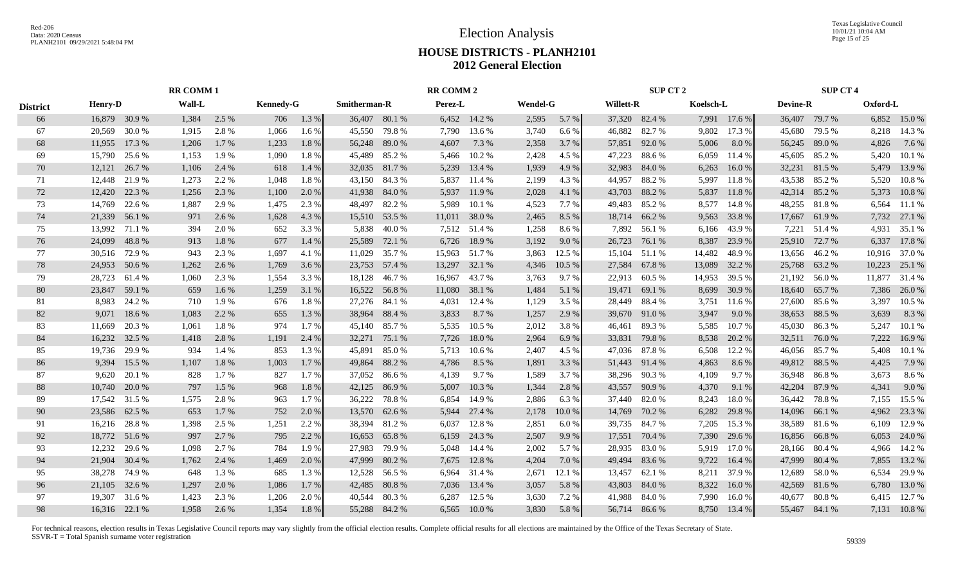Texas Legislative Council 10/01/21 10:04 AM Page 15 of 25

# **HOUSE DISTRICTS - PLANH2101 2012 General Election**

|                 | <b>RR COMM 1</b> |                                                                                                                                                                                                                                                                                                                                                                                                                                                                                                                         |                                                                                                                         |                                                                                                                                                  |                                                                                                   |                                                                                                                                            |                                                                                                                      |                                                                                                                                                                                                                                                                                                                                                                                 |                                                                                                 |                                                                                                                                                                                                                                                                                        |                                                                                                                                              |                                                                                                                                           |                                                                                                                                |                                                                                                                                                                                                                                                                                                            |                                                                                                                                                                 |                                                                                                                                                                         |                                                                              |                                                                                                                                                                                                                                                                                                                                                                                                                      |                                                                                                                                               |
|-----------------|------------------|-------------------------------------------------------------------------------------------------------------------------------------------------------------------------------------------------------------------------------------------------------------------------------------------------------------------------------------------------------------------------------------------------------------------------------------------------------------------------------------------------------------------------|-------------------------------------------------------------------------------------------------------------------------|--------------------------------------------------------------------------------------------------------------------------------------------------|---------------------------------------------------------------------------------------------------|--------------------------------------------------------------------------------------------------------------------------------------------|----------------------------------------------------------------------------------------------------------------------|---------------------------------------------------------------------------------------------------------------------------------------------------------------------------------------------------------------------------------------------------------------------------------------------------------------------------------------------------------------------------------|-------------------------------------------------------------------------------------------------|----------------------------------------------------------------------------------------------------------------------------------------------------------------------------------------------------------------------------------------------------------------------------------------|----------------------------------------------------------------------------------------------------------------------------------------------|-------------------------------------------------------------------------------------------------------------------------------------------|--------------------------------------------------------------------------------------------------------------------------------|------------------------------------------------------------------------------------------------------------------------------------------------------------------------------------------------------------------------------------------------------------------------------------------------------------|-----------------------------------------------------------------------------------------------------------------------------------------------------------------|-------------------------------------------------------------------------------------------------------------------------------------------------------------------------|------------------------------------------------------------------------------|----------------------------------------------------------------------------------------------------------------------------------------------------------------------------------------------------------------------------------------------------------------------------------------------------------------------------------------------------------------------------------------------------------------------|-----------------------------------------------------------------------------------------------------------------------------------------------|
| <b>District</b> |                  | Wall-L                                                                                                                                                                                                                                                                                                                                                                                                                                                                                                                  |                                                                                                                         |                                                                                                                                                  |                                                                                                   |                                                                                                                                            |                                                                                                                      |                                                                                                                                                                                                                                                                                                                                                                                 |                                                                                                 |                                                                                                                                                                                                                                                                                        |                                                                                                                                              |                                                                                                                                           |                                                                                                                                |                                                                                                                                                                                                                                                                                                            |                                                                                                                                                                 |                                                                                                                                                                         |                                                                              | Oxford-L                                                                                                                                                                                                                                                                                                                                                                                                             |                                                                                                                                               |
|                 |                  | 1,384                                                                                                                                                                                                                                                                                                                                                                                                                                                                                                                   | 2.5 %                                                                                                                   | 706                                                                                                                                              | 1.3 %                                                                                             |                                                                                                                                            |                                                                                                                      |                                                                                                                                                                                                                                                                                                                                                                                 |                                                                                                 | 2,595                                                                                                                                                                                                                                                                                  | 5.7 %                                                                                                                                        |                                                                                                                                           |                                                                                                                                |                                                                                                                                                                                                                                                                                                            |                                                                                                                                                                 |                                                                                                                                                                         |                                                                              |                                                                                                                                                                                                                                                                                                                                                                                                                      | 6,852 15.0 %                                                                                                                                  |
|                 | 30.0 %           | 1,915                                                                                                                                                                                                                                                                                                                                                                                                                                                                                                                   | 2.8%                                                                                                                    | 1,066                                                                                                                                            | 1.6 %                                                                                             | 45,550                                                                                                                                     | 79.8%                                                                                                                | 7,790                                                                                                                                                                                                                                                                                                                                                                           | 13.6 %                                                                                          | 3,740                                                                                                                                                                                                                                                                                  | 6.6 %                                                                                                                                        | 46,882                                                                                                                                    | 82.7%                                                                                                                          | 9,802                                                                                                                                                                                                                                                                                                      | 17.3 %                                                                                                                                                          | 45,680                                                                                                                                                                  | 79.5 %                                                                       | 8,218                                                                                                                                                                                                                                                                                                                                                                                                                | 14.3 %                                                                                                                                        |
|                 | 17.3 %           | 1,206                                                                                                                                                                                                                                                                                                                                                                                                                                                                                                                   | 1.7 %                                                                                                                   | 1,233                                                                                                                                            | 1.8%                                                                                              |                                                                                                                                            |                                                                                                                      | 4,607                                                                                                                                                                                                                                                                                                                                                                           | 7.3 %                                                                                           | 2,358                                                                                                                                                                                                                                                                                  | 3.7 %                                                                                                                                        | 57,851                                                                                                                                    | 92.0 %                                                                                                                         | 5,006                                                                                                                                                                                                                                                                                                      | 8.0 %                                                                                                                                                           | 56,245                                                                                                                                                                  |                                                                              | 4,826                                                                                                                                                                                                                                                                                                                                                                                                                | 7.6 %                                                                                                                                         |
|                 | 25.6 %           | 1,153                                                                                                                                                                                                                                                                                                                                                                                                                                                                                                                   | 1.9%                                                                                                                    | 1,090                                                                                                                                            | 1.8%                                                                                              | 45,489                                                                                                                                     |                                                                                                                      | 5,466                                                                                                                                                                                                                                                                                                                                                                           | 10.2%                                                                                           | 2,428                                                                                                                                                                                                                                                                                  | 4.5 %                                                                                                                                        | 47,223                                                                                                                                    | 88.6%                                                                                                                          | 6,059                                                                                                                                                                                                                                                                                                      | 11.4 %                                                                                                                                                          | 45,605                                                                                                                                                                  |                                                                              | 5,420                                                                                                                                                                                                                                                                                                                                                                                                                | 10.1%                                                                                                                                         |
|                 | 26.7%            | 1,106                                                                                                                                                                                                                                                                                                                                                                                                                                                                                                                   | 2.4 %                                                                                                                   | 618                                                                                                                                              | 1.4 %                                                                                             | 32,035                                                                                                                                     |                                                                                                                      | 5,239                                                                                                                                                                                                                                                                                                                                                                           | 13.4 %                                                                                          | 1,939                                                                                                                                                                                                                                                                                  | 4.9 %                                                                                                                                        | 32,983                                                                                                                                    | 84.0%                                                                                                                          | 6,263                                                                                                                                                                                                                                                                                                      | 16.0%                                                                                                                                                           | 32,231                                                                                                                                                                  |                                                                              | 5,479                                                                                                                                                                                                                                                                                                                                                                                                                | 13.9%                                                                                                                                         |
|                 | 21.9%            | 1,273                                                                                                                                                                                                                                                                                                                                                                                                                                                                                                                   | 2.2 %                                                                                                                   | 1,048                                                                                                                                            | 1.8%                                                                                              | 43,150                                                                                                                                     |                                                                                                                      | 5,837                                                                                                                                                                                                                                                                                                                                                                           | 11.4 %                                                                                          | 2,199                                                                                                                                                                                                                                                                                  | 4.3 %                                                                                                                                        | 44,957                                                                                                                                    | 88.2%                                                                                                                          | 5,997                                                                                                                                                                                                                                                                                                      | 11.8%                                                                                                                                                           | 43,538                                                                                                                                                                  |                                                                              | 5,520                                                                                                                                                                                                                                                                                                                                                                                                                | 10.8%                                                                                                                                         |
|                 |                  | 1,256                                                                                                                                                                                                                                                                                                                                                                                                                                                                                                                   |                                                                                                                         | 1,100                                                                                                                                            | 2.0 %                                                                                             |                                                                                                                                            |                                                                                                                      | 5,937                                                                                                                                                                                                                                                                                                                                                                           | 11.9 %                                                                                          |                                                                                                                                                                                                                                                                                        | 4.1 %                                                                                                                                        | 43,703                                                                                                                                    |                                                                                                                                |                                                                                                                                                                                                                                                                                                            |                                                                                                                                                                 |                                                                                                                                                                         |                                                                              | 5,373                                                                                                                                                                                                                                                                                                                                                                                                                | 10.8%                                                                                                                                         |
|                 | 22.6 %           | 1,887                                                                                                                                                                                                                                                                                                                                                                                                                                                                                                                   | 2.9 %                                                                                                                   | 1,475                                                                                                                                            | 2.3 %                                                                                             | 48,497                                                                                                                                     |                                                                                                                      | 5,989                                                                                                                                                                                                                                                                                                                                                                           | 10.1%                                                                                           | 4,523                                                                                                                                                                                                                                                                                  | 7.7 %                                                                                                                                        | 49,483                                                                                                                                    | 85.2%                                                                                                                          | 8,577                                                                                                                                                                                                                                                                                                      | 14.8 %                                                                                                                                                          |                                                                                                                                                                         |                                                                              | 6,564                                                                                                                                                                                                                                                                                                                                                                                                                | 11.1 %                                                                                                                                        |
|                 |                  | 971                                                                                                                                                                                                                                                                                                                                                                                                                                                                                                                     | 2.6 %                                                                                                                   | 1,628                                                                                                                                            | 4.3 %                                                                                             |                                                                                                                                            |                                                                                                                      |                                                                                                                                                                                                                                                                                                                                                                                 | 38.0%                                                                                           | 2,465                                                                                                                                                                                                                                                                                  | 8.5 %                                                                                                                                        |                                                                                                                                           |                                                                                                                                | 9,563                                                                                                                                                                                                                                                                                                      | 33.8%                                                                                                                                                           | 17,667                                                                                                                                                                  |                                                                              | 7,732                                                                                                                                                                                                                                                                                                                                                                                                                | 27.1 %                                                                                                                                        |
|                 | 71.1 %           | 394                                                                                                                                                                                                                                                                                                                                                                                                                                                                                                                     | 2.0 %                                                                                                                   | 652                                                                                                                                              | 3.3 %                                                                                             | 5,838                                                                                                                                      | 40.0%                                                                                                                |                                                                                                                                                                                                                                                                                                                                                                                 |                                                                                                 | 1,258                                                                                                                                                                                                                                                                                  | 8.6%                                                                                                                                         | 7,892                                                                                                                                     | 56.1 %                                                                                                                         | 6,166                                                                                                                                                                                                                                                                                                      | 43.9%                                                                                                                                                           | 7,221                                                                                                                                                                   | 51.4 %                                                                       | 4,931                                                                                                                                                                                                                                                                                                                                                                                                                | 35.1 %                                                                                                                                        |
| 24,099          | 48.8%            | 913                                                                                                                                                                                                                                                                                                                                                                                                                                                                                                                     | 1.8%                                                                                                                    | 677                                                                                                                                              | 1.4 %                                                                                             | 25,589                                                                                                                                     | 72.1 %                                                                                                               | 6,726                                                                                                                                                                                                                                                                                                                                                                           | 18.9%                                                                                           | 3,192                                                                                                                                                                                                                                                                                  | 9.0%                                                                                                                                         | 26,723                                                                                                                                    | 76.1 %                                                                                                                         | 8,387                                                                                                                                                                                                                                                                                                      | 23.9 %                                                                                                                                                          | 25,910                                                                                                                                                                  |                                                                              | 6,337                                                                                                                                                                                                                                                                                                                                                                                                                | 17.8 %                                                                                                                                        |
|                 | 72.9 %           | 943                                                                                                                                                                                                                                                                                                                                                                                                                                                                                                                     | 2.3 %                                                                                                                   | 1,697                                                                                                                                            | 4.1 %                                                                                             | 11,029                                                                                                                                     | 35.7 %                                                                                                               |                                                                                                                                                                                                                                                                                                                                                                                 |                                                                                                 | 3,863                                                                                                                                                                                                                                                                                  | 12.5 %                                                                                                                                       | 15,104                                                                                                                                    |                                                                                                                                | 14,482                                                                                                                                                                                                                                                                                                     | 48.9%                                                                                                                                                           |                                                                                                                                                                         |                                                                              | 10,916                                                                                                                                                                                                                                                                                                                                                                                                               | 37.0 %                                                                                                                                        |
|                 | 50.6 %           | 1,262                                                                                                                                                                                                                                                                                                                                                                                                                                                                                                                   | 2.6 %                                                                                                                   | 1,769                                                                                                                                            | 3.6 %                                                                                             |                                                                                                                                            |                                                                                                                      |                                                                                                                                                                                                                                                                                                                                                                                 |                                                                                                 | 4,346                                                                                                                                                                                                                                                                                  | 10.5 %                                                                                                                                       |                                                                                                                                           |                                                                                                                                | 13,089                                                                                                                                                                                                                                                                                                     | 32.2 %                                                                                                                                                          | 25,768                                                                                                                                                                  |                                                                              | 10,223                                                                                                                                                                                                                                                                                                                                                                                                               | 25.1 %                                                                                                                                        |
|                 |                  | 1,060                                                                                                                                                                                                                                                                                                                                                                                                                                                                                                                   | 2.3 %                                                                                                                   | 1,554                                                                                                                                            | 3.3 %                                                                                             | 18,128                                                                                                                                     | 46.7%                                                                                                                | 16,967                                                                                                                                                                                                                                                                                                                                                                          | 43.7 %                                                                                          | 3,763                                                                                                                                                                                                                                                                                  | 9.7 %                                                                                                                                        | 22,913                                                                                                                                    |                                                                                                                                | 14,953                                                                                                                                                                                                                                                                                                     | 39.5 %                                                                                                                                                          |                                                                                                                                                                         |                                                                              | 11,877                                                                                                                                                                                                                                                                                                                                                                                                               | 31.4 %                                                                                                                                        |
|                 | 59.1 %           | 659                                                                                                                                                                                                                                                                                                                                                                                                                                                                                                                     | $1.6\%$                                                                                                                 | 1,259                                                                                                                                            | 3.1 %                                                                                             |                                                                                                                                            |                                                                                                                      |                                                                                                                                                                                                                                                                                                                                                                                 |                                                                                                 | 1,484                                                                                                                                                                                                                                                                                  | 5.1 %                                                                                                                                        | 19,471                                                                                                                                    | 69.1 %                                                                                                                         | 8,699                                                                                                                                                                                                                                                                                                      | 30.9%                                                                                                                                                           |                                                                                                                                                                         |                                                                              | 7,386                                                                                                                                                                                                                                                                                                                                                                                                                | 26.0%                                                                                                                                         |
|                 |                  | 710                                                                                                                                                                                                                                                                                                                                                                                                                                                                                                                     |                                                                                                                         | 676                                                                                                                                              | 1.8%                                                                                              |                                                                                                                                            |                                                                                                                      | 4,031                                                                                                                                                                                                                                                                                                                                                                           | 12.4 %                                                                                          | 1,129                                                                                                                                                                                                                                                                                  | 3.5 %                                                                                                                                        |                                                                                                                                           | 88.4%                                                                                                                          | 3,751                                                                                                                                                                                                                                                                                                      | 11.6 %                                                                                                                                                          |                                                                                                                                                                         |                                                                              |                                                                                                                                                                                                                                                                                                                                                                                                                      | 10.5 %                                                                                                                                        |
|                 | 18.6 %           | 1,083                                                                                                                                                                                                                                                                                                                                                                                                                                                                                                                   | 2.2 %                                                                                                                   | 655                                                                                                                                              | 1.3 %                                                                                             |                                                                                                                                            |                                                                                                                      | 3,833                                                                                                                                                                                                                                                                                                                                                                           | 8.7 %                                                                                           | 1,257                                                                                                                                                                                                                                                                                  | 2.9 %                                                                                                                                        |                                                                                                                                           |                                                                                                                                | 3,947                                                                                                                                                                                                                                                                                                      | 9.0 %                                                                                                                                                           |                                                                                                                                                                         |                                                                              | 3,639                                                                                                                                                                                                                                                                                                                                                                                                                | 8.3%                                                                                                                                          |
|                 | 20.3 %           | 1,061                                                                                                                                                                                                                                                                                                                                                                                                                                                                                                                   | 1.8%                                                                                                                    | 974                                                                                                                                              | 1.7 %                                                                                             |                                                                                                                                            |                                                                                                                      | 5,535                                                                                                                                                                                                                                                                                                                                                                           | 10.5 %                                                                                          | 2,012                                                                                                                                                                                                                                                                                  | 3.8%                                                                                                                                         | 46,461                                                                                                                                    |                                                                                                                                | 5,585                                                                                                                                                                                                                                                                                                      | 10.7 %                                                                                                                                                          |                                                                                                                                                                         |                                                                              | 5,247                                                                                                                                                                                                                                                                                                                                                                                                                | 10.1%                                                                                                                                         |
|                 |                  |                                                                                                                                                                                                                                                                                                                                                                                                                                                                                                                         |                                                                                                                         | 1,191                                                                                                                                            |                                                                                                   |                                                                                                                                            |                                                                                                                      | 7,726                                                                                                                                                                                                                                                                                                                                                                           |                                                                                                 |                                                                                                                                                                                                                                                                                        | 6.9%                                                                                                                                         |                                                                                                                                           |                                                                                                                                |                                                                                                                                                                                                                                                                                                            |                                                                                                                                                                 | 32,511                                                                                                                                                                  | 76.0%                                                                        |                                                                                                                                                                                                                                                                                                                                                                                                                      | 16.9%                                                                                                                                         |
|                 |                  |                                                                                                                                                                                                                                                                                                                                                                                                                                                                                                                         |                                                                                                                         |                                                                                                                                                  |                                                                                                   |                                                                                                                                            |                                                                                                                      | 5,713                                                                                                                                                                                                                                                                                                                                                                           |                                                                                                 |                                                                                                                                                                                                                                                                                        |                                                                                                                                              |                                                                                                                                           |                                                                                                                                |                                                                                                                                                                                                                                                                                                            |                                                                                                                                                                 |                                                                                                                                                                         |                                                                              |                                                                                                                                                                                                                                                                                                                                                                                                                      | 10.1 %                                                                                                                                        |
|                 |                  |                                                                                                                                                                                                                                                                                                                                                                                                                                                                                                                         |                                                                                                                         |                                                                                                                                                  |                                                                                                   | 49,864                                                                                                                                     |                                                                                                                      |                                                                                                                                                                                                                                                                                                                                                                                 |                                                                                                 |                                                                                                                                                                                                                                                                                        |                                                                                                                                              |                                                                                                                                           |                                                                                                                                |                                                                                                                                                                                                                                                                                                            | 8.6 %                                                                                                                                                           |                                                                                                                                                                         |                                                                              |                                                                                                                                                                                                                                                                                                                                                                                                                      | 7.9 %                                                                                                                                         |
|                 |                  |                                                                                                                                                                                                                                                                                                                                                                                                                                                                                                                         |                                                                                                                         |                                                                                                                                                  |                                                                                                   |                                                                                                                                            |                                                                                                                      |                                                                                                                                                                                                                                                                                                                                                                                 |                                                                                                 |                                                                                                                                                                                                                                                                                        |                                                                                                                                              |                                                                                                                                           |                                                                                                                                |                                                                                                                                                                                                                                                                                                            |                                                                                                                                                                 |                                                                                                                                                                         |                                                                              |                                                                                                                                                                                                                                                                                                                                                                                                                      | 8.6%                                                                                                                                          |
|                 |                  |                                                                                                                                                                                                                                                                                                                                                                                                                                                                                                                         |                                                                                                                         |                                                                                                                                                  |                                                                                                   |                                                                                                                                            |                                                                                                                      |                                                                                                                                                                                                                                                                                                                                                                                 |                                                                                                 |                                                                                                                                                                                                                                                                                        |                                                                                                                                              |                                                                                                                                           |                                                                                                                                |                                                                                                                                                                                                                                                                                                            |                                                                                                                                                                 |                                                                                                                                                                         |                                                                              |                                                                                                                                                                                                                                                                                                                                                                                                                      | 9.0%                                                                                                                                          |
|                 |                  |                                                                                                                                                                                                                                                                                                                                                                                                                                                                                                                         |                                                                                                                         |                                                                                                                                                  |                                                                                                   |                                                                                                                                            |                                                                                                                      |                                                                                                                                                                                                                                                                                                                                                                                 |                                                                                                 |                                                                                                                                                                                                                                                                                        |                                                                                                                                              |                                                                                                                                           |                                                                                                                                |                                                                                                                                                                                                                                                                                                            |                                                                                                                                                                 |                                                                                                                                                                         |                                                                              |                                                                                                                                                                                                                                                                                                                                                                                                                      | 15.5 %                                                                                                                                        |
|                 |                  |                                                                                                                                                                                                                                                                                                                                                                                                                                                                                                                         |                                                                                                                         |                                                                                                                                                  |                                                                                                   |                                                                                                                                            |                                                                                                                      |                                                                                                                                                                                                                                                                                                                                                                                 |                                                                                                 |                                                                                                                                                                                                                                                                                        |                                                                                                                                              |                                                                                                                                           |                                                                                                                                |                                                                                                                                                                                                                                                                                                            |                                                                                                                                                                 |                                                                                                                                                                         |                                                                              |                                                                                                                                                                                                                                                                                                                                                                                                                      | 23.3 %                                                                                                                                        |
|                 |                  |                                                                                                                                                                                                                                                                                                                                                                                                                                                                                                                         |                                                                                                                         |                                                                                                                                                  |                                                                                                   |                                                                                                                                            |                                                                                                                      |                                                                                                                                                                                                                                                                                                                                                                                 |                                                                                                 |                                                                                                                                                                                                                                                                                        |                                                                                                                                              |                                                                                                                                           |                                                                                                                                |                                                                                                                                                                                                                                                                                                            |                                                                                                                                                                 |                                                                                                                                                                         |                                                                              |                                                                                                                                                                                                                                                                                                                                                                                                                      | 12.9 %                                                                                                                                        |
|                 |                  |                                                                                                                                                                                                                                                                                                                                                                                                                                                                                                                         |                                                                                                                         |                                                                                                                                                  |                                                                                                   |                                                                                                                                            |                                                                                                                      | 6,159                                                                                                                                                                                                                                                                                                                                                                           |                                                                                                 |                                                                                                                                                                                                                                                                                        |                                                                                                                                              |                                                                                                                                           |                                                                                                                                |                                                                                                                                                                                                                                                                                                            |                                                                                                                                                                 |                                                                                                                                                                         |                                                                              |                                                                                                                                                                                                                                                                                                                                                                                                                      | 24.0 %                                                                                                                                        |
|                 |                  |                                                                                                                                                                                                                                                                                                                                                                                                                                                                                                                         |                                                                                                                         |                                                                                                                                                  |                                                                                                   |                                                                                                                                            |                                                                                                                      |                                                                                                                                                                                                                                                                                                                                                                                 |                                                                                                 |                                                                                                                                                                                                                                                                                        |                                                                                                                                              |                                                                                                                                           |                                                                                                                                |                                                                                                                                                                                                                                                                                                            |                                                                                                                                                                 |                                                                                                                                                                         |                                                                              |                                                                                                                                                                                                                                                                                                                                                                                                                      | 14.2 %                                                                                                                                        |
|                 |                  |                                                                                                                                                                                                                                                                                                                                                                                                                                                                                                                         |                                                                                                                         | 1,469                                                                                                                                            | 2.0 %                                                                                             |                                                                                                                                            |                                                                                                                      |                                                                                                                                                                                                                                                                                                                                                                                 |                                                                                                 |                                                                                                                                                                                                                                                                                        |                                                                                                                                              |                                                                                                                                           |                                                                                                                                |                                                                                                                                                                                                                                                                                                            |                                                                                                                                                                 | 47,999                                                                                                                                                                  |                                                                              |                                                                                                                                                                                                                                                                                                                                                                                                                      | 13.2 %                                                                                                                                        |
|                 |                  |                                                                                                                                                                                                                                                                                                                                                                                                                                                                                                                         |                                                                                                                         |                                                                                                                                                  |                                                                                                   |                                                                                                                                            |                                                                                                                      |                                                                                                                                                                                                                                                                                                                                                                                 |                                                                                                 |                                                                                                                                                                                                                                                                                        |                                                                                                                                              |                                                                                                                                           |                                                                                                                                |                                                                                                                                                                                                                                                                                                            |                                                                                                                                                                 |                                                                                                                                                                         |                                                                              |                                                                                                                                                                                                                                                                                                                                                                                                                      | 29.9 %                                                                                                                                        |
|                 |                  |                                                                                                                                                                                                                                                                                                                                                                                                                                                                                                                         |                                                                                                                         |                                                                                                                                                  |                                                                                                   |                                                                                                                                            |                                                                                                                      |                                                                                                                                                                                                                                                                                                                                                                                 |                                                                                                 |                                                                                                                                                                                                                                                                                        |                                                                                                                                              |                                                                                                                                           |                                                                                                                                |                                                                                                                                                                                                                                                                                                            |                                                                                                                                                                 |                                                                                                                                                                         |                                                                              |                                                                                                                                                                                                                                                                                                                                                                                                                      | 13.0 %                                                                                                                                        |
|                 |                  |                                                                                                                                                                                                                                                                                                                                                                                                                                                                                                                         |                                                                                                                         |                                                                                                                                                  |                                                                                                   |                                                                                                                                            |                                                                                                                      |                                                                                                                                                                                                                                                                                                                                                                                 |                                                                                                 |                                                                                                                                                                                                                                                                                        |                                                                                                                                              |                                                                                                                                           |                                                                                                                                |                                                                                                                                                                                                                                                                                                            |                                                                                                                                                                 |                                                                                                                                                                         |                                                                              |                                                                                                                                                                                                                                                                                                                                                                                                                      | 6,415 12.7 %                                                                                                                                  |
|                 |                  |                                                                                                                                                                                                                                                                                                                                                                                                                                                                                                                         |                                                                                                                         |                                                                                                                                                  |                                                                                                   |                                                                                                                                            |                                                                                                                      |                                                                                                                                                                                                                                                                                                                                                                                 |                                                                                                 |                                                                                                                                                                                                                                                                                        |                                                                                                                                              |                                                                                                                                           |                                                                                                                                |                                                                                                                                                                                                                                                                                                            |                                                                                                                                                                 |                                                                                                                                                                         |                                                                              |                                                                                                                                                                                                                                                                                                                                                                                                                      | 7,131 10.8 %                                                                                                                                  |
|                 | 12,232           | <b>Henry-D</b><br>16,879 30.9 %<br>20,569<br>11,955<br>15,790<br>12,121<br>12,448<br>12,420<br>22.3 %<br>14,769<br>21,339 56.1 %<br>13,992<br>30,516<br>24,953<br>28,723 61.4 %<br>23,847<br>24.2 %<br>8,983<br>9,071<br>11,669<br>16,232<br>32.5 %<br>19,736<br>29.9 %<br>9.394<br>15.5 %<br>9,620<br>20.1 %<br>10,740<br>20.0 %<br>17,542<br>31.5 %<br>23,586<br>62.5 %<br>16,216<br>28.8%<br>18,772 51.6 %<br>29.6 %<br>30.4 %<br>21,904<br>38,278<br>74.9%<br>32.6 %<br>21,105<br>19.307<br>31.6 %<br>16,316 22.1 % | 1,418<br>934<br>1,107<br>828<br>797<br>1,575<br>653<br>1,398<br>997<br>1,098<br>1,762<br>648<br>1,297<br>1,423<br>1,958 | 2.3 %<br>1.9%<br>2.8 %<br>1.4 %<br>1.8%<br>1.7%<br>1.5 %<br>2.8%<br>1.7 %<br>2.5 %<br>2.7 %<br>2.7 %<br>2.4 %<br>1.3%<br>2.0 %<br>2.3 %<br>2.6 % | 853<br>1,003<br>827<br>968<br>963<br>752<br>1,251<br>795<br>784<br>685<br>1,086<br>1,206<br>1,354 | <b>Kennedy-G</b><br>2.4 %<br>1.3%<br>$1.7\%$<br>1.7%<br>1.8%<br>1.7%<br>2.0 %<br>2.2 %<br>2.2 %<br>1.9%<br>1.3 %<br>1.7 %<br>2.0 %<br>1.8% | 32,271<br>45,891<br>37,052<br>42,125<br>36,222<br>13,570<br>38,394<br>16,653<br>27,983<br>47,999<br>42,485<br>40,544 | <b>Smitherman-R</b><br>36,407 80.1 %<br>56,248 89.0 %<br>85.2 %<br>81.7 %<br>84.3 %<br>41,938 84.0 %<br>82.2 %<br>15,510 53.5 %<br>23,753 57.4 %<br>16,522 56.8%<br>27,276 84.1 %<br>38,964 88.4 %<br>45,140 85.7 %<br>75.1 %<br>85.0%<br>88.2 %<br>86.6 %<br>86.9%<br>78.8%<br>62.6 %<br>81.2%<br>65.8%<br>79.9%<br>80.2 %<br>12,528 56.5 %<br>80.8%<br>80.3%<br>55,288 84.2 % | 4,786<br>4,139<br>5,007<br>6.854<br>5,944<br>6,037<br>5,048<br>7,675<br>6,964<br>7,036<br>6,287 | <b>RR COMM 2</b><br>Perez-L<br>6,452 14.2 %<br>11,011<br>7,512 51.4 %<br>15,963<br>51.7 %<br>32.1 %<br>13,297<br>38.1 %<br>11,080<br>18.0%<br>10.6%<br>8.5 %<br>9.7%<br>10.3%<br>14.9 %<br>27.4 %<br>12.8 %<br>24.3 %<br>14.4 %<br>12.8%<br>31.4 %<br>13.4 %<br>12.5 %<br>6,565 10.0 % | 2,028<br>2,964<br>2,407<br>1,891<br>1,589<br>1,344<br>2,886<br>2,178<br>2,851<br>2,507<br>2,002<br>4,204<br>2,671<br>3,057<br>3,630<br>3,830 | <b>Wendel-G</b><br>4.5 %<br>3.3 %<br>3.7 %<br>2.8 %<br>6.3%<br>10.0%<br>6.0%<br>9.9%<br>5.7 %<br>7.0 %<br>12.1 %<br>5.8%<br>7.2 %<br>5.8% | 18,714<br>27,584<br>33,831<br>51,443<br>43,557<br>14,769<br>39,735<br>17,551<br>28,935<br>49,494<br>13,457<br>43,803<br>41,988 | <b>Willett-R</b><br>37,320 82.4 %<br>88.2%<br>66.2 %<br>51.1 %<br>67.8%<br>60.5 %<br>28,449<br>39,670 91.0 %<br>89.3%<br>79.8%<br>47,036<br>87.8 %<br>91.4 %<br>38,296<br>90.3%<br>90.9%<br>82.0%<br>37,440<br>70.2 %<br>84.7 %<br>70.4 %<br>83.0%<br>83.6%<br>62.1 %<br>84.0 %<br>84.0 %<br>56,714 86.6 % | <b>SUP CT 2</b><br>5,837<br>8,538<br>6,508<br>4,863<br>4,109<br>4,370<br>8,243<br>6,282<br>7,205<br>7,390<br>5,919<br>9,722<br>8,211<br>8,322<br>7,990<br>8,750 | Koelsch-L<br>7,991 17.6 %<br>11.8%<br>20.2 %<br>12.2 %<br>9.7%<br>9.1 %<br>18.0%<br>29.8%<br>15.3 %<br>29.6 %<br>17.0 %<br>16.4 %<br>37.9 %<br>16.0%<br>16.0%<br>13.4 % | 42,204<br>36,442<br>14,096<br>16,856<br>28,166<br>12,689<br>42,569<br>40,677 | <b>Devine-R</b><br>36,407 79.7 %<br>89.0 %<br>85.2 %<br>81.5 %<br>85.2 %<br>42,314 85.2 %<br>48,255 81.8 %<br>61.9%<br>72.7 %<br>13,656 46.2 %<br>63.2 %<br>21,192 56.0 %<br>18,640 65.7 %<br>27,600 85.6 %<br>38,653 88.5 %<br>45,030 86.3%<br>46,056 85.7 %<br>49,812 88.5 %<br>36,948 86.8%<br>87.9%<br>78.8%<br>66.1%<br>38,589 81.6 %<br>66.8%<br>80.4 %<br>80.4 %<br>58.0 %<br>81.6%<br>80.8%<br>55,467 84.1 % | <b>SUP CT 4</b><br>3,397<br>7,222<br>5,408<br>4,425<br>3,673<br>4,341<br>7,155<br>4,962<br>6,109<br>6,053<br>4,966<br>7,855<br>6,534<br>6,780 |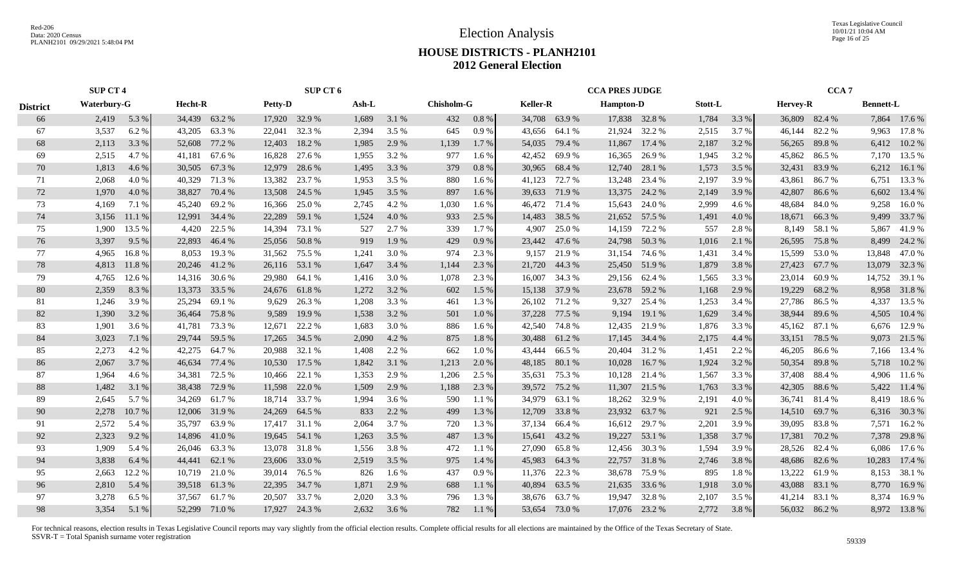Texas Legislative Council 10/01/21 10:04 AM Page 16 of 25

# **HOUSE DISTRICTS - PLANH2101 2012 General Election**

|                 | <b>SUP CT 4</b> |        |         |               | SUP CT 6       |               |       |         |                   |         |                 | <b>CCA PRES JUDGE</b> |                  |               |         |       | CCA <sub>7</sub> |               |                  |               |
|-----------------|-----------------|--------|---------|---------------|----------------|---------------|-------|---------|-------------------|---------|-----------------|-----------------------|------------------|---------------|---------|-------|------------------|---------------|------------------|---------------|
| <b>District</b> | Waterbury-G     |        | Hecht-R |               | <b>Petty-D</b> |               | Ash-L |         | <b>Chisholm-G</b> |         | <b>Keller-R</b> |                       | <b>Hampton-D</b> |               | Stott-L |       | <b>Hervey-R</b>  |               | <b>Bennett-L</b> |               |
| 66              | 2,419           | 5.3 %  |         | 34,439 63.2 % |                | 17,920 32.9 % | 1,689 | 3.1 %   | 432               | 0.8 %   | 34,708          | 63.9%                 |                  | 17,838 32.8 % | 1,784   | 3.3 % |                  | 36,809 82.4 % |                  | 7,864 17.6 %  |
| 67              | 3,537           | 6.2 %  | 43,205  | 63.3 %        | 22,041         | 32.3 %        | 2,394 | 3.5 %   | 645               | 0.9%    | 43,656          | 64.1 %                |                  | 21,924 32.2 % | 2,515   | 3.7 % | 46,144           | 82.2 %        | 9,963            | 17.8 %        |
| 68              | 2,113           | 3.3 %  | 52,608  | 77.2 %        | 12,403         | 18.2 %        | 1,985 | 2.9 %   | 1,139             | 1.7%    | 54,035          | 79.4 %                | 11,867           | 17.4 %        | 2,187   | 3.2 % | 56,265           | 89.8%         | 6,412            | 10.2%         |
| 69              | 2,515           | 4.7 %  | 41,181  | 67.6 %        | 16,828         | 27.6 %        | 1,955 | 3.2 %   | 977               | 1.6 %   | 42,452          | 69.9%                 | 16,365           | 26.9%         | 1,945   | 3.2 % | 45,862           | 86.5 %        |                  | 7,170 13.5 %  |
| 70              | 1,813           | 4.6 %  | 30,505  | 67.3%         | 12,979         | 28.6%         | 1,495 | 3.3 %   | 379               | 0.8%    | 30,965          | 68.4%                 | 12,740           | 28.1 %        | 1,573   | 3.5 % | 32,431           | 83.9%         | 6,212            | 16.1 %        |
| 71              | 2,068           | 4.0%   | 40,329  | 71.3 %        | 13,382         | 23.7 %        | 1,953 | 3.5 %   | 880               | $1.6\%$ | 41,123          | 72.7 %                | 13,248           | 23.4 %        | 2,197   | 3.9%  | 43,861           | 86.7%         | 6,751            | 13.3 %        |
| 72              | 1,970           | 4.0 %  | 38,827  | 70.4 %        | 13,508         | 24.5 %        | 1,945 | 3.5 %   | 897               | 1.6 %   | 39,633          | 71.9 %                | 13,375           | 24.2 %        | 2,149   | 3.9 % | 42,807           | 86.6%         | 6,602            | 13.4 %        |
| 73              | 4,169           | 7.1 %  | 45,240  | 69.2 %        | 16,366         | 25.0 %        | 2,745 | 4.2 %   | 1,030             | 1.6 %   |                 | 46,472 71.4 %         | 15,643           | 24.0 %        | 2,999   | 4.6 % | 48,684           | 84.0%         | 9,258            | 16.0%         |
| 74              | 3,156           | 11.1 % | 12,991  | 34.4 %        | 22,289         | 59.1 %        | 1,524 | 4.0%    | 933               | 2.5 %   | 14,483          | 38.5 %                |                  | 21,652 57.5 % | 1,491   | 4.0%  | 18,671           | 66.3%         | 9,499            | 33.7 %        |
| 75              | 1,900           | 13.5 % | 4,420   | 22.5 %        | 14,394         | 73.1 %        | 527   | 2.7 %   | 339               | 1.7 %   | 4,907           | 25.0%                 | 14,159           | 72.2 %        | 557     | 2.8%  | 8,149            | 58.1 %        | 5,867            | 41.9%         |
| 76              | 3,397           | 9.5 %  | 22,893  | 46.4 %        | 25,056         | 50.8%         | 919   | 1.9 %   | 429               | 0.9%    | 23,442          | 47.6 %                | 24,798           | 50.3%         | 1,016   | 2.1 % | 26,595           | 75.8%         | 8,499            | 24.2 %        |
| 77              | 4,965           | 16.8%  | 8,053   | 19.3 %        | 31,562         | 75.5 %        | 1,241 | 3.0%    | 974               | 2.3 %   | 9,157           | 21.9%                 |                  | 31,154 74.6 % | 1,431   | 3.4 % | 15,599           | 53.0 %        | 13,848           | 47.0 %        |
| 78              | 4,813           | 11.8%  |         | 20,246 41.2 % |                | 26,116 53.1 % | 1,647 | 3.4 %   | 1,144             | 2.3 %   | 21,720          | 44.3 %                |                  | 25,450 51.9 % | 1,879   | 3.8%  |                  | 27,423 67.7 % | 13,079           | 32.3 %        |
| 79              | 4,765           | 12.6 % |         | 14,316 30.6 % | 29,980         | 64.1 %        | 1,416 | 3.0 %   | 1,078             | 2.3 %   | 16,007          | 34.3 %                |                  | 29,156 62.4 % | 1,565   | 3.3 % |                  | 23,014 60.9 % |                  | 14,752 39.1 % |
| 80              | 2,359           | 8.3%   | 13,373  | 33.5 %        |                | 24,676 61.8%  | 1,272 | 3.2 %   | 602               | 1.5 %   |                 | 15,138 37.9 %         |                  | 23,678 59.2 % | 1,168   | 2.9%  |                  | 19,229 68.2 % |                  | 8,958 31.8%   |
| 81              | 1,246           | 3.9 %  | 25,294  | 69.1 %        | 9,629          | 26.3 %        | 1,208 | 3.3 %   | 461               | 1.3%    |                 | 26,102 71.2 %         | 9,327            | 25.4 %        | 1,253   | 3.4 % |                  | 27,786 86.5 % | 4,337            | 13.5 %        |
| 82              | 1,390           | 3.2%   | 36,464  | 75.8%         | 9,589          | 19.9 %        | 1,538 | 3.2 %   | 501               | 1.0%    | 37,228          | 77.5 %                |                  | 9,194 19.1 %  | 1,629   | 3.4 % |                  | 38,944 89.6 % | 4,505            | 10.4 %        |
| 83              | 1,901           | 3.6 %  | 41,781  | 73.3 %        | 12,671         | 22.2 %        | 1,683 | 3.0 %   | 886               | 1.6 %   | 42,540          | 74.8%                 | 12,435           | 21.9%         | 1,876   | 3.3 % | 45,162           | 87.1 %        | 6,676            | 12.9 %        |
| 84              | 3,023           | 7.1 %  | 29,744  | 59.5 %        | 17,265         | 34.5 %        | 2,090 | 4.2 %   | 875               | 1.8%    | 30,488          | 61.2%                 | 17,145           | 34.4 %        | 2,175   | 4.4 % | 33,151           | 78.5 %        | 9,073            | 21.5 %        |
| 85              | 2,273           | 4.2 %  | 42,275  | 64.7 %        | 20,988         | 32.1 %        | 1,408 | 2.2 %   | 662               | 1.0%    | 43,444          | 66.5 %                |                  | 20,404 31.2 % | 1,451   | 2.2 % | 46,205           | 86.6 %        |                  | 7,166 13.4 %  |
| 86              | 2,067           | 3.7 %  | 46,634  | 77.4 %        | 10,530         | 17.5 %        | 1,842 | 3.1 %   | 1,213             | 2.0 %   | 48,185          | 80.1%                 |                  | 10,028 16.7 % | 1,924   | 3.2 % |                  | 50,354 89.8 % |                  | 5,718 10.2 %  |
| 87              | 1,964           | 4.6 %  | 34,381  | 72.5 %        | 10,466         | 22.1 %        | 1,353 | 2.9 %   | 1,206             | 2.5 %   | 35,631          | 75.3 %                |                  | 10,128 21.4 % | 1,567   | 3.3 % | 37,408           | 88.4%         |                  | 4,906 11.6 %  |
| 88              | 1,482           | 3.1%   | 38,438  | 72.9 %        | 11,598         | 22.0 %        | 1,509 | 2.9 %   | 1,188             | 2.3 %   | 39,572          | 75.2 %                |                  | 11,307 21.5 % | 1,763   | 3.3 % | 42,305           | 88.6%         | 5,422            | 11.4 %        |
| 89              | 2,645           | 5.7 %  | 34,269  | 61.7%         | 18,714         | 33.7 %        | 1,994 | 3.6 %   | 590               | 1.1%    | 34,979          | 63.1 %                | 18,262           | 32.9 %        | 2,191   | 4.0%  |                  | 36,741 81.4 % | 8,419            | 18.6 %        |
| 90              | 2,278           | 10.7%  | 12,006  | 31.9 %        | 24,269         | 64.5 %        | 833   | 2.2 %   | 499               | 1.3%    | 12,709          | 33.8%                 | 23,932           | 63.7 %        | 921     | 2.5 % |                  | 14,510 69.7 % |                  | 6,316 30.3%   |
| 91              | 2,572           | 5.4 %  | 35,797  | 63.9%         |                | 17,417 31.1 % | 2,064 | 3.7 %   | 720               | 1.3 %   | 37,134          | 66.4 %                | 16,612           | 29.7 %        | 2,201   | 3.9%  |                  | 39,095 83.8 % | 7,571            | 16.2 %        |
| 92              | 2,323           | 9.2 %  | 14,896  | 41.0%         | 19,645         | 54.1 %        | 1,263 | 3.5 %   | 487               | 1.3 %   | 15,641          | 43.2 %                | 19,227           | 53.1 %        | 1,358   | 3.7 % | 17,381           | 70.2 %        | 7,378            | 29.8%         |
| 93              | 1,909           | 5.4 %  | 26,046  | 63.3 %        | 13,078         | 31.8%         | 1,556 | 3.8%    | 472               | 1.1 %   | 27,090          | 65.8%                 | 12,456           | 30.3 %        | 1,594   | 3.9%  |                  | 28,526 82.4 % | 6,086            | 17.6 %        |
| 94              | 3,838           | 6.4 %  | 44,441  | 62.1 %        | 23,606         | 33.0 %        | 2,519 | 3.5 %   | 975               | 1.4 %   | 45,983          | 64.3 %                |                  | 22,757 31.8 % | 2,746   | 3.8 % |                  | 48,686 82.6 % | 10,283           | 17.4 %        |
| 95              | 2,663           | 12.2 % |         | 10,719 21.0 % | 39,014         | 76.5 %        | 826   | $1.6\%$ | 437               | 0.9%    | 11,376          | 22.3 %                |                  | 38,678 75.9 % | 895     | 1.8%  |                  | 13,222 61.9 % |                  | 8,153 38.1 %  |
| 96              | 2,810           | 5.4 %  |         | 39,518 61.3 % | 22,395         | 34.7 %        | 1,871 | 2.9 %   | 688               | 1.1 %   | 40,894          | 63.5 %                | 21,635           | 33.6 %        | 1,918   | 3.0 % | 43,088           | 83.1 %        | 8,770            | 16.9%         |
| 97              | 3,278           | 6.5 %  | 37,567  | 61.7%         | 20,507         | 33.7 %        | 2,020 | 3.3 %   | 796               | 1.3 %   | 38,676          | 63.7%                 | 19,947           | 32.8%         | 2,107   | 3.5 % | 41,214           | 83.1 %        | 8,374            | 16.9%         |
| 98              | 3,354           | 5.1 %  |         | 52,299 71.0 % |                | 17,927 24.3 % | 2,632 | 3.6 %   | 782               | 1.1%    | 53,654 73.0 %   |                       |                  | 17,076 23.2 % | 2,772   | 3.8%  |                  | 56,032 86.2 % |                  | 8,972 13.8 %  |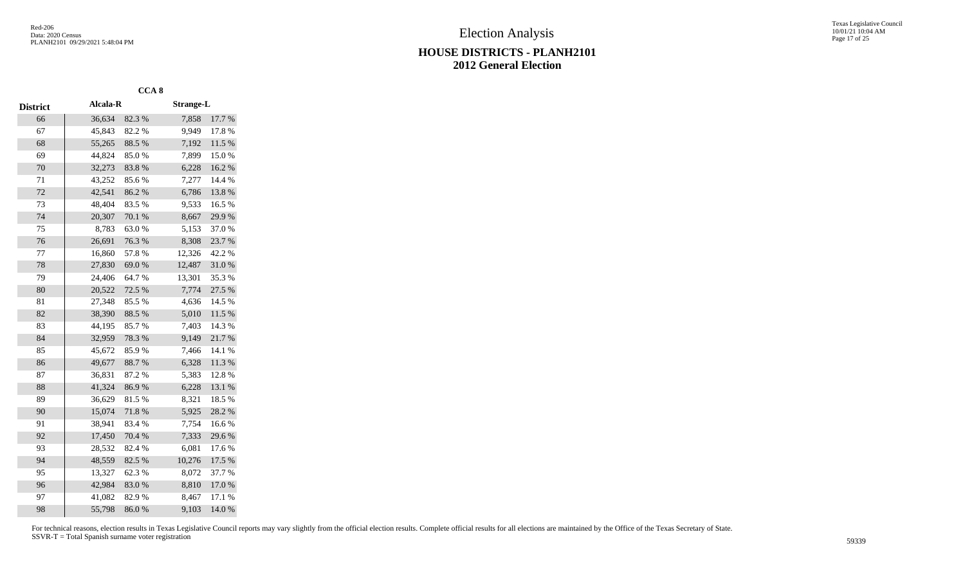|                 |          | CCA <sub>8</sub> |                  |        |
|-----------------|----------|------------------|------------------|--------|
| <b>District</b> | Alcala-R |                  | <b>Strange-L</b> |        |
| 66              | 36,634   | 82.3 %           | 7,858            | 17.7 % |
| 67              | 45,843   | 82.2%            | 9,949            | 17.8%  |
| 68              | 55,265   | 88.5%            | 7,192            | 11.5 % |
| 69              | 44,824   | 85.0%            | 7,899            | 15.0%  |
| 70              | 32,273   | 83.8%            | 6,228            | 16.2%  |
| 71              | 43,252   | 85.6%            | 7,277            | 14.4 % |
| 72              | 42,541   | 86.2%            | 6,786            | 13.8%  |
| 73              | 48,404   | 83.5%            | 9,533            | 16.5 % |
| 74              | 20,307   | 70.1 %           | 8,667            | 29.9%  |
| 75              | 8,783    | 63.0%            | 5,153            | 37.0%  |
| 76              | 26,691   | 76.3%            | 8,308            | 23.7%  |
| 77              | 16,860   | 57.8 %           | 12,326           | 42.2 % |
| 78              | 27,830   | 69.0%            | 12,487           | 31.0%  |
| 79              | 24,406   | 64.7%            | 13,301           | 35.3%  |
| 80              | 20,522   | 72.5 %           | 7,774            | 27.5 % |
| 81              | 27,348   | 85.5%            | 4,636            | 14.5 % |
| 82              | 38,390   | 88.5 %           | 5,010            | 11.5 % |
| 83              | 44,195   | 85.7%            | 7,403            | 14.3 % |
| 84              | 32,959   | 78.3%            | 9,149            | 21.7%  |
| 85              | 45,672   | 85.9%            | 7,466            | 14.1 % |
| 86              | 49,677   | 88.7%            | 6,328            | 11.3 % |
| 87              | 36,831   | 87.2%            | 5,383            | 12.8%  |
| 88              | 41,324   | 86.9%            | 6,228            | 13.1 % |
| 89              | 36,629   | 81.5%            | 8,321            | 18.5 % |
| 90              | 15,074   | 71.8%            | 5,925            | 28.2 % |
| 91              | 38,941   | 83.4%            | 7,754            | 16.6%  |
| 92              | 17,450   | 70.4 %           | 7,333            | 29.6%  |
| 93              | 28,532   | 82.4 %           | 6,081            | 17.6%  |
| 94              | 48,559   | 82.5 %           | 10,276           | 17.5 % |
| 95              | 13,327   | 62.3 %           | 8,072            | 37.7 % |
| 96              | 42,984   | 83.0%            | 8,810            | 17.0 % |
| 97              | 41,082   | 82.9%            | 8,467            | 17.1 % |
| 98              | 55,798   | 86.0%            | 9,103            | 14.0%  |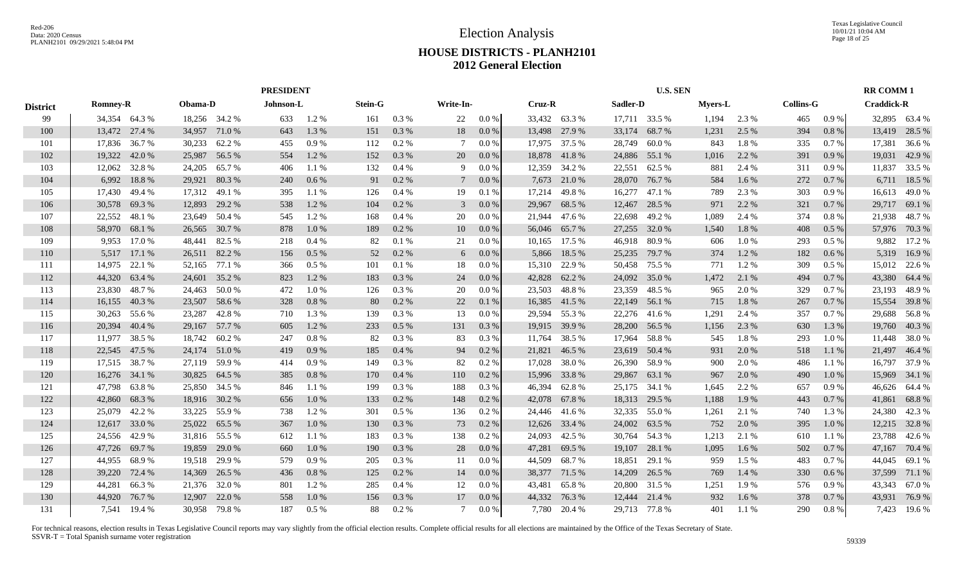|                 |                 |        |               | <b>PRESIDENT</b> |           |         |                |         |                 |          |        |               | <b>U.S. SEN</b> |               |                |       |                  | <b>RR COMM1</b> |                   |        |
|-----------------|-----------------|--------|---------------|------------------|-----------|---------|----------------|---------|-----------------|----------|--------|---------------|-----------------|---------------|----------------|-------|------------------|-----------------|-------------------|--------|
| <b>District</b> | <b>Romney-R</b> |        | Obama-D       |                  | Johnson-L |         | <b>Stein-G</b> |         | Write-In-       |          | Cruz-R |               | Sadler-D        |               | <b>Myers-L</b> |       | <b>Collins-G</b> |                 | <b>Craddick-R</b> |        |
| 99              | 34,354 64.3 %   |        | 18,256 34.2 % |                  | 633       | 1.2 %   | 161            | 0.3%    | 22              | $0.0\%$  |        | 33,432 63.3 % |                 | 17,711 33.5 % | 1,194          | 2.3 % | 465              | 0.9 %           | 32,895 63.4 %     |        |
| 100             | 13,472 27.4 %   |        | 34,957        | 71.0%            | 643       | 1.3 %   | 151            | 0.3%    | 18              | 0.0 %    | 13,498 | 27.9 %        | 33,174          | 68.7%         | 1,231          | 2.5 % | 394              | 0.8%            | 13,419            | 28.5 % |
| 101             | 17,836          | 36.7 % | 30,233        | 62.2 %           | 455       | 0.9%    | 112            | 0.2 %   | 7               | 0.0 %    | 17,975 | 37.5 %        | 28,749          | 60.0%         | 843            | 1.8%  | 335              | 0.7%            | 17,381            | 36.6 % |
| 102             | 19,322          | 42.0 % | 25,987        | 56.5 %           | 554       | 1.2%    | 152            | 0.3 %   | 20              | 0.0 %    | 18,878 | 41.8%         | 24,886          | 55.1 %        | 1,016          | 2.2 % | 391              | 0.9%            | 19,031            | 42.9 % |
| 103             | 12,062          | 32.8%  | 24,205        | 65.7%            | 406       | 1.1%    | 132            | 0.4%    | 9               | $0.0\%$  | 12,359 | 34.2 %        | 22,551          | 62.5 %        | 881            | 2.4 % | 311              | 0.9%            | 11,837            | 33.5 % |
| 104             | 6,992           | 18.8%  | 29,921        | 80.3%            | 240       | 0.6 %   | 91             | 0.2 %   | $7\phantom{.0}$ | 0.0 %    | 7,673  | 21.0%         | 28,070          | 76.7%         | 584            | 1.6 % | 272              | 0.7%            | 6,711             | 18.5 % |
| 105             | 17,430          | 49.4 % | 17,312        | 49.1 %           | 395       | 1.1%    | 126            | 0.4%    | 19              | 0.1%     | 17,214 | 49.8%         | 16,277          | 47.1 %        | 789            | 2.3%  | 303              | 0.9%            | 16,613            | 49.0%  |
| 106             | 30,578          | 69.3%  | 12,893        | 29.2 %           | 538       | 1.2%    | 104            | 0.2 %   | 3               | 0.0 %    | 29,967 | 68.5 %        | 12,467          | 28.5 %        | 971            | 2.2 % | 321              | 0.7%            | 29,717            | 69.1 % |
| 107             | 22,552          | 48.1 % | 23,649        | 50.4 %           | 545       | 1.2%    | 168            | 0.4%    | 20              | 0.0 %    | 21,944 | 47.6 %        | 22,698          | 49.2 %        | 1,089          | 2.4 % | 374              | 0.8%            | 21,938            | 48.7%  |
| 108             | 58,970          | 68.1 % | 26,565        | 30.7 %           | 878       | 1.0%    | 189            | 0.2 %   | 10              | 0.0 %    | 56,046 | 65.7 %        | 27,255          | 32.0 %        | 1,540          | 1.8%  | 408              | 0.5%            | 57,976            | 70.3%  |
| 109             | 9,953           | 17.0 % | 48,441        | 82.5 %           | 218       | 0.4%    | 82             | 0.1%    | 21              | 0.0 %    | 10,165 | 17.5 %        | 46,918          | 80.9%         | 606            | 1.0%  | 293              | $0.5\%$         | 9,882             | 17.2 % |
| 110             | 5,517           | 17.1 % | 26,511        | 82.2 %           | 156       | 0.5%    | 52             | 0.2 %   | 6               | $0.0\%$  | 5,866  | 18.5 %        | 25,235          | 79.7 %        | 374            | 1.2%  | 182              | 0.6%            | 5.319             | 16.9%  |
| 111             | 14,975          | 22.1 % | 52,165        | 77.1 %           | 366       | $0.5\%$ | 101            | 0.1%    | 18              | 0.0 %    | 15,310 | 22.9 %        | 50,458          | 75.5 %        | 771            | 1.2%  | 309              | $0.5\%$         | 15,012 22.6 %     |        |
| 112             | 44,320          | 63.4 % | 24,601        | 35.2 %           | 823       | $1.2\%$ | 183            | 0.3%    | 24              | 0.0 %    | 42,828 | 62.2 %        | 24,092          | 35.0%         | 1,472          | 2.1 % | 494              | 0.7%            | 43,380            | 64.4 % |
| 113             | 23,830          | 48.7%  | 24,463        | 50.0%            | 472       | 1.0%    | 126            | 0.3%    | 20              | $0.0\%$  | 23,503 | 48.8%         | 23,359          | 48.5 %        | 965            | 2.0 % | 329              | $0.7\%$         | 23,193            | 48.9%  |
| 114             | 16,155 40.3 %   |        | 23,507        | 58.6%            | 328       | 0.8%    | 80             | 0.2 %   | 22              | 0.1%     | 16,385 | 41.5 %        |                 | 22,149 56.1 % | 715            | 1.8%  | 267              | 0.7%            | 15,554            | 39.8%  |
| 115             | 30,263          | 55.6 % | 23,287        | 42.8%            | 710       | 1.3 %   | 139            | 0.3 %   | 13              | 0.0 %    |        | 29,594 55.3 % |                 | 22,276 41.6 % | 1,291          | 2.4 % | 357              | 0.7%            | 29,688            | 56.8%  |
| 116             | 20,394          | 40.4 % | 29,167        | 57.7 %           | 605       | 1.2 %   | 233            | $0.5\%$ | 131             | 0.3 %    | 19,915 | 39.9 %        | 28,200          | 56.5 %        | 1,156          | 2.3 % | 630              | 1.3 %           | 19,760            | 40.3%  |
| 117             | 11,977          | 38.5 % | 18,742        | 60.2%            | 247       | 0.8%    | 82             | 0.3%    | 83              | 0.3 %    | 11,764 | 38.5 %        | 17,964          | 58.8%         | 545            | 1.8%  | 293              | 1.0%            | 11,448            | 38.0%  |
| 118             | 22,545          | 47.5 % | 24,174        | 51.0 %           | 419       | 0.9%    | 185            | 0.4%    | 94              | $0.2\%$  | 21,821 | 46.5 %        | 23,619          | 50.4 %        | 931            | 2.0 % | 518              | 1.1%            | 21,497            | 46.4 % |
| 119             | 17,515          | 38.7 % | 27,119        | 59.9 %           | 414       | 0.9%    | 149            | 0.3 %   | 82              | $0.2 \%$ | 17,028 | 38.0%         | 26,390          | 58.9%         | 900            | 2.0 % | 486              | 1.1 %           | 16,797            | 37.9 % |
| 120             | 16,276          | 34.1 % | 30,825        | 64.5 %           | 385       | 0.8%    | 170            | 0.4%    | 110             | $0.2\%$  | 15,996 | 33.8%         | 29,867          | 63.1 %        | 967            | 2.0%  | 490              | $1.0\%$         | 15,969            | 34.1 % |
| 121             | 47,798          | 63.8%  | 25,850        | 34.5 %           | 846       | 1.1%    | 199            | 0.3%    | 188             | $0.3\%$  | 46,394 | 62.8%         | 25,175          | 34.1 %        | 1,645          | 2.2 % | 657              | 0.9%            | 46,626            | 64.4 % |
| 122             | 42,860          | 68.3%  | 18,916 30.2 % |                  | 656       | $1.0\%$ | 133            | 0.2 %   | 148             | 0.2 %    | 42,078 | 67.8%         | 18,313          | 29.5 %        | 1,188          | 1.9 % | 443              | 0.7%            | 41,861            | 68.8%  |
| 123             | 25,079          | 42.2 % | 33,225        | 55.9%            | 738       | $1.2\%$ | 301            | $0.5\%$ | 136             | $0.2\%$  | 24,446 | 41.6 %        | 32,335          | 55.0 %        | 1,261          | 2.1 % | 740              | 1.3 %           | 24,380            | 42.3 % |
| 124             | 12,617          | 33.0 % | 25,022        | 65.5 %           | 367       | 1.0%    | 130            | 0.3%    | 73              | 0.2 %    | 12,626 | 33.4 %        | 24,002          | 63.5 %        | 752            | 2.0%  | 395              | $1.0\%$         | 12,215            | 32.8%  |
| 125             | 24,556          | 42.9%  | 31,816        | 55.5 %           | 612       | 1.1 %   | 183            | 0.3%    | 138             | 0.2 %    | 24,093 | 42.5 %        | 30,764          | 54.3 %        | 1,213          | 2.1 % | 610              | $1.1\%$         | 23,788            | 42.6 % |
| 126             | 47,726          | 69.7%  | 19,859        | 29.0 %           | 660       | 1.0%    | 190            | 0.3%    | 28              | 0.0 %    | 47,281 | 69.5 %        | 19,107          | 28.1 %        | 1,095          | 1.6 % | 502              | 0.7%            | 47,167            | 70.4 % |
| 127             | 44,955          | 68.9%  | 19,518        | 29.9%            | 579       | 0.9%    | 205            | 0.3%    | -11             | 0.0 %    | 44,509 | 68.7%         | 18,851          | 29.1 %        | 959            | 1.5 % | 483              | 0.7%            | 44,045            | 69.1 % |
| 128             | 39,220          | 72.4 % | 14,369        | 26.5 %           | 436       | 0.8%    | 125            | 0.2%    | 14              | 0.0 %    |        | 38,377 71.5 % | 14,209          | 26.5 %        | 769            | 1.4 % | 330              | 0.6%            | 37,599            | 71.1 % |
| 129             | 44,281          | 66.3%  | 21,376        | 32.0 %           | 801       | 1.2%    | 285            | 0.4%    | 12              | $0.0\%$  | 43,481 | 65.8%         | 20,800          | 31.5 %        | 1,251          | 1.9%  | 576              | 0.9%            | 43,343            | 67.0%  |
| 130             | 44,920          | 76.7%  | 12,907        | 22.0 %           | 558       | 1.0%    | 156            | 0.3%    | 17              | 0.0 %    | 44,332 | 76.3%         | 12,444          | 21.4 %        | 932            | 1.6%  | 378              | 0.7%            | 43,931            | 76.9%  |
| 131             | 7,541 19.4 %    |        | 30,958 79.8 % |                  | 187       | $0.5\%$ | 88             | 0.2 %   |                 | 0.0 %    |        | 7,780 20.4 %  |                 | 29,713 77.8 % | 401            | 1.1 % | 290              | $0.8 \%$        | 7,423 19.6 %      |        |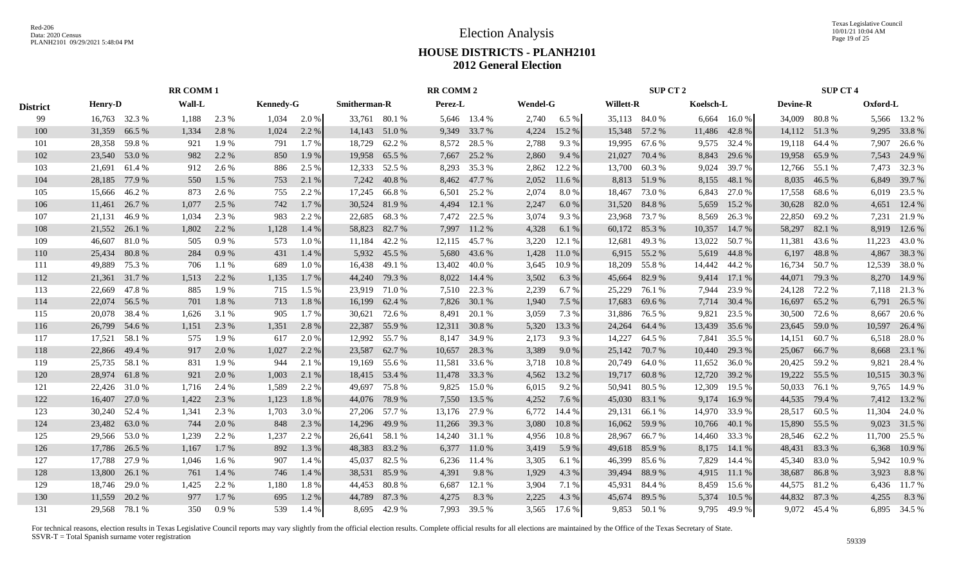Texas Legislative Council 10/01/21 10:04 AM Page 19 of 25

# **HOUSE DISTRICTS - PLANH2101 2012 General Election**

|                 | <b>RR COMM1</b> |        |        |         |                  |       |                     |               | <b>RR COMM 2</b> |               |                 |         |                  | SUP CT 2      |           |        |                 | <b>SUP CT 4</b> |          |              |
|-----------------|-----------------|--------|--------|---------|------------------|-------|---------------------|---------------|------------------|---------------|-----------------|---------|------------------|---------------|-----------|--------|-----------------|-----------------|----------|--------------|
| <b>District</b> | <b>Henry-D</b>  |        | Wall-L |         | <b>Kennedy-G</b> |       | <b>Smitherman-R</b> |               | Perez-L          |               | <b>Wendel-G</b> |         | <b>Willett-R</b> |               | Koelsch-L |        | <b>Devine-R</b> |                 | Oxford-L |              |
| 99              | 16,763 32.3 %   |        | 1,188  | 2.3 %   | 1,034            | 2.0 % |                     | 33,761 80.1 % |                  | 5,646 13.4 %  | 2,740           | $6.5\%$ |                  | 35,113 84.0 % | 6,664     | 16.0 % |                 | 34,009 80.8%    |          | 5,566 13.2 % |
| 100             | 31,359          | 66.5 % | 1,334  | 2.8 %   | 1,024            | 2.2 % |                     | 14,143 51.0 % |                  | 9,349 33.7 %  | 4,224           | 15.2 %  |                  | 15,348 57.2 % | 11,486    | 42.8%  |                 | 14,112 51.3 %   |          | 9,295 33.8 % |
| 101             | 28,358 59.8 %   |        | 921    | 1.9 %   | 791              | 1.7 % | 18,729              | 62.2 %        | 8,572            | 28.5 %        | 2,788           | 9.3%    | 19,995           | 67.6 %        | 9,575     | 32.4 % |                 | 19,118 64.4 %   | 7,907    | 26.6 %       |
| 102             | 23,540 53.0 %   |        | 982    | 2.2 %   | 850              | 1.9 % | 19,958              | 65.5 %        | 7,667            | 25.2 %        | 2,860           | 9.4 %   | 21,027           | 70.4 %        | 8,843     | 29.6 % |                 | 19,958 65.9 %   |          | 7,543 24.9 % |
| 103             | 21,691 61.4 %   |        | 912    | 2.6 %   | 886              | 2.5 % | 12,333              | 52.5 %        | 8,293            | 35.3 %        | 2,862           | 12.2 %  | 13,700           | 60.3%         | 9,024     | 39.7 % |                 | 12,766 55.1 %   | 7,473    | 32.3 %       |
| 104             | 28,185          | 77.9 % | 550    | 1.5 %   | 753              | 2.1 % | 7,242               | 40.8%         | 8,462            | 47.7 %        | 2,052           | 11.6 %  | 8,813            | 51.9%         | 8,155     | 48.1 % | 8,035           | 46.5 %          | 6,849    | 39.7 %       |
| 105             | 15,666 46.2 %   |        | 873    | 2.6 %   | 755              | 2.2 % | 17,245              | 66.8 %        | 6,501            | 25.2 %        | 2,074           | 8.0%    | 18,467           | 73.0 %        | 6,843     | 27.0 % | 17,558          | 68.6 %          | 6,019    | 23.5 %       |
| 106             | 11,461          | 26.7 % | 1,077  | 2.5 %   | 742              | 1.7%  | 30,524              | 81.9%         | 4,494            | 12.1 %        | 2,247           | 6.0%    | 31,520           | 84.8%         | 5,659     | 15.2 % | 30,628          | 82.0%           | 4,651    | 12.4 %       |
| 107             | 21,131          | 46.9%  | 1,034  | 2.3 %   | 983              | 2.2 % | 22,685              | 68.3%         | 7,472            | 22.5 %        | 3,074           | 9.3%    | 23,968           | 73.7 %        | 8,569     | 26.3 % | 22,850          | 69.2 %          | 7,231    | 21.9%        |
| 108             | 21,552          | 26.1 % | 1,802  | 2.2 %   | 1,128            | 1.4 % | 58,823              | 82.7 %        | 7,997            | 11.2 %        | 4,328           | 6.1 %   | 60,172           | 85.3%         | 10,357    | 14.7 % | 58,297          | 82.1 %          | 8,919    | 12.6 %       |
| 109             | 46,607          | 81.0%  | 505    | 0.9%    | 573              | 1.0%  | 11,184              | 42.2 %        | 12,115           | 45.7 %        | 3,220           | 12.1 %  | 12,681           | 49.3 %        | 13,022    | 50.7 % | 11,381          | 43.6 %          | 11,223   | 43.0%        |
| 110             | 25,434          | 80.8%  | 284    | 0.9%    | 431              | 1.4 % | 5,932               | 45.5 %        | 5,680            | 43.6 %        | 1,428           | 11.0 %  | 6,915            | 55.2 %        | 5,619     | 44.8%  | 6,197           | 48.8%           | 4,867    | 38.3 %       |
| 111             | 49,889          | 75.3 % | 706    | 1.1%    | 689              | 1.0%  | 16,438              | 49.1 %        | 13,402           | 40.0 %        | 3,645           | 10.9%   | 18,209           | 55.8%         | 14,442    | 44.2 % |                 | 16,734 50.7 %   | 12,539   | 38.0%        |
| 112             | 21,361 31.7 %   |        | 1,513  | 2.2 %   | 1,135            | 1.7%  | 44,240              | 79.3 %        |                  | 8,022 14.4 %  | 3,502           | 6.3%    | 45,664           | 82.9 %        | 9,414     | 17.1 % | 44,071          | 79.3 %          | 8,270    | 14.9 %       |
| 113             | 22,669 47.8 %   |        | 885    | 1.9 %   | 715              | 1.5 % | 23,919 71.0 %       |               |                  | 7,510 22.3 %  | 2,239           | 6.7 %   | 25,229           | 76.1 %        | 7.944     | 23.9 % |                 | 24,128 72.2 %   |          | 7,118 21.3 % |
| 114             | 22,074 56.5 %   |        | 701    | 1.8%    | 713              | 1.8%  | 16,199              | 62.4 %        |                  | 7,826 30.1 %  | 1,940           | 7.5 %   | 17,683           | 69.6 %        | 7,714     | 30.4 % | 16,697          | 65.2 %          |          | 6,791 26.5 % |
| 115             | 20,078          | 38.4 % | 1,626  | 3.1 %   | 905              | 1.7%  | 30,621              | 72.6 %        | 8,491            | 20.1 %        | 3,059           | 7.3 %   |                  | 31,886 76.5 % | 9,821     | 23.5 % | 30,500          | 72.6 %          | 8,667    | 20.6 %       |
| 116             | 26,799 54.6 %   |        | 1,151  | 2.3 %   | 1,351            | 2.8%  | 22,387              | 55.9%         |                  | 12,311 30.8 % | 5,320           | 13.3 %  | 24,264           | 64.4 %        | 13,439    | 35.6 % | 23,645          | 59.0 %          | 10,597   | 26.4 %       |
| 117             | 17,521          | 58.1 % | 575    | 1.9 %   | 617              | 2.0 % | 12,992              | 55.7 %        | 8,147            | 34.9 %        | 2,173           | 9.3%    | 14,227           | 64.5 %        | 7,841     | 35.5 % | 14,151          | 60.7%           | 6,518    | 28.0%        |
| 118             | 22,866 49.4 %   |        | 917    | 2.0%    | 1,027            | 2.2 % | 23,587              | 62.7 %        | 10,657           | 28.3 %        | 3,389           | 9.0 %   | 25,142           | 70.7 %        | 10,440    | 29.3 % | 25,067          | 66.7 %          | 8,668    | 23.1 %       |
| 119             | 25,735 58.1 %   |        | 831    | 1.9 %   | 944              | 2.1 % | 19,169              | 55.6 %        | 11,581           | 33.6 %        | 3,718           | 10.8%   |                  | 20,749 64.0 % | 11,652    | 36.0%  |                 | 20,425 59.2 %   | 9,821    | 28.4 %       |
| 120             | 28,974          | 61.8%  | 921    | 2.0%    | 1,003            | 2.1 % | 18,415              | 53.4 %        | 11,478           | 33.3 %        | 4,562           | 13.2 %  |                  | 19,717 60.8 % | 12,720    | 39.2 % |                 | 19,222 55.5 %   | 10,515   | 30.3 %       |
| 121             | 22,426 31.0 %   |        | 1,716  | 2.4 %   | 1,589            | 2.2 % | 49,697              | 75.8%         | 9,825            | 15.0%         | 6,015           | 9.2 %   | 50,941           | 80.5 %        | 12,309    | 19.5 % | 50,033          | 76.1 %          | 9,765    | 14.9 %       |
| 122             | 16,407          | 27.0 % | 1,422  | 2.3 %   | 1,123            | 1.8%  | 44,076              | 78.9%         | 7,550            | 13.5 %        | 4,252           | 7.6 %   |                  | 45,030 83.1 % | 9,174     | 16.9%  | 44,535          | 79.4 %          | 7,412    | 13.2 %       |
| 123             | 30,240          | 52.4 % | 1,341  | 2.3 %   | 1.703            | 3.0%  | 27,206              | 57.7 %        | 13,176           | 27.9 %        | 6,772           | 14.4 %  | 29,131           | 66.1 %        | 14,970    | 33.9%  | 28,517          | 60.5 %          | 11,304   | 24.0 %       |
| 124             | 23,482          | 63.0%  | 744    | 2.0 %   | 848              | 2.3 % | 14,296              | 49.9 %        | 11,266           | 39.3 %        | 3,080           | 10.8%   | 16,062           | 59.9%         | 10,766    | 40.1 % | 15,890          | 55.5 %          | 9,023    | 31.5 %       |
| 125             | 29,566 53.0 %   |        | 1,239  | 2.2 %   | 1,237            | 2.2 % | 26,641              | 58.1 %        |                  | 14,240 31.1 % | 4,956           | 10.8%   | 28,967           | 66.7%         | 14,460    | 33.3 % |                 | 28,546 62.2 %   | 11,700   | 25.5 %       |
| 126             | 17,786          | 26.5 % | 1,167  | 1.7 %   | 892              | 1.3 % | 48,383              | 83.2 %        | 6,377            | 11.0 %        | 3,419           | 5.9 %   |                  | 49,618 85.9 % | 8,175     | 14.1 % | 48,431          | 83.3%           | 6,368    | 10.9%        |
| 127             | 17,788 27.9 %   |        | 1,046  | $1.6\%$ | 907              | 1.4 % | 45,037              | 82.5 %        | 6,236            | 11.4 %        | 3,305           | 6.1 %   | 46,399           | 85.6 %        | 7,829     | 14.4 % |                 | 45,340 83.0 %   | 5,942    | 10.9%        |
| 128             | 13,800          | 26.1 % | 761    | 1.4 %   | 746              | 1.4 % | 38,531              | 85.9%         | 4,391            | 9.8%          | 1,929           | 4.3%    | 39,494           | 88.9%         | 4,915     | 11.1 % | 38,687          | 86.8%           | 3,923    | 8.8%         |
| 129             | 18,746 29.0 %   |        | 1,425  | 2.2 %   | 1.180            | 1.8%  | 44,453              | 80.8 %        | 6.687            | 12.1 %        | 3,904           | 7.1 %   | 45,931           | 84.4 %        | 8,459     | 15.6 % |                 | 44,575 81.2 %   | 6,436    | 11.7 %       |
| 130             | 11,559          | 20.2 % | 977    | 1.7 %   | 695              | 1.2%  | 44,789              | 87.3%         | 4,275            | 8.3%          | 2,225           | 4.3%    | 45,674           | 89.5 %        | 5,374     | 10.5 % | 44,832          | 87.3%           | 4,255    | 8.3%         |
| 131             | 29,568 78.1 %   |        | 350    | 0.9%    | 539              | 1.4 % |                     | 8.695 42.9 %  | 7.993            | 39.5 %        | 3.565           | 17.6 %  |                  | 9.853 50.1 %  | 9.795     | 49.9%  |                 | 9.072 45.4 %    |          | 6,895 34.5 % |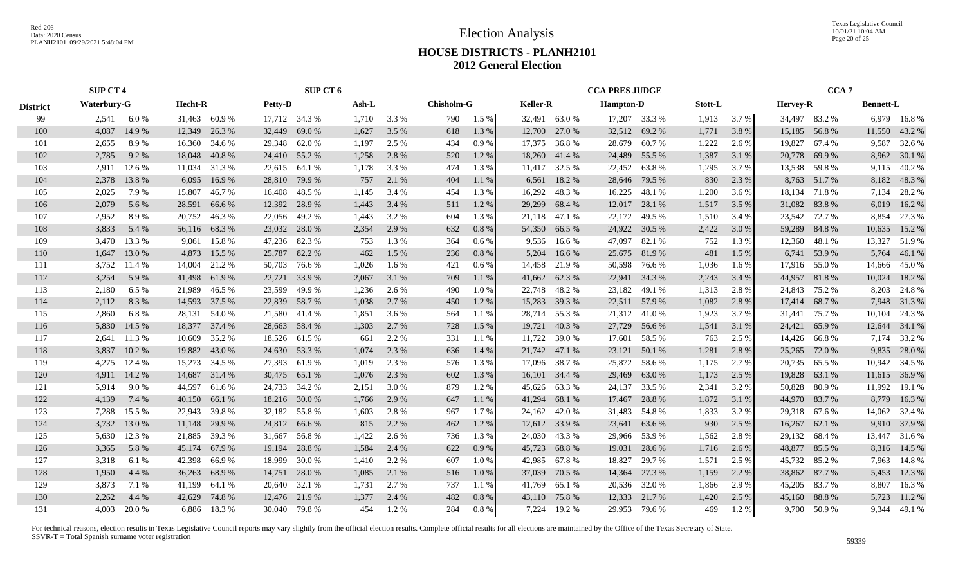Texas Legislative Council 10/01/21 10:04 AM Page 20 of 25

# **HOUSE DISTRICTS - PLANH2101 2012 General Election**

|                 | <b>SUP CT 4</b>    |                  | SUP CT 6         |                |                   |                  | <b>CCA PRES JUDGE</b> |                  | CCA <sub>7</sub> |                  |
|-----------------|--------------------|------------------|------------------|----------------|-------------------|------------------|-----------------------|------------------|------------------|------------------|
| <b>District</b> | <b>Waterbury-G</b> | Hecht-R          | <b>Petty-D</b>   | Ash-L          | <b>Chisholm-G</b> | <b>Keller-R</b>  | <b>Hampton-D</b>      | Stott-L          | <b>Hervey-R</b>  | <b>Bennett-L</b> |
| 99              | 6.0 $%$<br>2,541   | 31,463 60.9 %    | 17,712 34.3 %    | 1,710<br>3.3 % | 1.5 %<br>790      | 32,491 63.0 %    | 17,207 33.3 %         | 1,913<br>3.7 %   | 34,497 83.2 %    | 6,979 16.8%      |
| 100             | 4,087<br>14.9 %    | 12,349<br>26.3 % | 32,449<br>69.0 % | 1,627<br>3.5 % | 618<br>1.3 %      | 12,700<br>27.0 % | 32,512 69.2 %         | 1,771<br>3.8%    | 15,185 56.8 %    | 43.2 %<br>11,550 |
| 101             | 2,655<br>8.9%      | 16,360<br>34.6 % | 29,348 62.0 %    | 1,197<br>2.5 % | 434<br>0.9%       | 17,375<br>36.8%  | 28,679<br>60.7 %      | 1,222<br>2.6 %   | 19,827 67.4 %    | 9,587<br>32.6 %  |
| 102             | 2,785<br>9.2 %     | 18,048<br>40.8%  | 24,410 55.2 %    | 1,258<br>2.8 % | 520<br>1.2%       | 18,260<br>41.4 % | 24,489<br>55.5 %      | 1,387<br>3.1 %   | 20,778 69.9 %    | 8,962 30.1 %     |
| 103             | 12.6 %<br>2,911    | 11,034<br>31.3 % | 22,615 64.1 %    | 3.3 %<br>1,178 | 474<br>1.3%       | 32.5 %<br>11,417 | 22,452 63.8 %         | 1,295<br>3.7 %   | 13,538 59.8 %    | 9,115 40.2 %     |
| 104             | 2,378<br>13.8%     | 6,095<br>16.9%   | 28,810 79.9 %    | 757<br>2.1 %   | 404<br>1.1%       | 6,561<br>18.2 %  | 28,646 79.5 %         | 830<br>2.3 %     | 8,763 51.7 %     | 8,182<br>48.3%   |
| 105             | 2,025<br>7.9%      | 15,807<br>46.7 % | 16,408<br>48.5 % | 1,145<br>3.4 % | 454<br>1.3%       | 16,292<br>48.3%  | 16,225 48.1 %         | 1,200<br>3.6 %   | 18,134 71.8 %    | 7,134<br>28.2%   |
| 106             | 2,079<br>5.6 %     | 28,591<br>66.6 % | 12,392<br>28.9%  | 1,443<br>3.4 % | 1.2%<br>511       | 29,299<br>68.4 % | 12,017 28.1 %         | 1,517<br>3.5 %   | 31,082 83.8 %    | 16.2%<br>6,019   |
| 107             | 2,952<br>8.9%      | 20,752<br>46.3%  | 49.2%<br>22,056  | 3.2 %<br>1,443 | 604<br>1.3%       | 21,118<br>47.1 % | 49.5 %<br>22,172      | 1,510<br>3.4 %   | 23,542<br>72.7 % | 8,854<br>27.3 %  |
| 108             | 3,833<br>5.4 %     | 56,116<br>68.3%  | 23,032<br>28.0%  | 2.9 %<br>2,354 | 632<br>$0.8\%$    | 54,350<br>66.5 % | 24,922<br>30.5 %      | 2,422<br>3.0 %   | 59,289 84.8 %    | 10,635<br>15.2 % |
| 109             | 3,470<br>13.3 %    | 9,061<br>15.8 %  | 47,236 82.3 %    | 1.3 %<br>753   | 364<br>$0.6\%$    | 9,536 16.6 %     | 47,097<br>82.1 %      | 752<br>1.3 %     | 12,360 48.1 %    | 13,327<br>51.9%  |
| 110             | 13.0%<br>1,647     | 4,873<br>15.5 %  | 25,787 82.2 %    | 462<br>1.5 %   | 236<br>$0.8\%$    | 5,204<br>16.6 %  | 25,675 81.9 %         | 481<br>1.5 %     | 6,741 53.9 %     | 5,764 46.1 %     |
| 111             | 3,752<br>11.4 %    | 14,004 21.2 %    | 50,703<br>76.6 % | 1,026<br>1.6 % | $0.6\%$<br>421    | 14,458 21.9 %    | 50,598 76.6 %         | 1,036<br>$1.6\%$ | 17,916 55.0 %    | 45.0%<br>14,666  |
| 112             | 3,254<br>5.9 %     | 41,498 61.9 %    | 22,721<br>33.9 % | 2,067<br>3.1 % | 709<br>1.1%       | 41,662<br>62.3 % | 22,941 34.3 %         | 2,243<br>3.4 %   | 44,957 81.8 %    | 18.2 %<br>10,024 |
| 113             | 2,180<br>6.5 %     | 21,989 46.5 %    | 23,599<br>49.9 % | 1,236<br>2.6 % | 1.0%<br>490       | 22,748 48.2 %    | 23,182 49.1 %         | 1,313<br>2.8 %   | 24,843 75.2 %    | 8,203 24.8 %     |
| 114             | 2,112<br>8.3%      | 14,593 37.5 %    | 22,839 58.7 %    | 1,038<br>2.7 % | 450<br>1.2%       | 15,283 39.3 %    | 22,511 57.9 %         | 1,082<br>2.8%    | 17,414 68.7 %    | 7,948 31.3 %     |
| 115             | 2,860<br>6.8%      | 28,131<br>54.0 % | 21,580<br>41.4 % | 1,851<br>3.6 % | 564<br>$1.1\%$    | 28,714 55.3 %    | 21,312 41.0 %         | 1,923<br>3.7 %   | 31,441<br>75.7 % | 24.3 %<br>10,104 |
| 116             | 5,830<br>14.5 %    | 18,377 37.4 %    | 28,663 58.4 %    | 2.7 %<br>1,303 | 728<br>1.5 %      | 19,721<br>40.3%  | 27,729<br>56.6 %      | 1,541<br>3.1 %   | 24,421<br>65.9%  | 12,644 34.1 %    |
| 117             | 2,641<br>11.3 %    | 10,609<br>35.2 % | 18,526 61.5 %    | 2.2 %<br>661   | 331<br>1.1 %      | 11,722<br>39.0%  | 17,601 58.5 %         | 763<br>2.5 %     | 14,426 66.8%     | 33.2 %<br>7,174  |
| 118             | 3,837<br>10.2%     | 19,882<br>43.0 % | 24,630 53.3 %    | 2.3 %<br>1,074 | 636<br>1.4 %      | 21,742 47.1 %    | 23,121 50.1 %         | 1,281<br>2.8%    | 25,265 72.0 %    | 9,835<br>28.0%   |
| 119             | 4,275<br>12.4 %    | 15,273 34.5 %    | 27,393<br>61.9 % | 2.3 %<br>1,019 | 576<br>1.3%       | 17,096<br>38.7 % | 25,872 58.6 %         | 1,175<br>2.7 %   | 20,735 65.5 %    | 10,942 34.5 %    |
| 120             | 4,911<br>14.2 %    | 14,687 31.4 %    | 30,475 65.1 %    | 2.3 %<br>1,076 | 1.3%<br>602       | 16,101 34.4 %    | 63.0%<br>29,469       | 1,173<br>2.5 %   | 19,828 63.1 %    | 11,615 36.9%     |
| 121             | 5,914<br>9.0 %     | 44,597<br>61.6 % | 24,733 34.2 %    | 3.0 %<br>2,151 | 879<br>1.2 %      | 45,626 63.3 %    | 24,137 33.5 %         | 3.2 %<br>2,341   | 50,828 80.9 %    | 11,992<br>19.1 % |
| 122             | 4,139<br>7.4 %     | 40,150<br>66.1%  | 18,216 30.0 %    | 2.9 %<br>1,766 | 647<br>1.1%       | 41,294<br>68.1 % | 28.8%<br>17,467       | 1,872<br>3.1 %   | 44,970 83.7 %    | 8,779<br>16.3%   |
| 123             | 7,288<br>15.5 %    | 22,943<br>39.8 % | 32,182<br>55.8%  | 2.8 %<br>1,603 | 967<br>1.7 %      | 24,162<br>42.0 % | 31,483<br>54.8%       | 1,833<br>3.2 %   | 29,318 67.6 %    | 14,062 32.4 %    |
| 124             | 3,732<br>13.0 %    | 11,148<br>29.9 % | 24,812 66.6 %    | 815<br>2.2 %   | 462<br>1.2%       | 12,612 33.9 %    | 23,641<br>63.6 %      | 930<br>2.5 %     | 62.1 %<br>16,267 | 37.9 %<br>9,910  |
| 125             | 5,630<br>12.3 %    | 21,885<br>39.3 % | 31,667<br>56.8%  | 1,422<br>2.6 % | 1.3 %<br>736      | 24,030<br>43.3 % | 29,966 53.9 %         | 1,562<br>2.8%    | 29,132 68.4 %    | 13,447 31.6 %    |
| 126             | 3,365<br>5.8 %     | 45,174 67.9 %    | 19,194<br>28.8%  | 1,584<br>2.4 % | 622<br>0.9%       | 45,723<br>68.8%  | 19,031<br>28.6 %      | 1,716<br>2.6 %   | 48,877 85.5 %    | 8,316 14.5 %     |
| 127             | 3,318<br>6.1 %     | 42,398<br>66.9 % | 18,999<br>30.0 % | 1,410<br>2.2 % | 1.0%<br>607       | 42,985<br>67.8 % | 18,827<br>29.7 %      | 1,571<br>2.5 %   | 45,732 85.2 %    | 7,963 14.8 %     |
| 128             | 1,950<br>4.4 %     | 36,263<br>68.9%  | 14,751 28.0 %    | 2.1 %<br>1,085 | 1.0%<br>516       | 37,039<br>70.5 % | 14,364 27.3 %         | 2.2 %<br>1,159   | 38,862 87.7 %    | 5,453<br>12.3 %  |
| 129             | 3,873<br>7.1 %     | 41,199<br>64.1 % | 20,640 32.1 %    | 2.7 %<br>1,731 | 1.1 %<br>737      | 41,769<br>65.1 % | 20,536 32.0 %         | 1,866<br>2.9%    | 45,205 83.7 %    | 8,807<br>16.3%   |
| 130             | 2,262<br>4.4 %     | 42,629<br>74.8%  | 12,476 21.9 %    | 1,377<br>2.4 % | 482<br>0.8%       | 43,110<br>75.8%  | 21.7 %<br>12,333      | 1,420<br>2.5 %   | 45,160 88.8 %    | 5,723<br>11.2 %  |
| 131             | 4.003<br>20.0%     | 6.886<br>18.3 %  | 30,040 79.8 %    | 454<br>1.2%    | $0.8 \%$<br>284   | 7,224 19.2 %     | 29.953 79.6 %         | 469<br>1.2%      | 9.700 50.9 %     | 9.344<br>49.1 %  |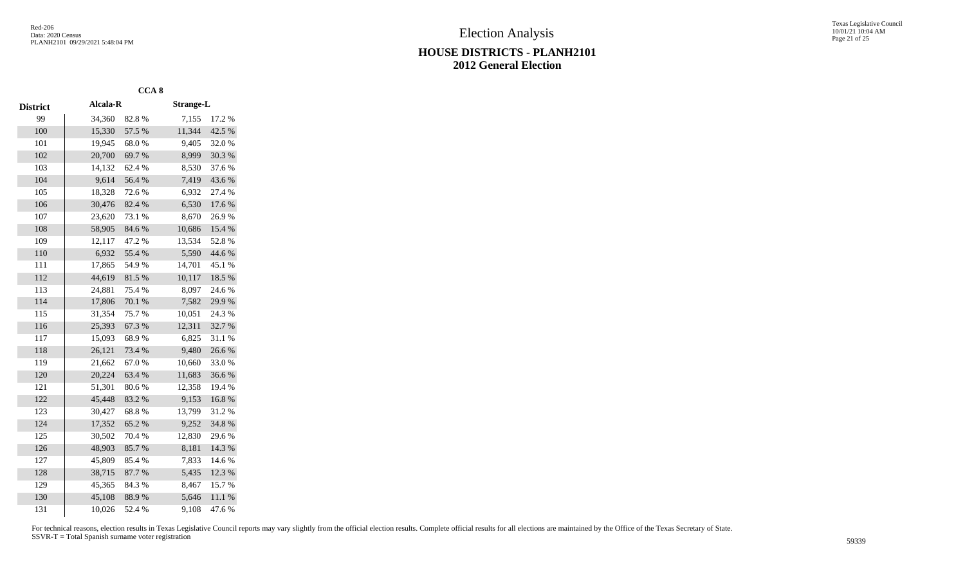Texas Legislative Council 10/01/21 10:04 AM Page 21 of 25

|                 |                 | CCA <sub>8</sub> |                  |        |
|-----------------|-----------------|------------------|------------------|--------|
| <b>District</b> | <b>Alcala-R</b> |                  | <b>Strange-L</b> |        |
| 99              | 34,360          | 82.8%            | 7,155            | 17.2 % |
| 100             | 15,330          | 57.5 %           | 11,344           | 42.5 % |
| 101             | 19,945          | 68.0%            | 9,405            | 32.0%  |
| 102             | 20,700          | 69.7%            | 8,999            | 30.3%  |
| 103             | 14,132          | 62.4%            | 8,530            | 37.6%  |
| 104             | 9,614           | 56.4%            | 7,419            | 43.6%  |
| 105             | 18,328          | 72.6%            | 6,932            | 27.4 % |
| 106             | 30,476          | 82.4%            | 6,530            | 17.6%  |
| 107             | 23,620          | 73.1 %           | 8,670            | 26.9%  |
| 108             | 58,905          | 84.6%            | 10,686           | 15.4 % |
| 109             | 12,117          | 47.2 %           | 13,534           | 52.8%  |
| 110             | 6,932           | 55.4 %           | 5,590            | 44.6 % |
| 111             | 17,865          | 54.9%            | 14,701           | 45.1 % |
| 112             | 44,619          | 81.5%            | 10,117           | 18.5 % |
| 113             | 24,881          | 75.4 %           | 8,097            | 24.6%  |
| 114             | 17,806          | 70.1 %           | 7,582            | 29.9%  |
| 115             | 31,354          | 75.7%            | 10,051           | 24.3 % |
| 116             | 25,393          | 67.3 %           | 12,311           | 32.7%  |
| 117             | 15,093          | 68.9%            | 6,825            | 31.1 % |
| 118             | 26,121          | 73.4 %           | 9,480            | 26.6%  |
| 119             | 21,662          | 67.0%            | 10,660           | 33.0%  |
| 120             | 20,224          | 63.4 %           | 11,683           | 36.6%  |
| 121             | 51,301          | 80.6%            | 12,358           | 19.4 % |
| 122             | 45,448          | 83.2%            | 9,153            | 16.8%  |
| 123             | 30,427          | 68.8%            | 13,799           | 31.2%  |
| 124             | 17,352          | 65.2%            | 9,252            | 34.8%  |
| 125             | 30,502          | 70.4 %           | 12,830           | 29.6%  |
| 126             | 48,903          | 85.7%            | 8,181            | 14.3 % |
| 127             | 45,809          | 85.4%            | 7,833            | 14.6 % |
| 128             | 38,715          | 87.7%            | 5,435            | 12.3 % |
| 129             | 45,365          | 84.3%            | 8,467            | 15.7%  |
| 130             | 45,108          | 88.9%            | 5,646            | 11.1%  |
| 131             | 10,026          | 52.4 %           | 9,108            | 47.6%  |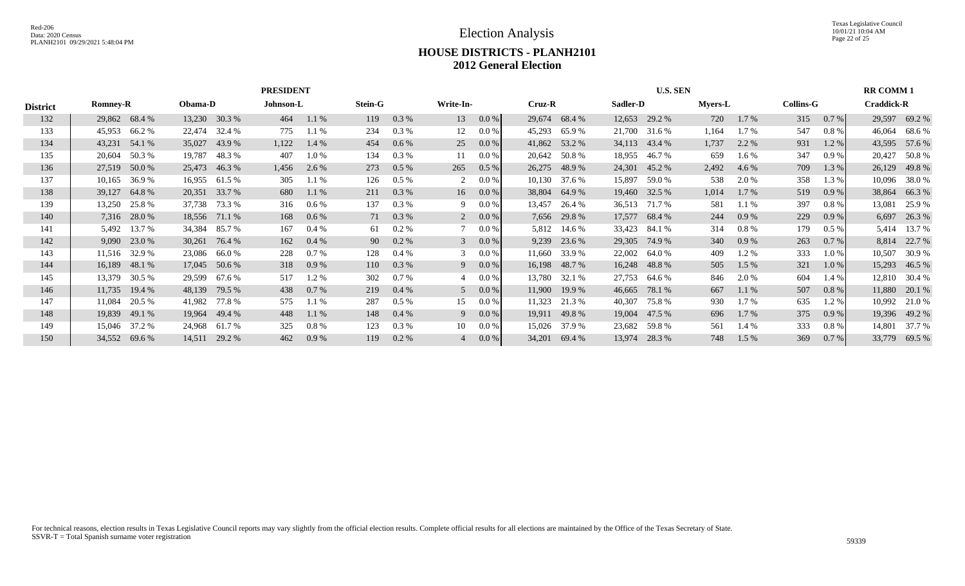|                 |                 |                |         |               | <b>PRESIDENT</b> |         |                |         |                |         |        |               |          | <b>U.S. SEN</b> |                |          |                  |          | <b>RR COMM1</b>   |               |
|-----------------|-----------------|----------------|---------|---------------|------------------|---------|----------------|---------|----------------|---------|--------|---------------|----------|-----------------|----------------|----------|------------------|----------|-------------------|---------------|
| <b>District</b> | <b>Romney-R</b> |                | Obama-D |               | Johnson-L        |         | <b>Stein-G</b> |         | Write-In-      |         | Cruz-R |               | Sadler-D |                 | <b>Myers-L</b> |          | <b>Collins-G</b> |          | <b>Craddick-R</b> |               |
| 132             |                 | 29,862 68.4 %  |         | 13,230 30.3 % | 464              | 1.1 %   | 119            | 0.3 %   | 13             | $0.0\%$ | 29,674 | 68.4 %        |          | 12,653 29.2 %   | 720            | $1.7\%$  | 315              | 0.7 %    |                   | 29,597 69.2 % |
| 133             | 45,953          | 66.2 %         | 22,474  | 32.4 %        | 775              | 1.1%    | 234            | 0.3 %   | 12             | 0.0 %   | 45,293 | 65.9%         | 21,700   | 31.6 %          | 1,164          | $1.7\%$  | 547              | $0.8 \%$ | 46,064            | 68.6 %        |
| 134             | 43,231          | 54.1 %         | 35,027  | 43.9%         | 1,122            | 1.4 %   | 454            | 0.6 %   | 25             | 0.0 %   |        | 41,862 53.2 % |          | 34,113 43.4 %   | 1,737          | 2.2 %    | 931              | $1.2\%$  |                   | 43,595 57.6 % |
| 135             | 20,604          | 50.3 %         | 19,787  | 48.3 %        | 407              | $1.0\%$ | 134            | $0.3\%$ | 11             | 0.0 %   | 20,642 | 50.8 %        | 18,955   | 46.7 %          | 659            | $1.6\%$  | 347              | 0.9%     | 20,427            | 50.8%         |
| 136             | 27,519          | 50.0 %         |         | 25,473 46.3 % | 1,456            | 2.6 %   | 273            | $0.5\%$ | 265            | $0.5\%$ | 26,275 | 48.9%         |          | 24,301 45.2 %   | 2,492          | 4.6 %    | 709              | 1.3 %    | 26,129            | 49.8 %        |
| 137             | 10,165          | 36.9%          | 16,955  | 61.5 %        | 305              | 1.1%    | 126            | $0.5\%$ | 2              | $0.0\%$ | 10,130 | 37.6 %        | 15,897   | 59.0 %          | 538            | 2.0 %    | 358              | 1.3 %    | 10,096            | 38.0 %        |
| 138             | 39,127          | 64.8%          |         | 20,351 33.7 % | 680              | 1.1 %   | 211            | $0.3\%$ | 16             | $0.0\%$ | 38,804 | 64.9 %        |          | 19,460 32.5 %   | 1,014          | $1.7\%$  | 519              | $0.9\%$  | 38,864            | 66.3%         |
| 139             | 13,250          | 25.8%          |         | 37,738 73.3 % | 316              | $0.6\%$ | 137            | $0.3\%$ | 9.             | $0.0\%$ | 13,457 | 26.4 %        |          | 36,513 71.7 %   | 581            | 1.1%     | 397              | $0.8\%$  | 13,081            | 25.9 %        |
| 140             |                 | 7,316 28.0 %   |         | 18,556 71.1 % | 168              | $0.6\%$ | 71             | 0.3 %   | $\overline{2}$ | $0.0\%$ |        | 7,656 29.8 %  |          | 17,577 68.4 %   | 244            | $0.9\%$  | 229              | $0.9\%$  | 6,697             | 26.3 %        |
| 141             | 5,492           | 13.7 %         | 34,384  | 85.7 %        | 167              | $0.4\%$ | 61             | $0.2\%$ |                | 0.0 %   | 5,812  | 14.6 %        | 33,423   | 84.1 %          | 314            | $0.8 \%$ | 179              | $0.5\%$  | 5,414             | 13.7 %        |
| 142             |                 | $9,090$ 23.0 % | 30,261  | 76.4 %        | 162              | $0.4\%$ | 90             | $0.2\%$ | 3              | $0.0\%$ | 9,239  | 23.6 %        |          | 29,305 74.9 %   | 340            | 0.9%     | 263              | 0.7 %    | 8,814             | 22.7 %        |
| 143             | 11,516          | 32.9 %         | 23,086  | 66.0 %        | 228              | 0.7%    | 128            | $0.4\%$ |                | $0.0\%$ | 11,660 | 33.9 %        | 22,002   | 64.0 %          | 409            | 1.2 %    | 333              | 1.0 %    | 10,507            | 30.9 %        |
| 144             | 16,189          | 48.1 %         |         | 17,045 50.6 % | 318              | 0.9%    | 110            | 0.3 %   | 9              | $0.0\%$ |        | 16,198 48.7 % |          | 16,248 48.8 %   | 505            | 1.5 %    | 321              | $1.0\%$  |                   | 15,293 46.5 % |
| 145             | 13,379          | 30.5 %         | 29,599  | 67.6 %        | 517              | 1.2 %   | 302            | 0.7%    |                | 0.0 %   | 13,780 | 32.1 %        | 27,753   | 64.6 %          | 846            | 2.0 %    | 604              | 1.4 %    | 12,810            | 30.4 %        |
| 146             | 11,735          | 19.4 %         | 48,139  | 79.5 %        | 438              | 0.7 %   | 219            | $0.4\%$ | 5              | $0.0\%$ | 11,900 | 19.9 %        | 46,665   | 78.1 %          | 667            | 1.1 %    | 507              | $0.8\%$  | 11,880            | 20.1 %        |
| 147             | 11,084          | 20.5 %         | 41,982  | 77.8%         | 575              | 1.1 %   | 287            | $0.5\%$ | 15             | 0.0 %   | 11,323 | 21.3 %        | 40,307   | 75.8 %          | 930            | $1.7\%$  | 635              | 1.2%     | 10,992            | 21.0%         |
| 148             | 19,839          | 49.1 %         |         | 19,964 49.4 % | 448              | 1.1 %   | 148            | $0.4\%$ | 9              | $0.0\%$ |        | 19,911 49.8 % |          | 19,004 47.5 %   | 696            | $1.7\%$  | 375              | $0.9\%$  |                   | 19,396 49.2 % |
| 149             | 15,046          | 37.2 %         | 24,968  | 61.7 %        | 325              | 0.8 %   | 123            | 0.3 %   | 10             | 0.0 %   | 15,026 | 37.9 %        |          | 23,682 59.8 %   | 561            | 1.4 %    | 333              | 0.8 %    | 14,801            | 37.7 %        |
| 150             | 34,552          | 69.6 %         |         | 14,511 29.2 % | 462              | 0.9%    | 119            | $0.2\%$ | 4              | $0.0\%$ | 34,201 | 69.4 %        | 13,974   | 28.3 %          | 748            | 1.5 %    | 369              | 0.7 %    |                   | 33,779 69.5 % |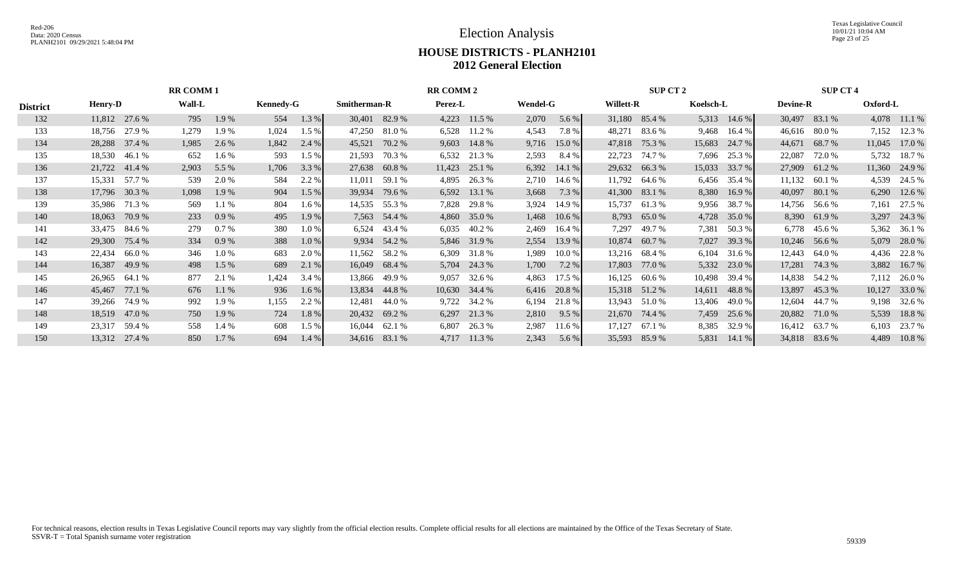Texas Legislative Council 10/01/21 10:04 AM Page 23 of 25

# **HOUSE DISTRICTS - PLANH2101 2012 General Election**

|                 |                |               | <b>RR COMM1</b> |         |                  |         |                     |               | <b>RR COMM 2</b> |                 |                 |        |                  | <b>SUP CT 2</b> |           |          |                 | <b>SUP CT 4</b> |          |              |
|-----------------|----------------|---------------|-----------------|---------|------------------|---------|---------------------|---------------|------------------|-----------------|-----------------|--------|------------------|-----------------|-----------|----------|-----------------|-----------------|----------|--------------|
| <b>District</b> | <b>Henry-D</b> |               | <b>Wall-L</b>   |         | <b>Kennedy-G</b> |         | <b>Smitherman-R</b> |               | Perez-L          |                 | <b>Wendel-G</b> |        | <b>Willett-R</b> |                 | Koelsch-L |          | <b>Devine-R</b> |                 | Oxford-L |              |
| 132             |                | 11,812 27.6 % | 795             | 1.9 %   | 554              | 1.3 %   |                     | 30,401 82.9 % | 4,223            | 11.5 %          | 2,070           | 5.6 %  |                  | 31,180 85.4 %   | 5,313     | $14.6\%$ |                 | 30,497 83.1 %   |          | 4,078 11.1 % |
| 133             |                | 18,756 27.9 % | 1,279           | 1.9%    | 1,024            | $1.5\%$ | 47,250              | 81.0%         | 6,528            | 11.2 %          | 4,543           | 7.8%   | 48,271           | 83.6 %          | 9,468     | 16.4 %   | 46,616          | 80.0 %          | 7,152    | 12.3 %       |
| 134             | 28,288         | 37.4 %        | 1,985           | 2.6 %   | 1,842            | 2.4 %   | 45,521              | 70.2 %        | 9,603            | 14.8%           | 9,716           | 15.0%  | 47,818           | 75.3 %          | 15,683    | 24.7 %   | 44,671          | 68.7 %          | 11,045   | 17.0 %       |
| 135             | 18,530         | 46.1 %        | 652             | 1.6 %   | 593              | $1.5\%$ | 21,593              | 70.3 %        | 6,532            | 21.3 %          | 2,593           | 8.4 %  | 22,723           | 74.7 %          | 7,696     | 25.3 %   | 22,087          | 72.0 %          | 5,732    | 18.7 %       |
| 136             |                | 21,722 41.4 % | 2,903           | 5.5 %   | 1,706            | 3.3%    |                     | 27,638 60.8 % | 11,423           | 25.1 %          | 6,392           | 14.1%  |                  | 29,632 66.3 %   | 15,033    | 33.7 %   |                 | 27,909 61.2 %   | 11,360   | 24.9 %       |
| 137             | 15,331         | 57.7 %        | 539             | 2.0 %   | 584              | 2.2 %   | 11,011              | 59.1 %        | 4,895            | 26.3 %          | 2,710           | 14.6 % | 11,792           | 64.6 %          | 6,456     | 35.4 %   |                 | 11,132 60.1 %   | 4,539    | 24.5 %       |
| 138             |                | 17,796 30.3 % | 1,098           | 1.9%    | 904              | $1.5\%$ | 39,934              | 79.6 %        | 6,592            | 13.1 %          | 3,668           | 7.3 %  | 41,300           | 83.1 %          | 8,380     | 16.9%    | 40,097          | 80.1 %          | 6,290    | 12.6 %       |
| 139             | 35,986         | 71.3 %        | 569             | 1.1 %   | 804              | 1.6 %   | 14,535              | 55.3 %        | 7,828            | 29.8 %          | 3,924           | 14.9 % | 15,737           | 61.3%           | 9,956     | 38.7 %   |                 | 14,756 56.6 %   | 7,161    | 27.5 %       |
| 140             | 18,063         | 70.9 %        | 233             | 0.9%    | 495              | 1.9 %   |                     | 7,563 54.4 %  | 4,860            | 35.0 %          | 1,468           | 10.6 % |                  | 8,793 65.0 %    | 4,728     | 35.0%    |                 | 8,390 61.9 %    |          | 3,297 24.3 % |
| 141             | 33,475         | 84.6 %        | 279             | 0.7%    | 380              | 1.0%    | 6,524               | 43.4 %        | 6,035            | 40.2 %          | 2,469           | 16.4 % | 7,297            | 49.7 %          | 7,381     | 50.3 %   |                 | 6,778 45.6 %    | 5,362    | 36.1 %       |
| 142             | 29,300         | 75.4 %        | 334             | 0.9%    | 388              | 1.0%    |                     | 9,934 54.2 %  |                  | 5,846 31.9 %    | 2,554           | 13.9 % | 10,874           | 60.7 %          | 7,027     | 39.3 %   |                 | $10,246$ 56.6 % |          | 5,079 28.0 % |
| 143             | 22,434         | 66.0%         | 346             | 1.0%    | 683              | 2.0 %   | 11,562              | 58.2 %        | 6,309            | 31.8 %          | 1,989           | 10.0%  | 13,216           | 68.4 %          | 6,104     | 31.6 %   |                 | 12,443 64.0 %   | 4,436    | 22.8 %       |
| 144             | 16,387         | 49.9 %        | 498             | $1.5\%$ | 689              | 2.1 %   |                     | 16,049 68.4 % |                  | 5,704 24.3 %    | 1,700           | 7.2 %  | 17,803           | 77.0 %          | 5,332     | 23.0 %   | 17,281          | 74.3 %          |          | 3,882 16.7 % |
| 145             | 26,965         | 64.1 %        | 877             | 2.1 %   | 1,424            | 3.4 %   | 13,866              | 49.9 %        | 9,057            | 32.6 %          | 4,863           | 17.5 % | 16,125           | 60.6 %          | 10,498    | 39.4 %   |                 | 14,838 54.2 %   | 7,112    | 26.0%        |
| 146             | 45,467         | 77.1 %        | 676             | 1.1%    | 936              | $1.6\%$ |                     | 13,834 44.8 % |                  | $10,630$ 34.4 % | 6,416           | 20.8 % |                  | 15,318 51.2 %   | 14,611    | 48.8 %   | 13,897          | 45.3 %          | 10,127   | 33.0 %       |
| 147             | 39,266         | 74.9 %        | 992             | 1.9%    | 1,155            | 2.2 %   | 12,481              | 44.0 %        |                  | 9,722 34.2 %    | 6,194           | 21.8%  |                  | 13,943 51.0 %   | 13,406    | 49.0 %   | 12,604          | 44.7 %          | 9,198    | 32.6 %       |
| 148             |                | 18,519 47.0 % | 750             | 1.9 %   | 724              | 1.8%    |                     | 20,432 69.2 % | 6,297            | 21.3 %          | 2,810           | 9.5%   |                  | 21,670 74.4 %   | 7,459     | 25.6 %   |                 | 20,882 71.0 %   | 5,539    | 18.8%        |
| 149             | 23,317         | 59.4 %        | 558             | 1.4 %   | 608              | $1.5\%$ | 16,044              | 62.1 %        | 6,807            | 26.3 %          | 2,987           | 11.6 % | 17,127           | 67.1 %          | 8,385     | 32.9 %   |                 | 16,412 63.7 %   | 6,103    | 23.7 %       |
| 150             |                | 13,312 27.4 % | 850             | 1.7%    | 694              | $1.4\%$ |                     | 34,616 83.1 % | 4,717            | 11.3 %          | 2,343           | 5.6 %  | 35,593           | 85.9%           | 5,831     | 14.1%    |                 | 34,818 83.6 %   | 4,489    | 10.8%        |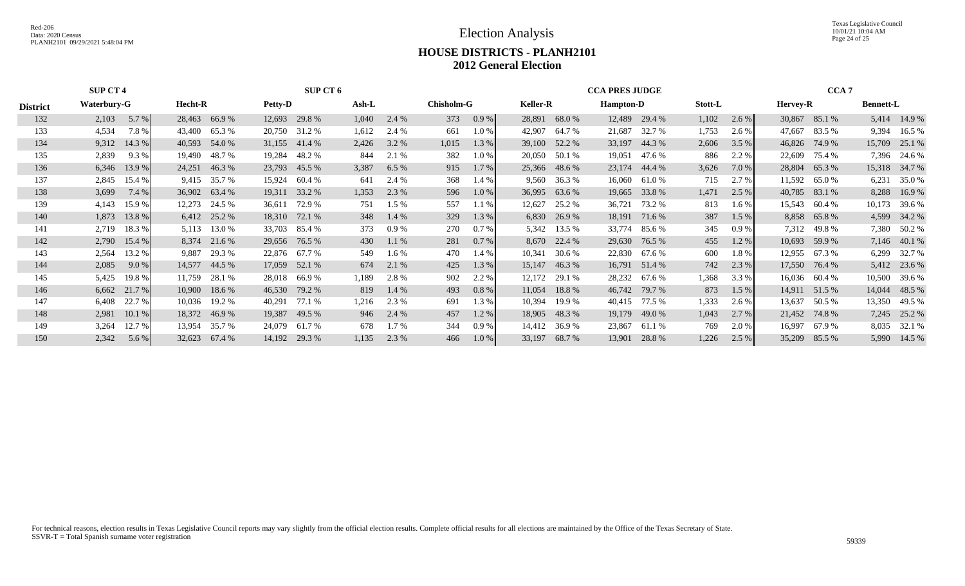Election Analysis

Texas Legislative Council 10/01/21 10:04 AM Page 24 of 25

#### **HOUSE DISTRICTS - PLANH2101 2012 General Election**

|                 | <b>SUP CT 4</b>   |                |               |                | <b>SUP CT 6</b> |       |         |                   |         |                 | <b>CCA PRES JUDGE</b> |                  |               |         |         | CCA <sub>7</sub> |                 |                  |               |
|-----------------|-------------------|----------------|---------------|----------------|-----------------|-------|---------|-------------------|---------|-----------------|-----------------------|------------------|---------------|---------|---------|------------------|-----------------|------------------|---------------|
| <b>District</b> | Waterbury-G       | <b>Hecht-R</b> |               | <b>Petty-D</b> |                 | Ash-L |         | <b>Chisholm-G</b> |         | <b>Keller-R</b> |                       | <b>Hampton-D</b> |               | Stott-L |         | <b>Hervey-R</b>  |                 | <b>Bennett-L</b> |               |
| 132             | 5.7 %<br>2,103    |                | 28,463 66.9 % | 12,693         | 29.8%           | 1,040 | 2.4 %   | 373               | 0.9%    | 28,891          | 68.0 %                |                  | 12,489 29.4 % | 1,102   | $2.6\%$ |                  | 30,867 85.1 %   | 5,414            | 14.9 %        |
| 133             | 4,534<br>7.8%     | 43,400         | 65.3%         | 20,750         | 31.2 %          | 1,612 | 2.4 %   | 661               | $1.0\%$ | 42,907          | 64.7 %                | 21,687           | 32.7 %        | 1,753   | 2.6 %   | 47,667           | 83.5 %          | 9,394            | 16.5 %        |
| 134             | 9,312<br>14.3 $%$ | 40,593         | 54.0 %        |                | 31,155 41.4 %   | 2,426 | 3.2 %   | 1,015             | 1.3 %   | 39,100          | 52.2 %                | 33,197           | 44.3 %        | 2,606   | 3.5%    | 46,826           | 74.9 %          | 15,709           | 25.1 %        |
| 135             | 2,839<br>9.3%     | 19,490         | 48.7 %        | 19,284         | 48.2 %          | 844   | 2.1 %   | 382               | $1.0\%$ | 20,050          | 50.1 %                | 19,051           | 47.6 %        | 886     | 2.2 %   | 22,609           | 75.4 %          |                  | 7,396 24.6 %  |
| 136             | 13.9 %<br>6,346   | 24,251         | 46.3%         |                | 23,793 45.5 %   | 3,387 | 6.5%    | 915               | 1.7 %   | 25,366          | 48.6 %                |                  | 23,174 44.4 % | 3,626   | 7.0 %   |                  | 28,804 65.3 %   |                  | 15,318 34.7 % |
| 137             | 2,845<br>15.4 %   | 9,415          | 35.7 %        | 15,924         | 60.4%           | 641   | 2.4 %   | 368               | 1.4%    | 9,560           | 36.3 %                | 16,060           | 61.0 %        | 715     | 2.7 %   | 11,592           | 65.0 %          | 6,231            | 35.0%         |
| 138             | 3,699<br>7.4%     |                | 36,902 63.4 % | 19,311         | 33.2 %          | 1,353 | 2.3 %   | 596               | 1.0%    | 36,995          | 63.6 %                | 19,665           | 33.8 %        | 1,471   | 2.5%    | 40,785           | 83.1 %          | 8,288            | 16.9%         |
| 139             | 4,143<br>15.9%    | 12,273         | 24.5 %        | 36,611         | 72.9 %          | 751   | $1.5\%$ | 557               | 1.1%    | 12,627          | 25.2 %                | 36,721           | 73.2 %        | 813     | $1.6\%$ |                  | 15,543 60.4 %   | 10,173           | 39.6 %        |
| 140             | 1,873<br>13.8 %   |                | 6,412 25.2 %  | 18,310         | 72.1 %          | 348   | $1.4\%$ | 329               | 1.3 %   |                 | 6,830 26.9 %          |                  | 18,191 71.6 % | 387     | $1.5\%$ |                  | 8,858 65.8 %    |                  | 4,599 34.2 %  |
| 141             | 18.3 %<br>2,719   | 5,113          | 13.0 %        | 33,703         | 85.4 %          | 373   | 0.9%    | 270               | 0.7 %   | 5,342           | 13.5 %                | 33,774           | 85.6 %        | 345     | 0.9%    | 7,312            | 49.8 %          |                  | 7,380 50.2 %  |
| 142             | 15.4 %<br>2,790   |                | 8,374 21.6 %  |                | 29,656 76.5 %   | 430   | 1.1%    | 281               | $0.7\%$ |                 | 8,670 22.4 %          |                  | 29,630 76.5 % | 455     | 1.2%    |                  | $10,693$ 59.9 % |                  | 7,146 40.1 %  |
| 143             | 13.2 %<br>2,564   | 9,887          | 29.3 %        | 22,876         | 67.7 %          | 549   | $1.6\%$ | 470               | 1.4%    | 10,341          | 30.6 %                |                  | 22,830 67.6 % | 600     | 1.8%    | 12,955           | 67.3 %          | 6,299            | 32.7 %        |
| 144             | 9.0%<br>2,085     |                | 14,577 44.5 % |                | 17,059 52.1 %   | 674   | 2.1 %   | 425               | 1.3 %   | 15,147          | 46.3%                 |                  | 16,791 51.4 % | 742     | 2.3 %   |                  | 17,550 76.4 %   |                  | 5,412 23.6 %  |
| 145             | 5,425<br>19.8 %   | 11,759         | 28.1 %        | 28,018         | 66.9 %          | 1,189 | 2.8%    | 902               | 2.2 %   | 12,172          | 29.1 %                | 28,232           | 67.6 %        | 1,368   | 3.3 %   |                  | 16,036 60.4 %   | 10,500           | 39.6 %        |
| 146             | 6,662 21.7 %      | 10,900         | 18.6 %        |                | 46,530 79.2 %   | 819   | $1.4\%$ | 493               | 0.8%    | 11,054          | 18.8%                 |                  | 46,742 79.7 % | 873     | 1.5%    | 14,911           | 51.5 %          |                  | 14,044 48.5 % |
| 147             | 22.7 %<br>6,408   | 10,036         | 19.2 %        | 40,291         | 77.1 %          | 1,216 | 2.3 %   | 691               | 1.3%    | 10,394          | 19.9 %                |                  | 40,415 77.5 % | 1,333   | 2.6 %   | 13,637           | 50.5 %          | 13,350           | 49.5 %        |
| 148             | 2,981<br>10.1%    |                | 18,372 46.9 % | 19,387         | 49.5 %          | 946   | 2.4 %   | 457               | 1.2%    | 18,905          | 48.3%                 | 19,179           | 49.0 %        | 1,043   | 2.7%    |                  | 21,452 74.8 %   |                  | 7,245 25.2 %  |
| 149             | 12.7 %<br>3,264   | 13,954         | 35.7 %        | 24,079         | 61.7 %          | 678   | $1.7\%$ | 344               | 0.9%    | 14,412          | 36.9%                 | 23,867           | 61.1 %        | 769     | 2.0 %   | 16,997           | 67.9 %          | 8,035            | 32.1 %        |
| 150             | 2,342<br>5.6 %    | 32,623         | 67.4 %        | 14,192         | 29.3 %          | 1,135 | 2.3 %   | 466               | 1.0%    | 33,197          | 68.7 %                | 13,901           | 28.8%         | 1,226   | 2.5%    | 35,209           | 85.5 %          |                  | 5,990 14.5 %  |